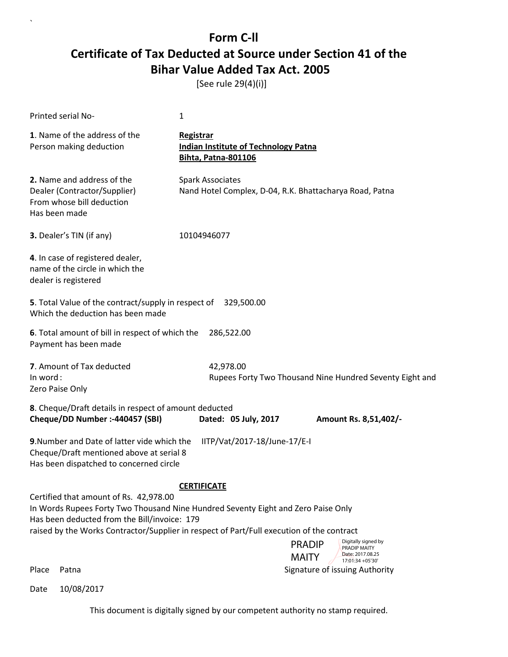[See rule 29(4)(i)]

`

| Printed serial No-                                                                                                                 | 1                                                                                                                                                                                                                                                                                                                     |
|------------------------------------------------------------------------------------------------------------------------------------|-----------------------------------------------------------------------------------------------------------------------------------------------------------------------------------------------------------------------------------------------------------------------------------------------------------------------|
| 1. Name of the address of the<br>Person making deduction                                                                           | Registrar<br><b>Indian Institute of Technology Patna</b><br><b>Bihta, Patna-801106</b>                                                                                                                                                                                                                                |
| 2. Name and address of the<br>Dealer (Contractor/Supplier)<br>From whose bill deduction<br>Has been made                           | <b>Spark Associates</b><br>Nand Hotel Complex, D-04, R.K. Bhattacharya Road, Patna                                                                                                                                                                                                                                    |
| 3. Dealer's TIN (if any)                                                                                                           | 10104946077                                                                                                                                                                                                                                                                                                           |
| 4. In case of registered dealer,<br>name of the circle in which the<br>dealer is registered                                        |                                                                                                                                                                                                                                                                                                                       |
| 5. Total Value of the contract/supply in respect of<br>Which the deduction has been made                                           | 329,500.00                                                                                                                                                                                                                                                                                                            |
| 6. Total amount of bill in respect of which the<br>Payment has been made                                                           | 286,522.00                                                                                                                                                                                                                                                                                                            |
| 7. Amount of Tax deducted<br>In word:<br>Zero Paise Only                                                                           | 42,978.00<br>Rupees Forty Two Thousand Nine Hundred Seventy Eight and                                                                                                                                                                                                                                                 |
| 8. Cheque/Draft details in respect of amount deducted<br>Cheque/DD Number :- 440457 (SBI)                                          | Dated: 05 July, 2017<br>Amount Rs. 8,51,402/-                                                                                                                                                                                                                                                                         |
| 9. Number and Date of latter vide which the<br>Cheque/Draft mentioned above at serial 8<br>Has been dispatched to concerned circle | IITP/Vat/2017-18/June-17/E-I                                                                                                                                                                                                                                                                                          |
| Certified that amount of Rs. 42,978.00<br>Has been deducted from the Bill/invoice: 179                                             | <b>CERTIFICATE</b><br>In Words Rupees Forty Two Thousand Nine Hundred Seventy Eight and Zero Paise Only<br>raised by the Works Contractor/Supplier in respect of Part/Full execution of the contract<br>Digitally signed by<br><b>PRADIP</b><br>PRADIP MAITY<br>Date: 2017.08.25<br><b>MAITY</b><br>17:01:34 + 05'30' |
| Place<br>Patna                                                                                                                     | Signature of issuing Authority                                                                                                                                                                                                                                                                                        |
| 10/08/2017<br>Date                                                                                                                 |                                                                                                                                                                                                                                                                                                                       |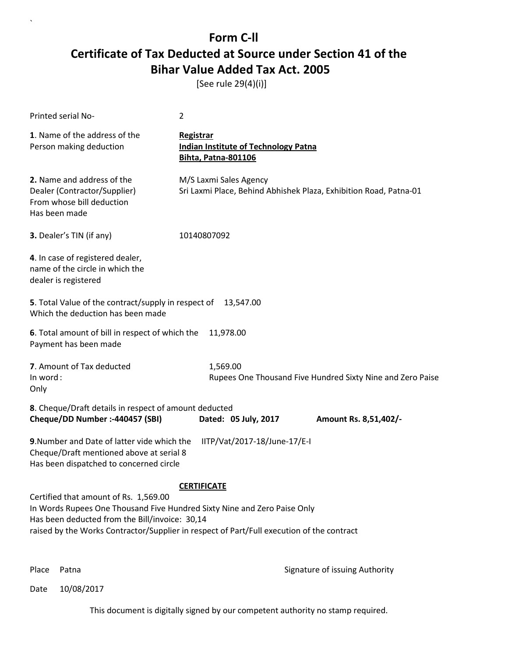[See rule 29(4)(i)]

`

| Printed serial No-                                                                                                                                                  | $\overline{2}$                                                                                                                                                                                              |
|---------------------------------------------------------------------------------------------------------------------------------------------------------------------|-------------------------------------------------------------------------------------------------------------------------------------------------------------------------------------------------------------|
| 1. Name of the address of the<br>Person making deduction                                                                                                            | <b>Registrar</b><br><b>Indian Institute of Technology Patna</b><br><b>Bihta, Patna-801106</b>                                                                                                               |
| 2. Name and address of the<br>Dealer (Contractor/Supplier)<br>From whose bill deduction<br>Has been made                                                            | M/S Laxmi Sales Agency<br>Sri Laxmi Place, Behind Abhishek Plaza, Exhibition Road, Patna-01                                                                                                                 |
| 3. Dealer's TIN (if any)                                                                                                                                            | 10140807092                                                                                                                                                                                                 |
| 4. In case of registered dealer,<br>name of the circle in which the<br>dealer is registered                                                                         |                                                                                                                                                                                                             |
| 5. Total Value of the contract/supply in respect of<br>Which the deduction has been made                                                                            | 13,547.00                                                                                                                                                                                                   |
| 6. Total amount of bill in respect of which the<br>Payment has been made                                                                                            | 11,978.00                                                                                                                                                                                                   |
| 7. Amount of Tax deducted<br>In word:<br>Only                                                                                                                       | 1,569.00<br>Rupees One Thousand Five Hundred Sixty Nine and Zero Paise                                                                                                                                      |
| 8. Cheque/Draft details in respect of amount deducted<br>Cheque/DD Number :- 440457 (SBI)                                                                           | Dated: 05 July, 2017<br>Amount Rs. 8,51,402/-                                                                                                                                                               |
| 9. Number and Date of latter vide which the<br>Cheque/Draft mentioned above at serial 8<br>Has been dispatched to concerned circle                                  | IITP/Vat/2017-18/June-17/E-I                                                                                                                                                                                |
| Certified that amount of Rs. 1,569.00<br>In Words Rupees One Thousand Five Hundred Sixty Nine and Zero Paise Only<br>Has been deducted from the Bill/invoice: 30,14 | <b>CERTIFICATE</b><br>raised by the Works Contractor/Supplier in respect of Part/Full execution of the contract<br>Digitally signed by<br><b>PRADIP</b><br>PRADIP MAITY<br>Date: 2017.08.25<br><b>MAITY</b> |
| Place<br>Patna                                                                                                                                                      | 17:01:51 +05'30'<br>Signature of issuing Authority                                                                                                                                                          |
| 10/08/2017<br>Date                                                                                                                                                  |                                                                                                                                                                                                             |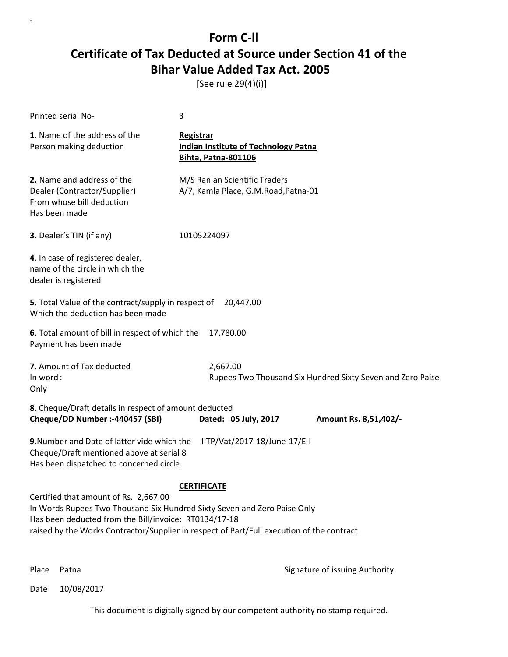[See rule 29(4)(i)]

|                                                                                                                                                                                                                                                                                                                                                                           | Printed serial No-                                                                                                                 | 3                                                                                             |                                                                    |
|---------------------------------------------------------------------------------------------------------------------------------------------------------------------------------------------------------------------------------------------------------------------------------------------------------------------------------------------------------------------------|------------------------------------------------------------------------------------------------------------------------------------|-----------------------------------------------------------------------------------------------|--------------------------------------------------------------------|
|                                                                                                                                                                                                                                                                                                                                                                           | 1. Name of the address of the<br>Person making deduction                                                                           | <b>Registrar</b><br><b>Indian Institute of Technology Patna</b><br><b>Bihta, Patna-801106</b> |                                                                    |
|                                                                                                                                                                                                                                                                                                                                                                           | 2. Name and address of the<br>Dealer (Contractor/Supplier)<br>From whose bill deduction<br>Has been made                           | M/S Ranjan Scientific Traders<br>A/7, Kamla Place, G.M.Road, Patna-01                         |                                                                    |
|                                                                                                                                                                                                                                                                                                                                                                           | 3. Dealer's TIN (if any)                                                                                                           | 10105224097                                                                                   |                                                                    |
|                                                                                                                                                                                                                                                                                                                                                                           | 4. In case of registered dealer,<br>name of the circle in which the<br>dealer is registered                                        |                                                                                               |                                                                    |
|                                                                                                                                                                                                                                                                                                                                                                           | 5. Total Value of the contract/supply in respect of 20,447.00<br>Which the deduction has been made                                 |                                                                                               |                                                                    |
|                                                                                                                                                                                                                                                                                                                                                                           | 6. Total amount of bill in respect of which the<br>Payment has been made                                                           | 17,780.00                                                                                     |                                                                    |
| In word:<br>Only                                                                                                                                                                                                                                                                                                                                                          | 7. Amount of Tax deducted                                                                                                          | 2,667.00                                                                                      | Rupees Two Thousand Six Hundred Sixty Seven and Zero Paise         |
|                                                                                                                                                                                                                                                                                                                                                                           | 8. Cheque/Draft details in respect of amount deducted<br>Cheque/DD Number :- 440457 (SBI)                                          | Dated: 05 July, 2017                                                                          | Amount Rs. 8,51,402/-                                              |
|                                                                                                                                                                                                                                                                                                                                                                           | 9. Number and Date of latter vide which the<br>Cheque/Draft mentioned above at serial 8<br>Has been dispatched to concerned circle | IITP/Vat/2017-18/June-17/E-I                                                                  |                                                                    |
| <b>CERTIFICATE</b><br>Certified that amount of Rs. 2,667.00<br>In Words Rupees Two Thousand Six Hundred Sixty Seven and Zero Paise Only<br>Has been deducted from the Bill/invoice: RT0134/17-18<br>raised by the Works Contractor/Supplier in respect of Part/Full execution of the contract<br>Digitally signed by<br><b>PRADIP</b><br>PRADIP MAITY<br>Date: 2017.08.25 |                                                                                                                                    |                                                                                               |                                                                    |
| Place                                                                                                                                                                                                                                                                                                                                                                     | Patna                                                                                                                              |                                                                                               | <b>MAITY</b><br>17:02:03 +05'30'<br>Signature of issuing Authority |
|                                                                                                                                                                                                                                                                                                                                                                           |                                                                                                                                    |                                                                                               |                                                                    |

Date 10/08/2017

`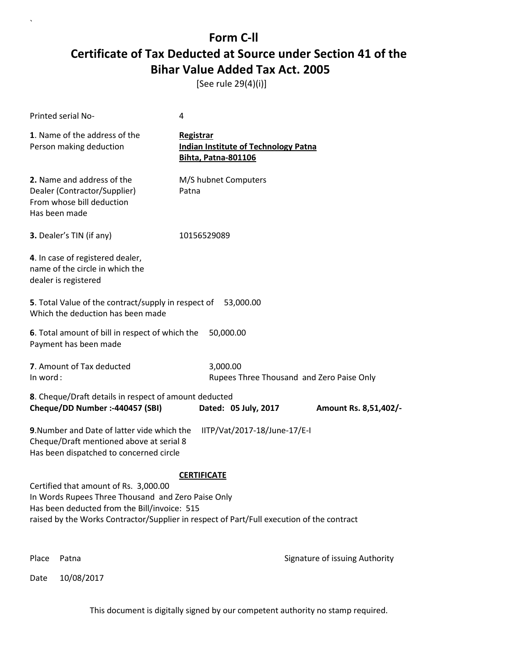[See rule 29(4)(i)]

`

| Printed serial No-                                                                                       |                                                                                                                                             | 4                                                                                                               |                                                                          |
|----------------------------------------------------------------------------------------------------------|---------------------------------------------------------------------------------------------------------------------------------------------|-----------------------------------------------------------------------------------------------------------------|--------------------------------------------------------------------------|
| 1. Name of the address of the<br>Person making deduction                                                 |                                                                                                                                             | Registrar<br><b>Indian Institute of Technology Patna</b><br><b>Bihta, Patna-801106</b>                          |                                                                          |
| 2. Name and address of the<br>Dealer (Contractor/Supplier)<br>From whose bill deduction<br>Has been made |                                                                                                                                             | M/S hubnet Computers<br>Patna                                                                                   |                                                                          |
| 3. Dealer's TIN (if any)                                                                                 |                                                                                                                                             | 10156529089                                                                                                     |                                                                          |
| 4. In case of registered dealer,<br>name of the circle in which the<br>dealer is registered              |                                                                                                                                             |                                                                                                                 |                                                                          |
| Which the deduction has been made                                                                        | 5. Total Value of the contract/supply in respect of                                                                                         | 53,000.00                                                                                                       |                                                                          |
| Payment has been made                                                                                    | 6. Total amount of bill in respect of which the                                                                                             | 50,000.00                                                                                                       |                                                                          |
| 7. Amount of Tax deducted<br>In word:                                                                    |                                                                                                                                             | 3,000.00                                                                                                        | Rupees Three Thousand and Zero Paise Only                                |
| Cheque/DD Number :- 440457 (SBI)                                                                         | 8. Cheque/Draft details in respect of amount deducted                                                                                       | Dated: 05 July, 2017                                                                                            | Amount Rs. 8,51,402/-                                                    |
|                                                                                                          | 9. Number and Date of latter vide which the<br>Cheque/Draft mentioned above at serial 8<br>Has been dispatched to concerned circle          | IITP/Vat/2017-18/June-17/E-I                                                                                    |                                                                          |
|                                                                                                          | Certified that amount of Rs. 3,000.00<br>In Words Rupees Three Thousand and Zero Paise Only<br>Has been deducted from the Bill/invoice: 515 | <b>CERTIFICATE</b><br>raised by the Works Contractor/Supplier in respect of Part/Full execution of the contract |                                                                          |
|                                                                                                          |                                                                                                                                             |                                                                                                                 | Digitally signed by<br><b>PRADIP</b><br>PRADIP MAITY<br>Date: 2017.08.25 |
| Place<br>Patna                                                                                           |                                                                                                                                             |                                                                                                                 | <b>MAITY</b><br>17:02:16 +05'30'<br>Signature of issuing Authority       |
| 10/08/2017<br>Date                                                                                       |                                                                                                                                             |                                                                                                                 |                                                                          |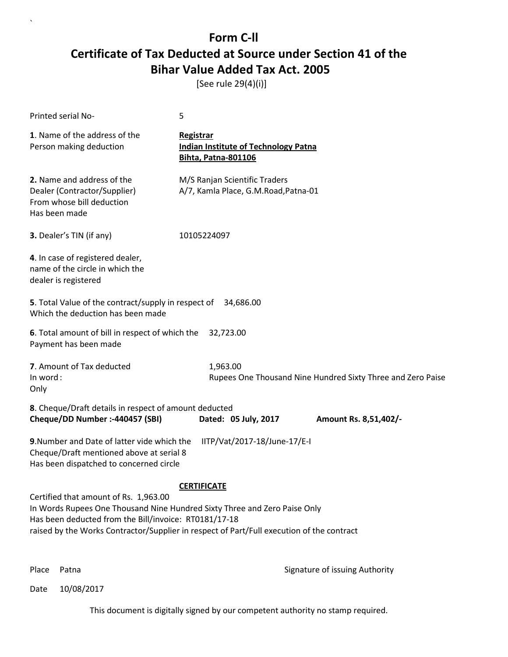[See rule 29(4)(i)]

| Printed serial No-                                                                                                                                                                                                                                                       | 5                                                                                      |                                                                          |
|--------------------------------------------------------------------------------------------------------------------------------------------------------------------------------------------------------------------------------------------------------------------------|----------------------------------------------------------------------------------------|--------------------------------------------------------------------------|
| 1. Name of the address of the<br>Person making deduction                                                                                                                                                                                                                 | Registrar<br><b>Indian Institute of Technology Patna</b><br><b>Bihta, Patna-801106</b> |                                                                          |
| 2. Name and address of the<br>Dealer (Contractor/Supplier)<br>From whose bill deduction<br>Has been made                                                                                                                                                                 | M/S Ranjan Scientific Traders<br>A/7, Kamla Place, G.M.Road, Patna-01                  |                                                                          |
| 3. Dealer's TIN (if any)                                                                                                                                                                                                                                                 | 10105224097                                                                            |                                                                          |
| 4. In case of registered dealer,<br>name of the circle in which the<br>dealer is registered                                                                                                                                                                              |                                                                                        |                                                                          |
| 5. Total Value of the contract/supply in respect of 34,686.00<br>Which the deduction has been made                                                                                                                                                                       |                                                                                        |                                                                          |
| 6. Total amount of bill in respect of which the<br>Payment has been made                                                                                                                                                                                                 | 32,723.00                                                                              |                                                                          |
| 7. Amount of Tax deducted<br>In word:<br>Only                                                                                                                                                                                                                            | 1,963.00                                                                               | Rupees One Thousand Nine Hundred Sixty Three and Zero Paise              |
| 8. Cheque/Draft details in respect of amount deducted<br>Cheque/DD Number :- 440457 (SBI)                                                                                                                                                                                | Dated: 05 July, 2017                                                                   | Amount Rs. 8,51,402/-                                                    |
| 9. Number and Date of latter vide which the<br>Cheque/Draft mentioned above at serial 8<br>Has been dispatched to concerned circle                                                                                                                                       | IITP/Vat/2017-18/June-17/E-I                                                           |                                                                          |
| Certified that amount of Rs. 1,963.00<br>In Words Rupees One Thousand Nine Hundred Sixty Three and Zero Paise Only<br>Has been deducted from the Bill/invoice: RT0181/17-18<br>raised by the Works Contractor/Supplier in respect of Part/Full execution of the contract | <b>CERTIFICATE</b>                                                                     | Digitally signed by<br><b>PRADIP</b><br>PRADIP MAITY<br>Date: 2017.08.25 |
| Place<br>Patna                                                                                                                                                                                                                                                           |                                                                                        | <b>MAITY</b><br>17:02:29 + 05'30'<br>Signature of issuing Authority      |

Date 10/08/2017

`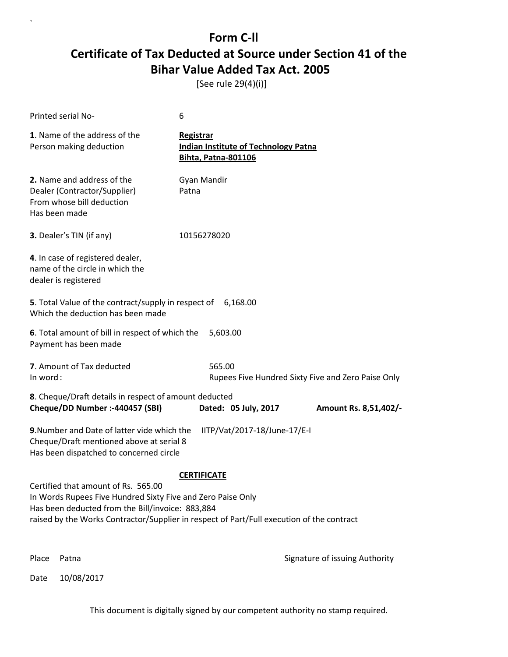[See rule 29(4)(i)]

| Printed serial No-                                                                                                                                                                                                                                  | 6                                                                                             |                                                    |
|-----------------------------------------------------------------------------------------------------------------------------------------------------------------------------------------------------------------------------------------------------|-----------------------------------------------------------------------------------------------|----------------------------------------------------|
| 1. Name of the address of the<br>Person making deduction                                                                                                                                                                                            | <b>Registrar</b><br><b>Indian Institute of Technology Patna</b><br><b>Bihta, Patna-801106</b> |                                                    |
| 2. Name and address of the<br>Dealer (Contractor/Supplier)<br>From whose bill deduction<br>Has been made                                                                                                                                            | Gyan Mandir<br>Patna                                                                          |                                                    |
| 3. Dealer's TIN (if any)                                                                                                                                                                                                                            | 10156278020                                                                                   |                                                    |
| 4. In case of registered dealer,<br>name of the circle in which the<br>dealer is registered                                                                                                                                                         |                                                                                               |                                                    |
| 5. Total Value of the contract/supply in respect of 6,168.00<br>Which the deduction has been made                                                                                                                                                   |                                                                                               |                                                    |
| 6. Total amount of bill in respect of which the<br>Payment has been made                                                                                                                                                                            | 5,603.00                                                                                      |                                                    |
| 7. Amount of Tax deducted<br>In word:                                                                                                                                                                                                               | 565.00                                                                                        | Rupees Five Hundred Sixty Five and Zero Paise Only |
| 8. Cheque/Draft details in respect of amount deducted<br>Cheque/DD Number :- 440457 (SBI)                                                                                                                                                           | Dated: 05 July, 2017                                                                          | Amount Rs. 8,51,402/-                              |
| 9. Number and Date of latter vide which the<br>Cheque/Draft mentioned above at serial 8<br>Has been dispatched to concerned circle                                                                                                                  | IITP/Vat/2017-18/June-17/E-I                                                                  |                                                    |
| Certified that amount of Rs. 565.00<br>In Words Rupees Five Hundred Sixty Five and Zero Paise Only<br>Has been deducted from the Bill/invoice: 883,884<br>raised by the Works Contractor/Supplier in respect of Part/Full execution of the contract | <b>CERTIFICATE</b>                                                                            |                                                    |
| Place<br>Patna                                                                                                                                                                                                                                      |                                                                                               | Signature of issuing Authority                     |

Date 10/08/2017

`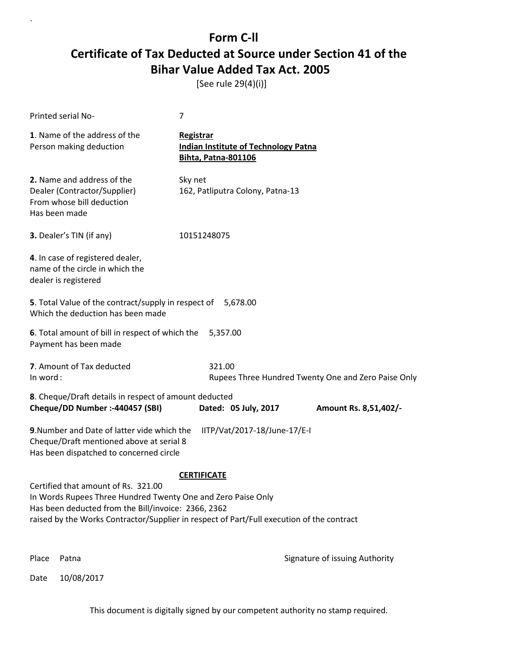[See rule 29(4)(i)]

| Printed serial No-                                                                                                                                                                                                                                      | 7                                                                                             |                                                     |
|---------------------------------------------------------------------------------------------------------------------------------------------------------------------------------------------------------------------------------------------------------|-----------------------------------------------------------------------------------------------|-----------------------------------------------------|
| 1. Name of the address of the<br>Person making deduction                                                                                                                                                                                                | <b>Registrar</b><br><b>Indian Institute of Technology Patna</b><br><b>Bihta, Patna-801106</b> |                                                     |
| 2. Name and address of the<br>Dealer (Contractor/Supplier)<br>From whose bill deduction<br>Has been made                                                                                                                                                | Sky net<br>162, Patliputra Colony, Patna-13                                                   |                                                     |
| 3. Dealer's TIN (if any)                                                                                                                                                                                                                                | 10151248075                                                                                   |                                                     |
| 4. In case of registered dealer,<br>name of the circle in which the<br>dealer is registered                                                                                                                                                             |                                                                                               |                                                     |
| 5. Total Value of the contract/supply in respect of<br>Which the deduction has been made                                                                                                                                                                | 5,678.00                                                                                      |                                                     |
| 6. Total amount of bill in respect of which the<br>Payment has been made                                                                                                                                                                                | 5,357.00                                                                                      |                                                     |
| 7. Amount of Tax deducted<br>In word:                                                                                                                                                                                                                   | 321.00                                                                                        | Rupees Three Hundred Twenty One and Zero Paise Only |
| 8. Cheque/Draft details in respect of amount deducted<br>Cheque/DD Number :- 440457 (SBI)                                                                                                                                                               | Dated: 05 July, 2017                                                                          | Amount Rs. 8,51,402/-                               |
| 9. Number and Date of latter vide which the<br>Cheque/Draft mentioned above at serial 8<br>Has been dispatched to concerned circle                                                                                                                      | IITP/Vat/2017-18/June-17/E-I                                                                  |                                                     |
|                                                                                                                                                                                                                                                         | <b>CERTIFICATE</b>                                                                            |                                                     |
| Certified that amount of Rs. 321.00<br>In Words Rupees Three Hundred Twenty One and Zero Paise Only<br>Has been deducted from the Bill/invoice: 2366, 2362<br>raised by the Works Contractor/Supplier in respect of Part/Full execution of the contract |                                                                                               |                                                     |
| Place<br>Patna                                                                                                                                                                                                                                          |                                                                                               | Signature of issuing Authority                      |

Date 10/08/2017

`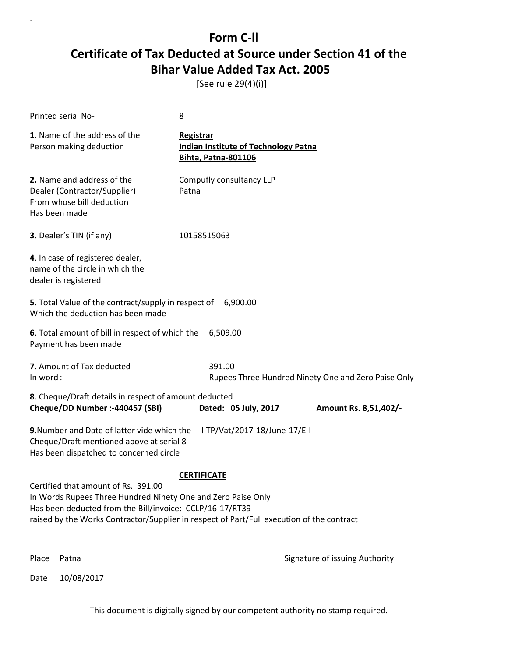[See rule 29(4)(i)]

| Printed serial No-                                                                                                                                                                                                                                                                 | 8                                                                                      |                                                     |
|------------------------------------------------------------------------------------------------------------------------------------------------------------------------------------------------------------------------------------------------------------------------------------|----------------------------------------------------------------------------------------|-----------------------------------------------------|
| 1. Name of the address of the<br>Person making deduction                                                                                                                                                                                                                           | Registrar<br><b>Indian Institute of Technology Patna</b><br><b>Bihta, Patna-801106</b> |                                                     |
| 2. Name and address of the<br>Dealer (Contractor/Supplier)<br>From whose bill deduction<br>Has been made                                                                                                                                                                           | Compufly consultancy LLP<br>Patna                                                      |                                                     |
| 3. Dealer's TIN (if any)                                                                                                                                                                                                                                                           | 10158515063                                                                            |                                                     |
| 4. In case of registered dealer,<br>name of the circle in which the<br>dealer is registered                                                                                                                                                                                        |                                                                                        |                                                     |
| 5. Total Value of the contract/supply in respect of 6,900.00<br>Which the deduction has been made                                                                                                                                                                                  |                                                                                        |                                                     |
| 6. Total amount of bill in respect of which the<br>Payment has been made                                                                                                                                                                                                           | 6,509.00                                                                               |                                                     |
| 7. Amount of Tax deducted<br>In word:                                                                                                                                                                                                                                              | 391.00                                                                                 | Rupees Three Hundred Ninety One and Zero Paise Only |
| 8. Cheque/Draft details in respect of amount deducted<br>Cheque/DD Number :- 440457 (SBI)                                                                                                                                                                                          | Dated: 05 July, 2017                                                                   | Amount Rs. 8,51,402/-                               |
| 9. Number and Date of latter vide which the<br>Cheque/Draft mentioned above at serial 8<br>Has been dispatched to concerned circle                                                                                                                                                 | IITP/Vat/2017-18/June-17/E-I                                                           |                                                     |
| <b>CERTIFICATE</b><br>Certified that amount of Rs. 391.00<br>In Words Rupees Three Hundred Ninety One and Zero Paise Only<br>Has been deducted from the Bill/invoice: CCLP/16-17/RT39<br>raised by the Works Contractor/Supplier in respect of Part/Full execution of the contract |                                                                                        |                                                     |
| Place<br>Patna                                                                                                                                                                                                                                                                     |                                                                                        | Signature of issuing Authority                      |

Date 10/08/2017

`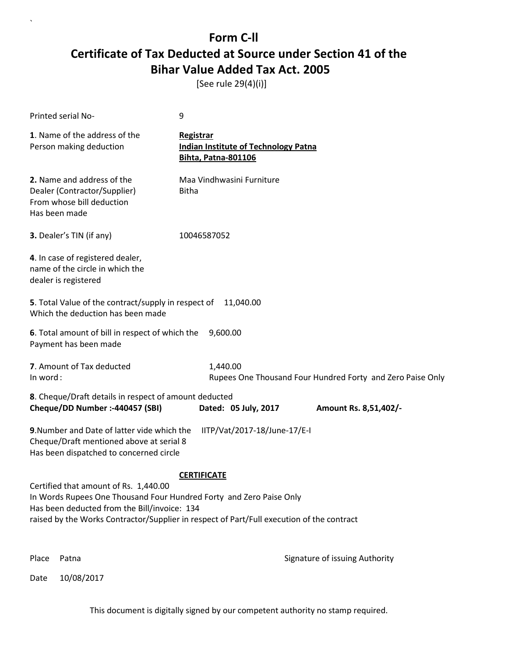[See rule 29(4)(i)]

| Printed serial No-                                                                                                                                                                                                                                                              | 9                                                                                             |
|---------------------------------------------------------------------------------------------------------------------------------------------------------------------------------------------------------------------------------------------------------------------------------|-----------------------------------------------------------------------------------------------|
| 1. Name of the address of the<br>Person making deduction                                                                                                                                                                                                                        | <b>Registrar</b><br><b>Indian Institute of Technology Patna</b><br><b>Bihta, Patna-801106</b> |
| 2. Name and address of the<br>Dealer (Contractor/Supplier)<br>From whose bill deduction<br>Has been made                                                                                                                                                                        | Maa Vindhwasini Furniture<br><b>Bitha</b>                                                     |
| 3. Dealer's TIN (if any)                                                                                                                                                                                                                                                        | 10046587052                                                                                   |
| 4. In case of registered dealer,<br>name of the circle in which the<br>dealer is registered                                                                                                                                                                                     |                                                                                               |
| 5. Total Value of the contract/supply in respect of 11,040.00<br>Which the deduction has been made                                                                                                                                                                              |                                                                                               |
| 6. Total amount of bill in respect of which the<br>Payment has been made                                                                                                                                                                                                        | 9,600.00                                                                                      |
| 7. Amount of Tax deducted<br>In word:                                                                                                                                                                                                                                           | 1,440.00<br>Rupees One Thousand Four Hundred Forty and Zero Paise Only                        |
| 8. Cheque/Draft details in respect of amount deducted<br>Cheque/DD Number :- 440457 (SBI)                                                                                                                                                                                       | Dated: 05 July, 2017<br>Amount Rs. 8,51,402/-                                                 |
| 9. Number and Date of latter vide which the<br>Cheque/Draft mentioned above at serial 8<br>Has been dispatched to concerned circle                                                                                                                                              | IITP/Vat/2017-18/June-17/E-I                                                                  |
| <b>CERTIFICATE</b><br>Certified that amount of Rs. 1,440.00<br>In Words Rupees One Thousand Four Hundred Forty and Zero Paise Only<br>Has been deducted from the Bill/invoice: 134<br>raised by the Works Contractor/Supplier in respect of Part/Full execution of the contract |                                                                                               |
| Place<br>Patna                                                                                                                                                                                                                                                                  | Signature of issuing Authority                                                                |

Date 10/08/2017

`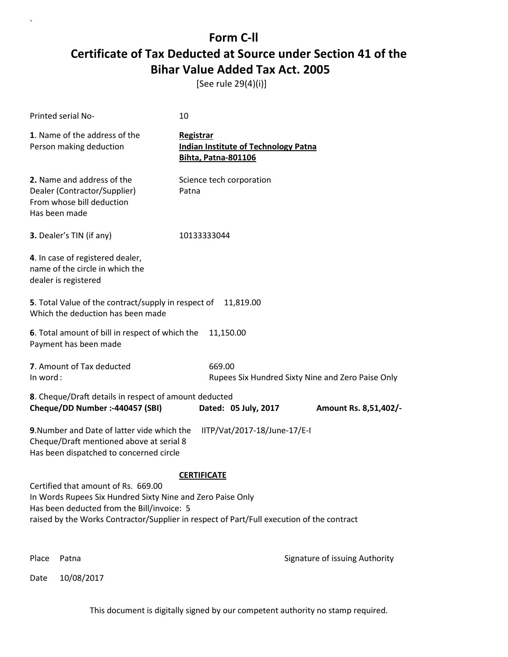[See rule 29(4)(i)]

| Printed serial No-                                                                                                                                                                                                                           | 10                                                                                     |                                                   |
|----------------------------------------------------------------------------------------------------------------------------------------------------------------------------------------------------------------------------------------------|----------------------------------------------------------------------------------------|---------------------------------------------------|
| 1. Name of the address of the<br>Person making deduction                                                                                                                                                                                     | Registrar<br><b>Indian Institute of Technology Patna</b><br><b>Bihta, Patna-801106</b> |                                                   |
| 2. Name and address of the<br>Dealer (Contractor/Supplier)<br>From whose bill deduction<br>Has been made                                                                                                                                     | Science tech corporation<br>Patna                                                      |                                                   |
| 3. Dealer's TIN (if any)                                                                                                                                                                                                                     | 10133333044                                                                            |                                                   |
| 4. In case of registered dealer,<br>name of the circle in which the<br>dealer is registered                                                                                                                                                  |                                                                                        |                                                   |
| 5. Total Value of the contract/supply in respect of<br>Which the deduction has been made                                                                                                                                                     | 11,819.00                                                                              |                                                   |
| 6. Total amount of bill in respect of which the<br>Payment has been made                                                                                                                                                                     | 11,150.00                                                                              |                                                   |
| 7. Amount of Tax deducted<br>In word:                                                                                                                                                                                                        | 669.00                                                                                 | Rupees Six Hundred Sixty Nine and Zero Paise Only |
| 8. Cheque/Draft details in respect of amount deducted<br>Cheque/DD Number :- 440457 (SBI)                                                                                                                                                    | Dated: 05 July, 2017                                                                   | Amount Rs. 8,51,402/-                             |
| 9. Number and Date of latter vide which the<br>Cheque/Draft mentioned above at serial 8<br>Has been dispatched to concerned circle                                                                                                           | IITP/Vat/2017-18/June-17/E-I                                                           |                                                   |
|                                                                                                                                                                                                                                              | <b>CERTIFICATE</b>                                                                     |                                                   |
| Certified that amount of Rs. 669.00<br>In Words Rupees Six Hundred Sixty Nine and Zero Paise Only<br>Has been deducted from the Bill/invoice: 5<br>raised by the Works Contractor/Supplier in respect of Part/Full execution of the contract |                                                                                        |                                                   |
| Place<br>Patna                                                                                                                                                                                                                               |                                                                                        | Signature of issuing Authority                    |

Date 10/08/2017

`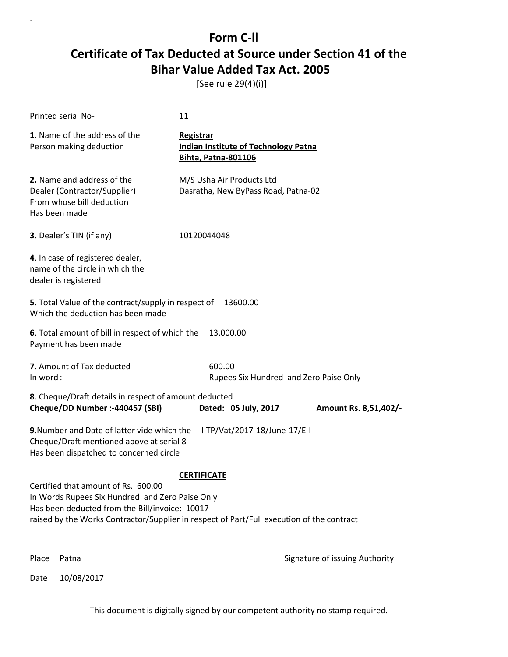[See rule 29(4)(i)]

| Printed serial No-                                                                                                                                                                                                                    | 11                                                                                            |                                        |
|---------------------------------------------------------------------------------------------------------------------------------------------------------------------------------------------------------------------------------------|-----------------------------------------------------------------------------------------------|----------------------------------------|
| 1. Name of the address of the<br>Person making deduction                                                                                                                                                                              | <b>Registrar</b><br><b>Indian Institute of Technology Patna</b><br><b>Bihta, Patna-801106</b> |                                        |
| 2. Name and address of the<br>Dealer (Contractor/Supplier)<br>From whose bill deduction<br>Has been made                                                                                                                              | M/S Usha Air Products Ltd<br>Dasratha, New ByPass Road, Patna-02                              |                                        |
| 3. Dealer's TIN (if any)                                                                                                                                                                                                              | 10120044048                                                                                   |                                        |
| 4. In case of registered dealer,<br>name of the circle in which the<br>dealer is registered                                                                                                                                           |                                                                                               |                                        |
| 5. Total Value of the contract/supply in respect of<br>Which the deduction has been made                                                                                                                                              | 13600.00                                                                                      |                                        |
| 6. Total amount of bill in respect of which the<br>Payment has been made                                                                                                                                                              | 13,000.00                                                                                     |                                        |
| 7. Amount of Tax deducted<br>In word:                                                                                                                                                                                                 | 600.00                                                                                        | Rupees Six Hundred and Zero Paise Only |
| 8. Cheque/Draft details in respect of amount deducted<br>Cheque/DD Number :- 440457 (SBI)                                                                                                                                             | Dated: 05 July, 2017                                                                          | Amount Rs. 8,51,402/-                  |
| 9. Number and Date of latter vide which the<br>Cheque/Draft mentioned above at serial 8<br>Has been dispatched to concerned circle                                                                                                    | IITP/Vat/2017-18/June-17/E-I                                                                  |                                        |
|                                                                                                                                                                                                                                       | <b>CERTIFICATE</b>                                                                            |                                        |
| Certified that amount of Rs. 600.00<br>In Words Rupees Six Hundred and Zero Paise Only<br>Has been deducted from the Bill/invoice: 10017<br>raised by the Works Contractor/Supplier in respect of Part/Full execution of the contract |                                                                                               |                                        |
| Place<br>Patna                                                                                                                                                                                                                        |                                                                                               | Signature of issuing Authority         |

Date 10/08/2017

`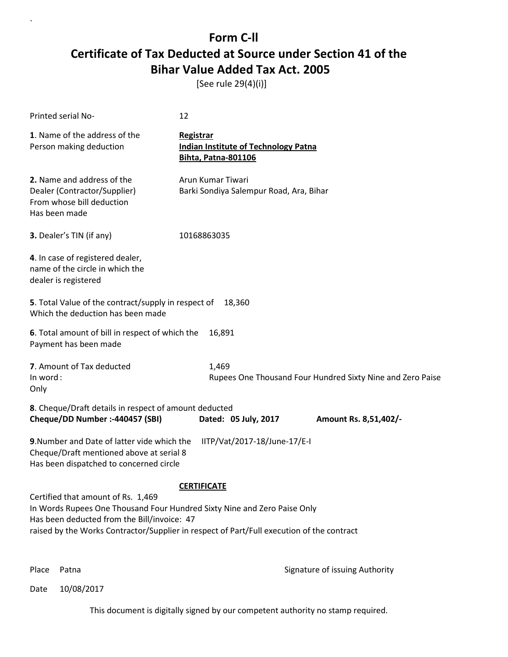[See rule 29(4)(i)]

| Printed serial No-                                                                                                                                            | 12                                                                                                              |
|---------------------------------------------------------------------------------------------------------------------------------------------------------------|-----------------------------------------------------------------------------------------------------------------|
| 1. Name of the address of the<br>Person making deduction                                                                                                      | Registrar<br><b>Indian Institute of Technology Patna</b><br><b>Bihta, Patna-801106</b>                          |
| 2. Name and address of the<br>Dealer (Contractor/Supplier)<br>From whose bill deduction<br>Has been made                                                      | Arun Kumar Tiwari<br>Barki Sondiya Salempur Road, Ara, Bihar                                                    |
| 3. Dealer's TIN (if any)                                                                                                                                      | 10168863035                                                                                                     |
| 4. In case of registered dealer,<br>name of the circle in which the<br>dealer is registered                                                                   |                                                                                                                 |
| 5. Total Value of the contract/supply in respect of<br>Which the deduction has been made                                                                      | 18,360                                                                                                          |
| 6. Total amount of bill in respect of which the<br>Payment has been made                                                                                      | 16,891                                                                                                          |
| 7. Amount of Tax deducted<br>In word:<br>Only                                                                                                                 | 1,469<br>Rupees One Thousand Four Hundred Sixty Nine and Zero Paise                                             |
| 8. Cheque/Draft details in respect of amount deducted<br>Cheque/DD Number :- 440457 (SBI)                                                                     | Dated: 05 July, 2017<br>Amount Rs. 8,51,402/-                                                                   |
| 9. Number and Date of latter vide which the<br>Cheque/Draft mentioned above at serial 8<br>Has been dispatched to concerned circle                            | IITP/Vat/2017-18/June-17/E-I                                                                                    |
| Certified that amount of Rs. 1,469<br>In Words Rupees One Thousand Four Hundred Sixty Nine and Zero Paise Only<br>Has been deducted from the Bill/invoice: 47 | <b>CERTIFICATE</b><br>raised by the Works Contractor/Supplier in respect of Part/Full execution of the contract |

`

Place Patna **Property** Place Patna Signature of issuing Authority

Date 10/08/2017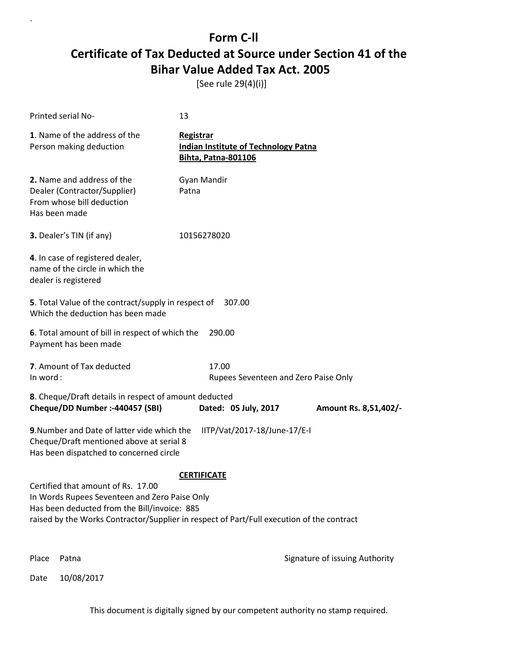[See rule 29(4)(i)]

`

|          | Printed serial No-                                                                                                                                                                                                               | 13                                                                                     |                                |
|----------|----------------------------------------------------------------------------------------------------------------------------------------------------------------------------------------------------------------------------------|----------------------------------------------------------------------------------------|--------------------------------|
|          | 1. Name of the address of the<br>Person making deduction                                                                                                                                                                         | Registrar<br><b>Indian Institute of Technology Patna</b><br><b>Bihta, Patna-801106</b> |                                |
|          | 2. Name and address of the<br>Dealer (Contractor/Supplier)<br>From whose bill deduction<br>Has been made                                                                                                                         | Gyan Mandir<br>Patna                                                                   |                                |
|          | 3. Dealer's TIN (if any)                                                                                                                                                                                                         | 10156278020                                                                            |                                |
|          | 4. In case of registered dealer,<br>name of the circle in which the<br>dealer is registered                                                                                                                                      |                                                                                        |                                |
|          | 5. Total Value of the contract/supply in respect of<br>Which the deduction has been made                                                                                                                                         | 307.00                                                                                 |                                |
|          | 6. Total amount of bill in respect of which the<br>Payment has been made                                                                                                                                                         | 290.00                                                                                 |                                |
| In word: | 7. Amount of Tax deducted                                                                                                                                                                                                        | 17.00<br>Rupees Seventeen and Zero Paise Only                                          |                                |
|          | 8. Cheque/Draft details in respect of amount deducted<br>Cheque/DD Number :- 440457 (SBI)                                                                                                                                        | Dated: 05 July, 2017                                                                   | Amount Rs. 8,51,402/-          |
|          | 9. Number and Date of latter vide which the<br>Cheque/Draft mentioned above at serial 8<br>Has been dispatched to concerned circle                                                                                               | IITP/Vat/2017-18/June-17/E-I                                                           |                                |
|          | Certified that amount of Rs. 17.00<br>In Words Rupees Seventeen and Zero Paise Only<br>Has been deducted from the Bill/invoice: 885<br>raised by the Works Contractor/Supplier in respect of Part/Full execution of the contract | <b>CERTIFICATE</b>                                                                     |                                |
| Place    | Patna                                                                                                                                                                                                                            |                                                                                        | Signature of issuing Authority |
| Date     | 10/08/2017                                                                                                                                                                                                                       |                                                                                        |                                |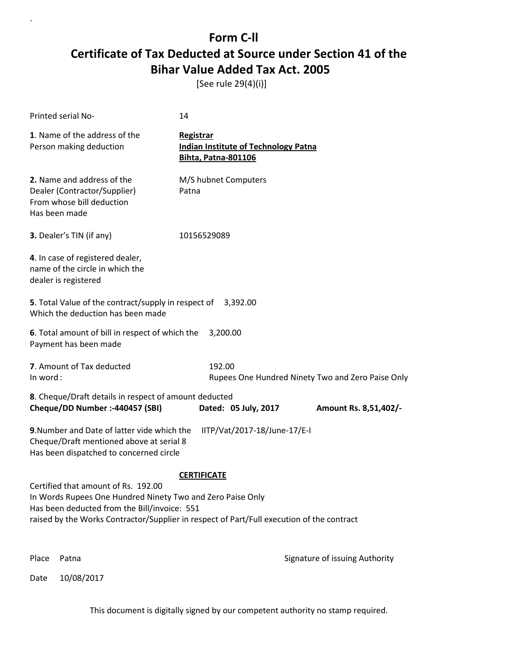[See rule 29(4)(i)]

| <b>Printed serial No-</b>                                                                                                                                                                                                                      | 14                                                                                            |                                                   |  |  |
|------------------------------------------------------------------------------------------------------------------------------------------------------------------------------------------------------------------------------------------------|-----------------------------------------------------------------------------------------------|---------------------------------------------------|--|--|
| 1. Name of the address of the<br>Person making deduction                                                                                                                                                                                       | <b>Registrar</b><br><b>Indian Institute of Technology Patna</b><br><b>Bihta, Patna-801106</b> |                                                   |  |  |
| 2. Name and address of the<br>Dealer (Contractor/Supplier)<br>From whose bill deduction<br>Has been made                                                                                                                                       | M/S hubnet Computers<br>Patna                                                                 |                                                   |  |  |
| 3. Dealer's TIN (if any)                                                                                                                                                                                                                       | 10156529089                                                                                   |                                                   |  |  |
| 4. In case of registered dealer,<br>name of the circle in which the<br>dealer is registered                                                                                                                                                    |                                                                                               |                                                   |  |  |
| 5. Total Value of the contract/supply in respect of 3,392.00<br>Which the deduction has been made                                                                                                                                              |                                                                                               |                                                   |  |  |
| 6. Total amount of bill in respect of which the<br>Payment has been made                                                                                                                                                                       | 3,200.00                                                                                      |                                                   |  |  |
| 7. Amount of Tax deducted<br>In word:                                                                                                                                                                                                          | 192.00                                                                                        | Rupees One Hundred Ninety Two and Zero Paise Only |  |  |
| 8. Cheque/Draft details in respect of amount deducted<br>Cheque/DD Number :- 440457 (SBI)                                                                                                                                                      | Dated: 05 July, 2017                                                                          | Amount Rs. 8,51,402/-                             |  |  |
| 9. Number and Date of latter vide which the<br>IITP/Vat/2017-18/June-17/E-I<br>Cheque/Draft mentioned above at serial 8<br>Has been dispatched to concerned circle                                                                             |                                                                                               |                                                   |  |  |
|                                                                                                                                                                                                                                                | <b>CERTIFICATE</b>                                                                            |                                                   |  |  |
| Certified that amount of Rs. 192.00<br>In Words Rupees One Hundred Ninety Two and Zero Paise Only<br>Has been deducted from the Bill/invoice: 551<br>raised by the Works Contractor/Supplier in respect of Part/Full execution of the contract |                                                                                               |                                                   |  |  |
| Place<br>Patna                                                                                                                                                                                                                                 |                                                                                               | Signature of issuing Authority                    |  |  |

Date 10/08/2017

`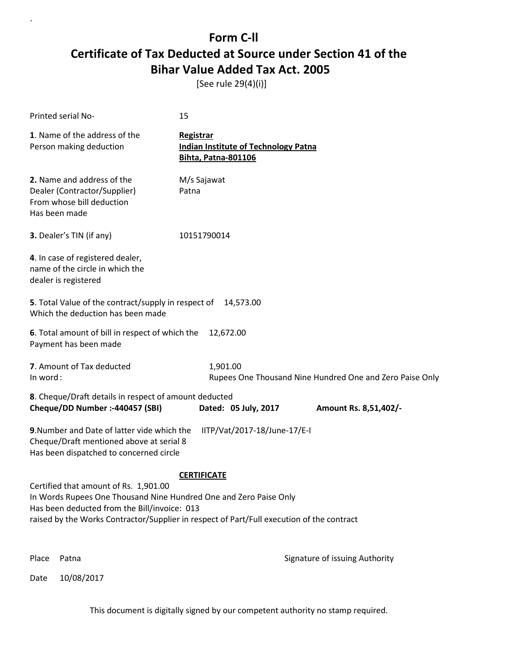[See rule 29(4)(i)]

| Printed serial No-                                                                                                                                                                                                                                                            | 15                                                                                     |  |  |
|-------------------------------------------------------------------------------------------------------------------------------------------------------------------------------------------------------------------------------------------------------------------------------|----------------------------------------------------------------------------------------|--|--|
| 1. Name of the address of the<br>Person making deduction                                                                                                                                                                                                                      | Registrar<br><b>Indian Institute of Technology Patna</b><br><b>Bihta, Patna-801106</b> |  |  |
| 2. Name and address of the<br>Dealer (Contractor/Supplier)<br>From whose bill deduction<br>Has been made                                                                                                                                                                      | M/s Sajawat<br>Patna                                                                   |  |  |
| 3. Dealer's TIN (if any)                                                                                                                                                                                                                                                      | 10151790014                                                                            |  |  |
| 4. In case of registered dealer,<br>name of the circle in which the<br>dealer is registered                                                                                                                                                                                   |                                                                                        |  |  |
| 5. Total Value of the contract/supply in respect of<br>Which the deduction has been made                                                                                                                                                                                      | 14,573.00                                                                              |  |  |
| 6. Total amount of bill in respect of which the<br>Payment has been made                                                                                                                                                                                                      | 12,672.00                                                                              |  |  |
| 7. Amount of Tax deducted<br>In word:                                                                                                                                                                                                                                         | 1,901.00<br>Rupees One Thousand Nine Hundred One and Zero Paise Only                   |  |  |
| 8. Cheque/Draft details in respect of amount deducted<br>Cheque/DD Number :- 440457 (SBI)                                                                                                                                                                                     | Dated: 05 July, 2017<br>Amount Rs. 8,51,402/-                                          |  |  |
| 9. Number and Date of latter vide which the<br>Cheque/Draft mentioned above at serial 8<br>Has been dispatched to concerned circle                                                                                                                                            | IITP/Vat/2017-18/June-17/E-I                                                           |  |  |
| <b>CERTIFICATE</b><br>Certified that amount of Rs. 1,901.00<br>In Words Rupees One Thousand Nine Hundred One and Zero Paise Only<br>Has been deducted from the Bill/invoice: 013<br>raised by the Works Contractor/Supplier in respect of Part/Full execution of the contract |                                                                                        |  |  |
| Place<br>Patna                                                                                                                                                                                                                                                                | Signature of issuing Authority                                                         |  |  |

Date 10/08/2017

`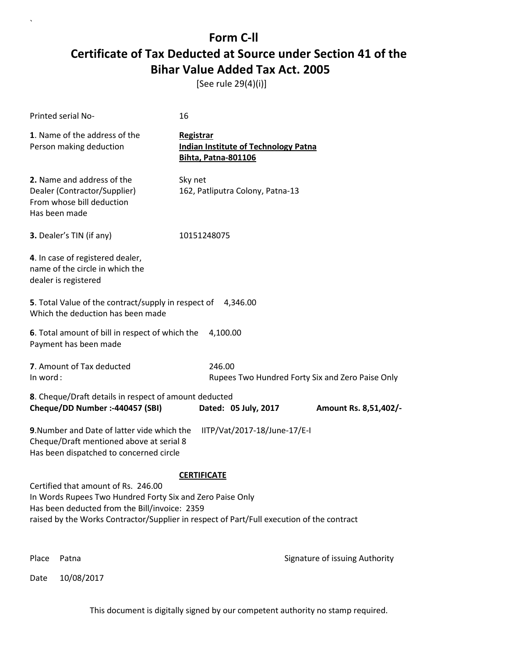[See rule 29(4)(i)]

| <b>Printed serial No-</b>                                                                                                                                                                                                                      | 16                                                                                     |                                                  |
|------------------------------------------------------------------------------------------------------------------------------------------------------------------------------------------------------------------------------------------------|----------------------------------------------------------------------------------------|--------------------------------------------------|
| 1. Name of the address of the<br>Person making deduction                                                                                                                                                                                       | Registrar<br><b>Indian Institute of Technology Patna</b><br><b>Bihta, Patna-801106</b> |                                                  |
| 2. Name and address of the<br>Dealer (Contractor/Supplier)<br>From whose bill deduction<br>Has been made                                                                                                                                       | Sky net<br>162, Patliputra Colony, Patna-13                                            |                                                  |
| 3. Dealer's TIN (if any)                                                                                                                                                                                                                       | 10151248075                                                                            |                                                  |
| 4. In case of registered dealer,<br>name of the circle in which the<br>dealer is registered                                                                                                                                                    |                                                                                        |                                                  |
| 5. Total Value of the contract/supply in respect of 4,346.00<br>Which the deduction has been made                                                                                                                                              |                                                                                        |                                                  |
| 6. Total amount of bill in respect of which the<br>Payment has been made                                                                                                                                                                       | 4,100.00                                                                               |                                                  |
| 7. Amount of Tax deducted<br>In word:                                                                                                                                                                                                          | 246.00                                                                                 | Rupees Two Hundred Forty Six and Zero Paise Only |
| 8. Cheque/Draft details in respect of amount deducted<br>Cheque/DD Number :- 440457 (SBI)                                                                                                                                                      | Dated: 05 July, 2017                                                                   | Amount Rs. 8,51,402/-                            |
| 9. Number and Date of latter vide which the<br>Cheque/Draft mentioned above at serial 8<br>Has been dispatched to concerned circle                                                                                                             | IITP/Vat/2017-18/June-17/E-I                                                           |                                                  |
|                                                                                                                                                                                                                                                | <b>CERTIFICATE</b>                                                                     |                                                  |
| Certified that amount of Rs. 246.00<br>In Words Rupees Two Hundred Forty Six and Zero Paise Only<br>Has been deducted from the Bill/invoice: 2359<br>raised by the Works Contractor/Supplier in respect of Part/Full execution of the contract |                                                                                        |                                                  |
| Place<br>Patna                                                                                                                                                                                                                                 |                                                                                        | Signature of issuing Authority                   |

Date 10/08/2017

`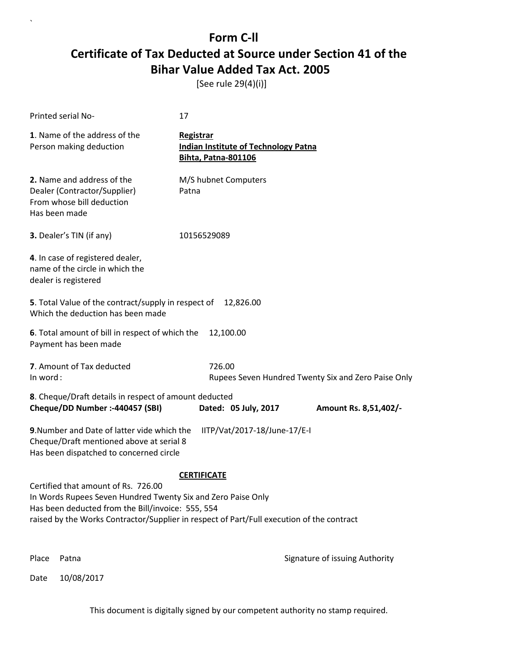[See rule 29(4)(i)]

`

| Printed serial No-                                                                                                                                                                                                                                    | 17                                                                                     |                                |  |  |
|-------------------------------------------------------------------------------------------------------------------------------------------------------------------------------------------------------------------------------------------------------|----------------------------------------------------------------------------------------|--------------------------------|--|--|
| 1. Name of the address of the<br>Person making deduction                                                                                                                                                                                              | Registrar<br><b>Indian Institute of Technology Patna</b><br><b>Bihta, Patna-801106</b> |                                |  |  |
| 2. Name and address of the<br>Dealer (Contractor/Supplier)<br>From whose bill deduction<br>Has been made                                                                                                                                              | M/S hubnet Computers<br>Patna                                                          |                                |  |  |
| 3. Dealer's TIN (if any)                                                                                                                                                                                                                              | 10156529089                                                                            |                                |  |  |
| 4. In case of registered dealer,<br>name of the circle in which the<br>dealer is registered                                                                                                                                                           |                                                                                        |                                |  |  |
| <b>5</b> . Total Value of the contract/supply in respect of<br>Which the deduction has been made                                                                                                                                                      | 12,826.00                                                                              |                                |  |  |
| 6. Total amount of bill in respect of which the<br>Payment has been made                                                                                                                                                                              | 12,100.00                                                                              |                                |  |  |
| 7. Amount of Tax deducted<br>726.00<br>In word:<br>Rupees Seven Hundred Twenty Six and Zero Paise Only                                                                                                                                                |                                                                                        |                                |  |  |
| 8. Cheque/Draft details in respect of amount deducted                                                                                                                                                                                                 |                                                                                        |                                |  |  |
| Cheque/DD Number :- 440457 (SBI)                                                                                                                                                                                                                      | Dated: 05 July, 2017                                                                   | Amount Rs. 8,51,402/-          |  |  |
| 9. Number and Date of latter vide which the<br>IITP/Vat/2017-18/June-17/E-I<br>Cheque/Draft mentioned above at serial 8<br>Has been dispatched to concerned circle                                                                                    |                                                                                        |                                |  |  |
| <b>CERTIFICATE</b>                                                                                                                                                                                                                                    |                                                                                        |                                |  |  |
| Certified that amount of Rs. 726.00<br>In Words Rupees Seven Hundred Twenty Six and Zero Paise Only<br>Has been deducted from the Bill/invoice: 555, 554<br>raised by the Works Contractor/Supplier in respect of Part/Full execution of the contract |                                                                                        |                                |  |  |
| Place<br>Patna                                                                                                                                                                                                                                        |                                                                                        | Signature of issuing Authority |  |  |
| 10/08/2017<br>Date                                                                                                                                                                                                                                    |                                                                                        |                                |  |  |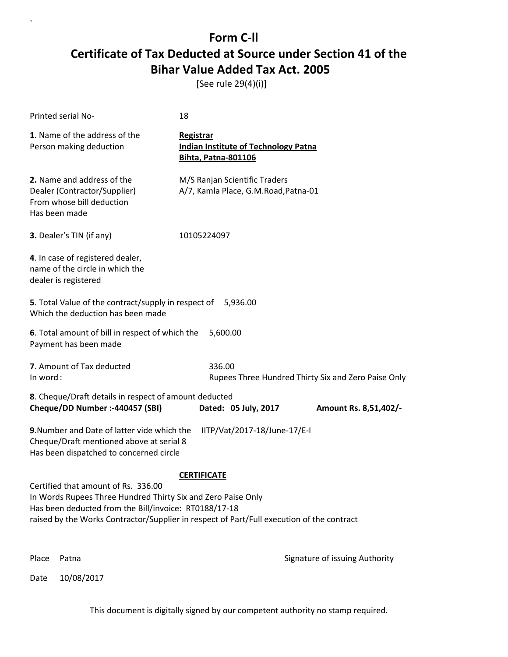[See rule 29(4)(i)]

| Printed serial No-                                                                                                                                                                                                                                                              | 18                                                                                            |  |  |
|---------------------------------------------------------------------------------------------------------------------------------------------------------------------------------------------------------------------------------------------------------------------------------|-----------------------------------------------------------------------------------------------|--|--|
| 1. Name of the address of the<br>Person making deduction                                                                                                                                                                                                                        | <b>Registrar</b><br><b>Indian Institute of Technology Patna</b><br><b>Bihta, Patna-801106</b> |  |  |
| 2. Name and address of the<br>Dealer (Contractor/Supplier)<br>From whose bill deduction<br>Has been made                                                                                                                                                                        | M/S Ranjan Scientific Traders<br>A/7, Kamla Place, G.M.Road, Patna-01                         |  |  |
| 3. Dealer's TIN (if any)                                                                                                                                                                                                                                                        | 10105224097                                                                                   |  |  |
| 4. In case of registered dealer,<br>name of the circle in which the<br>dealer is registered                                                                                                                                                                                     |                                                                                               |  |  |
| 5. Total Value of the contract/supply in respect of<br>Which the deduction has been made                                                                                                                                                                                        | 5,936.00                                                                                      |  |  |
| 6. Total amount of bill in respect of which the<br>Payment has been made                                                                                                                                                                                                        | 5,600.00                                                                                      |  |  |
| 7. Amount of Tax deducted<br>In word:                                                                                                                                                                                                                                           | 336.00<br>Rupees Three Hundred Thirty Six and Zero Paise Only                                 |  |  |
| 8. Cheque/Draft details in respect of amount deducted<br>Cheque/DD Number :- 440457 (SBI)                                                                                                                                                                                       | Dated: 05 July, 2017<br>Amount Rs. 8,51,402/-                                                 |  |  |
| 9. Number and Date of latter vide which the<br>IITP/Vat/2017-18/June-17/E-I<br>Cheque/Draft mentioned above at serial 8<br>Has been dispatched to concerned circle                                                                                                              |                                                                                               |  |  |
| <b>CERTIFICATE</b><br>Certified that amount of Rs. 336.00<br>In Words Rupees Three Hundred Thirty Six and Zero Paise Only<br>Has been deducted from the Bill/invoice: RT0188/17-18<br>raised by the Works Contractor/Supplier in respect of Part/Full execution of the contract |                                                                                               |  |  |
| Place<br>Patna                                                                                                                                                                                                                                                                  | Signature of issuing Authority                                                                |  |  |

Date 10/08/2017

`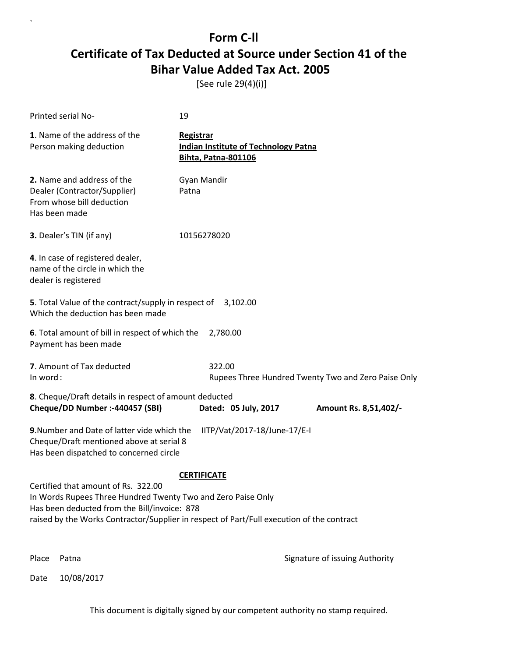[See rule 29(4)(i)]

| <b>Printed serial No-</b>                                                                                                                                                                                                                        | 19                                                                                            |                                                     |  |  |
|--------------------------------------------------------------------------------------------------------------------------------------------------------------------------------------------------------------------------------------------------|-----------------------------------------------------------------------------------------------|-----------------------------------------------------|--|--|
| 1. Name of the address of the<br>Person making deduction                                                                                                                                                                                         | <b>Registrar</b><br><b>Indian Institute of Technology Patna</b><br><b>Bihta, Patna-801106</b> |                                                     |  |  |
| 2. Name and address of the<br>Dealer (Contractor/Supplier)<br>From whose bill deduction<br>Has been made                                                                                                                                         | Gyan Mandir<br>Patna                                                                          |                                                     |  |  |
| 3. Dealer's TIN (if any)                                                                                                                                                                                                                         | 10156278020                                                                                   |                                                     |  |  |
| 4. In case of registered dealer,<br>name of the circle in which the<br>dealer is registered                                                                                                                                                      |                                                                                               |                                                     |  |  |
| 5. Total Value of the contract/supply in respect of<br>Which the deduction has been made                                                                                                                                                         | 3,102.00                                                                                      |                                                     |  |  |
| 6. Total amount of bill in respect of which the<br>Payment has been made                                                                                                                                                                         | 2,780.00                                                                                      |                                                     |  |  |
| 7. Amount of Tax deducted<br>In word:                                                                                                                                                                                                            | 322.00                                                                                        | Rupees Three Hundred Twenty Two and Zero Paise Only |  |  |
| 8. Cheque/Draft details in respect of amount deducted<br>Cheque/DD Number :- 440457 (SBI)                                                                                                                                                        | Dated: 05 July, 2017                                                                          | Amount Rs. 8,51,402/-                               |  |  |
| 9. Number and Date of latter vide which the<br>IITP/Vat/2017-18/June-17/E-I<br>Cheque/Draft mentioned above at serial 8<br>Has been dispatched to concerned circle                                                                               |                                                                                               |                                                     |  |  |
|                                                                                                                                                                                                                                                  | <b>CERTIFICATE</b>                                                                            |                                                     |  |  |
| Certified that amount of Rs. 322.00<br>In Words Rupees Three Hundred Twenty Two and Zero Paise Only<br>Has been deducted from the Bill/invoice: 878<br>raised by the Works Contractor/Supplier in respect of Part/Full execution of the contract |                                                                                               |                                                     |  |  |
| Place<br>Patna                                                                                                                                                                                                                                   |                                                                                               | Signature of issuing Authority                      |  |  |

Date 10/08/2017

`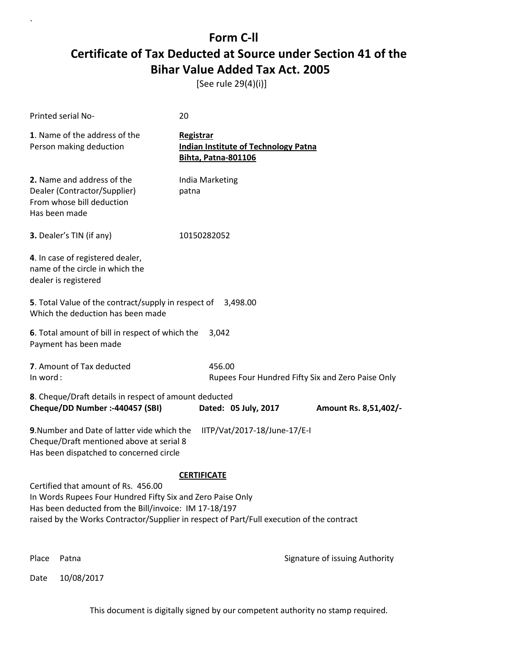[See rule 29(4)(i)]

`

|                                                                                                                                                                                                                                                                               | Printed serial No-                                                                                                                 | 20                                                                                     |                                                   |
|-------------------------------------------------------------------------------------------------------------------------------------------------------------------------------------------------------------------------------------------------------------------------------|------------------------------------------------------------------------------------------------------------------------------------|----------------------------------------------------------------------------------------|---------------------------------------------------|
|                                                                                                                                                                                                                                                                               | 1. Name of the address of the<br>Person making deduction                                                                           | Registrar<br><b>Indian Institute of Technology Patna</b><br><b>Bihta, Patna-801106</b> |                                                   |
|                                                                                                                                                                                                                                                                               | 2. Name and address of the<br>Dealer (Contractor/Supplier)<br>From whose bill deduction<br>Has been made                           | India Marketing<br>patna                                                               |                                                   |
|                                                                                                                                                                                                                                                                               | 3. Dealer's TIN (if any)                                                                                                           | 10150282052                                                                            |                                                   |
|                                                                                                                                                                                                                                                                               | 4. In case of registered dealer,<br>name of the circle in which the<br>dealer is registered                                        |                                                                                        |                                                   |
|                                                                                                                                                                                                                                                                               | 5. Total Value of the contract/supply in respect of<br>Which the deduction has been made                                           | 3,498.00                                                                               |                                                   |
|                                                                                                                                                                                                                                                                               | 6. Total amount of bill in respect of which the<br>Payment has been made                                                           | 3,042                                                                                  |                                                   |
| In word:                                                                                                                                                                                                                                                                      | 7. Amount of Tax deducted                                                                                                          | 456.00                                                                                 | Rupees Four Hundred Fifty Six and Zero Paise Only |
|                                                                                                                                                                                                                                                                               | 8. Cheque/Draft details in respect of amount deducted<br>Cheque/DD Number :- 440457 (SBI)                                          | Dated: 05 July, 2017                                                                   | Amount Rs. 8,51,402/-                             |
|                                                                                                                                                                                                                                                                               | 9. Number and Date of latter vide which the<br>Cheque/Draft mentioned above at serial 8<br>Has been dispatched to concerned circle | IITP/Vat/2017-18/June-17/E-I                                                           |                                                   |
| <b>CERTIFICATE</b><br>Certified that amount of Rs. 456.00<br>In Words Rupees Four Hundred Fifty Six and Zero Paise Only<br>Has been deducted from the Bill/invoice: IM 17-18/197<br>raised by the Works Contractor/Supplier in respect of Part/Full execution of the contract |                                                                                                                                    |                                                                                        |                                                   |
| Place                                                                                                                                                                                                                                                                         | Patna                                                                                                                              |                                                                                        | Signature of issuing Authority                    |
| Date                                                                                                                                                                                                                                                                          | 10/08/2017                                                                                                                         |                                                                                        |                                                   |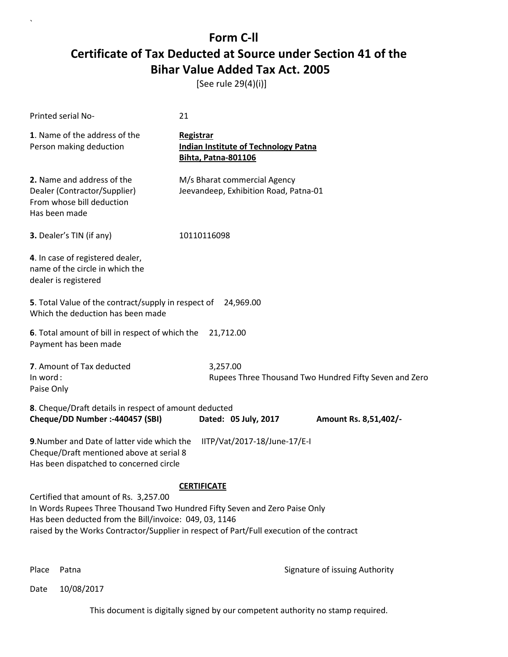[See rule 29(4)(i)]

| Printed serial No-                                                                                                                                                                                                                                                                               | 21                                                                                            |  |  |
|--------------------------------------------------------------------------------------------------------------------------------------------------------------------------------------------------------------------------------------------------------------------------------------------------|-----------------------------------------------------------------------------------------------|--|--|
| 1. Name of the address of the<br>Person making deduction                                                                                                                                                                                                                                         | <b>Registrar</b><br><b>Indian Institute of Technology Patna</b><br><b>Bihta, Patna-801106</b> |  |  |
| 2. Name and address of the<br>Dealer (Contractor/Supplier)<br>From whose bill deduction<br>Has been made                                                                                                                                                                                         | M/s Bharat commercial Agency<br>Jeevandeep, Exhibition Road, Patna-01                         |  |  |
| 3. Dealer's TIN (if any)                                                                                                                                                                                                                                                                         | 10110116098                                                                                   |  |  |
| 4. In case of registered dealer,<br>name of the circle in which the<br>dealer is registered                                                                                                                                                                                                      |                                                                                               |  |  |
| 5. Total Value of the contract/supply in respect of<br>Which the deduction has been made                                                                                                                                                                                                         | 24,969.00                                                                                     |  |  |
| 6. Total amount of bill in respect of which the<br>Payment has been made                                                                                                                                                                                                                         | 21,712.00                                                                                     |  |  |
| 7. Amount of Tax deducted<br>In word:<br>Paise Only                                                                                                                                                                                                                                              | 3,257.00<br>Rupees Three Thousand Two Hundred Fifty Seven and Zero                            |  |  |
| 8. Cheque/Draft details in respect of amount deducted<br>Cheque/DD Number :- 440457 (SBI)                                                                                                                                                                                                        | Dated: 05 July, 2017<br>Amount Rs. 8,51,402/-                                                 |  |  |
| 9. Number and Date of latter vide which the<br>IITP/Vat/2017-18/June-17/E-I<br>Cheque/Draft mentioned above at serial 8<br>Has been dispatched to concerned circle                                                                                                                               |                                                                                               |  |  |
| <b>CERTIFICATE</b><br>Certified that amount of Rs. 3,257.00<br>In Words Rupees Three Thousand Two Hundred Fifty Seven and Zero Paise Only<br>Has been deducted from the Bill/invoice: 049, 03, 1146<br>raised by the Works Contractor/Supplier in respect of Part/Full execution of the contract |                                                                                               |  |  |

`

Place Patna **Property** Place Patna Signature of issuing Authority

Date 10/08/2017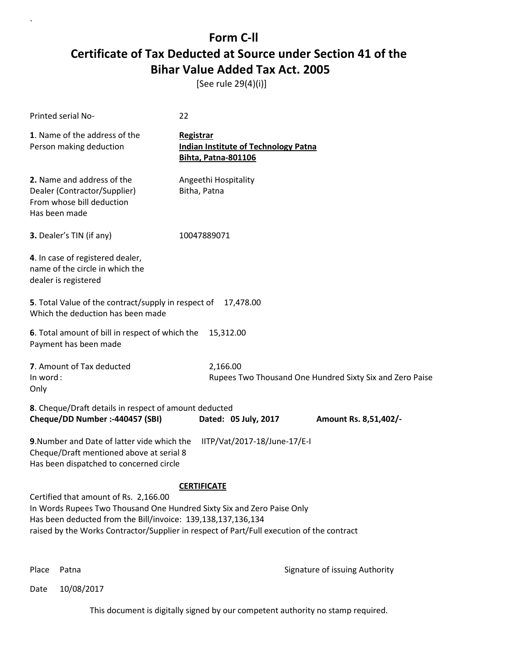[See rule 29(4)(i)]

| Printed serial No-                                                                                                                                                                                                                                                           | 22                                                                                     |                      |                                                          |  |
|------------------------------------------------------------------------------------------------------------------------------------------------------------------------------------------------------------------------------------------------------------------------------|----------------------------------------------------------------------------------------|----------------------|----------------------------------------------------------|--|
| 1. Name of the address of the<br>Person making deduction                                                                                                                                                                                                                     | Registrar<br><b>Indian Institute of Technology Patna</b><br><b>Bihta, Patna-801106</b> |                      |                                                          |  |
| 2. Name and address of the<br>Dealer (Contractor/Supplier)<br>From whose bill deduction<br>Has been made                                                                                                                                                                     | Angeethi Hospitality<br>Bitha, Patna                                                   |                      |                                                          |  |
| 3. Dealer's TIN (if any)                                                                                                                                                                                                                                                     | 10047889071                                                                            |                      |                                                          |  |
| 4. In case of registered dealer,<br>name of the circle in which the<br>dealer is registered                                                                                                                                                                                  |                                                                                        |                      |                                                          |  |
| 5. Total Value of the contract/supply in respect of<br>Which the deduction has been made                                                                                                                                                                                     |                                                                                        | 17,478.00            |                                                          |  |
| 6. Total amount of bill in respect of which the<br>Payment has been made                                                                                                                                                                                                     |                                                                                        | 15,312.00            |                                                          |  |
| 7. Amount of Tax deducted<br>In word:<br>Only                                                                                                                                                                                                                                | 2,166.00                                                                               |                      | Rupees Two Thousand One Hundred Sixty Six and Zero Paise |  |
| 8. Cheque/Draft details in respect of amount deducted<br>Cheque/DD Number :- 440457 (SBI)                                                                                                                                                                                    |                                                                                        | Dated: 05 July, 2017 | Amount Rs. 8,51,402/-                                    |  |
| 9. Number and Date of latter vide which the<br>IITP/Vat/2017-18/June-17/E-I<br>Cheque/Draft mentioned above at serial 8<br>Has been dispatched to concerned circle                                                                                                           |                                                                                        |                      |                                                          |  |
| <b>CERTIFICATE</b>                                                                                                                                                                                                                                                           |                                                                                        |                      |                                                          |  |
| Certified that amount of Rs. 2,166.00<br>In Words Rupees Two Thousand One Hundred Sixty Six and Zero Paise Only<br>Has been deducted from the Bill/invoice: 139,138,137,136,134<br>raised by the Works Contractor/Supplier in respect of Part/Full execution of the contract |                                                                                        |                      |                                                          |  |
|                                                                                                                                                                                                                                                                              |                                                                                        |                      |                                                          |  |

`

Place Patna **Property** Place Patna Signature of issuing Authority

Date 10/08/2017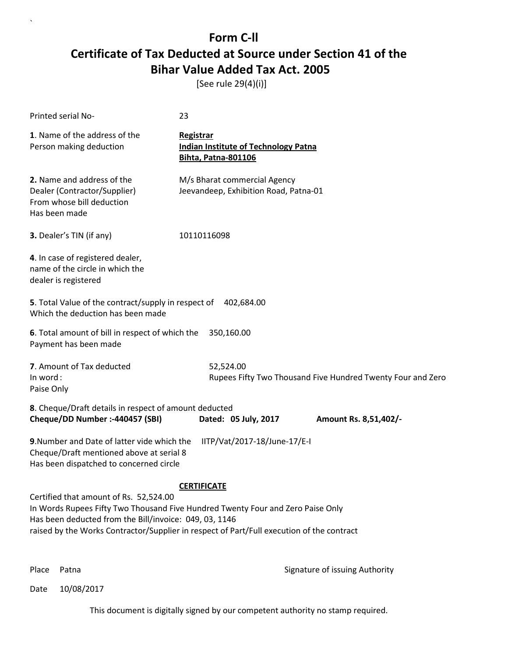[See rule 29(4)(i)]

| Printed serial No-                                                                                                                                                                                                                                                                                     | 23                                                                                            |  |  |
|--------------------------------------------------------------------------------------------------------------------------------------------------------------------------------------------------------------------------------------------------------------------------------------------------------|-----------------------------------------------------------------------------------------------|--|--|
| 1. Name of the address of the<br>Person making deduction                                                                                                                                                                                                                                               | <b>Registrar</b><br><b>Indian Institute of Technology Patna</b><br><b>Bihta, Patna-801106</b> |  |  |
| 2. Name and address of the<br>Dealer (Contractor/Supplier)<br>From whose bill deduction<br>Has been made                                                                                                                                                                                               | M/s Bharat commercial Agency<br>Jeevandeep, Exhibition Road, Patna-01                         |  |  |
| 3. Dealer's TIN (if any)                                                                                                                                                                                                                                                                               | 10110116098                                                                                   |  |  |
| 4. In case of registered dealer,<br>name of the circle in which the<br>dealer is registered                                                                                                                                                                                                            |                                                                                               |  |  |
| 5. Total Value of the contract/supply in respect of 402,684.00<br>Which the deduction has been made                                                                                                                                                                                                    |                                                                                               |  |  |
| 6. Total amount of bill in respect of which the<br>Payment has been made                                                                                                                                                                                                                               | 350,160.00                                                                                    |  |  |
| 7. Amount of Tax deducted<br>In word:<br>Paise Only                                                                                                                                                                                                                                                    | 52,524.00<br>Rupees Fifty Two Thousand Five Hundred Twenty Four and Zero                      |  |  |
| 8. Cheque/Draft details in respect of amount deducted<br>Cheque/DD Number :- 440457 (SBI)                                                                                                                                                                                                              | Dated: 05 July, 2017<br>Amount Rs. 8,51,402/-                                                 |  |  |
| 9. Number and Date of latter vide which the<br>IITP/Vat/2017-18/June-17/E-I<br>Cheque/Draft mentioned above at serial 8<br>Has been dispatched to concerned circle                                                                                                                                     |                                                                                               |  |  |
| <b>CERTIFICATE</b><br>Certified that amount of Rs. 52,524.00<br>In Words Rupees Fifty Two Thousand Five Hundred Twenty Four and Zero Paise Only<br>Has been deducted from the Bill/invoice: 049, 03, 1146<br>raised by the Works Contractor/Supplier in respect of Part/Full execution of the contract |                                                                                               |  |  |

`

Place Patna **Property** Place Patna Signature of issuing Authority

Date 10/08/2017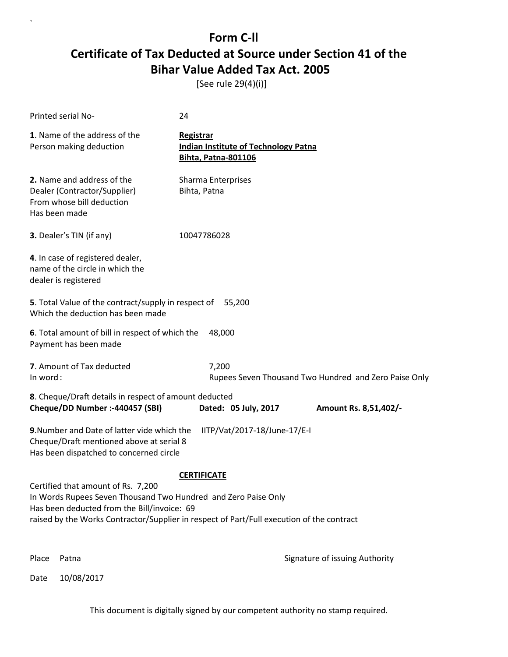[See rule 29(4)(i)]

`

|                                                                                                                                                                                                                                                                        | Printed serial No-                                                                                                                                                 | 24                                                                                     |                                |  |
|------------------------------------------------------------------------------------------------------------------------------------------------------------------------------------------------------------------------------------------------------------------------|--------------------------------------------------------------------------------------------------------------------------------------------------------------------|----------------------------------------------------------------------------------------|--------------------------------|--|
|                                                                                                                                                                                                                                                                        | 1. Name of the address of the<br>Person making deduction                                                                                                           | Registrar<br><b>Indian Institute of Technology Patna</b><br><b>Bihta, Patna-801106</b> |                                |  |
|                                                                                                                                                                                                                                                                        | 2. Name and address of the<br>Dealer (Contractor/Supplier)<br>From whose bill deduction<br>Has been made                                                           | Sharma Enterprises<br>Bihta, Patna                                                     |                                |  |
|                                                                                                                                                                                                                                                                        | 3. Dealer's TIN (if any)                                                                                                                                           | 10047786028                                                                            |                                |  |
|                                                                                                                                                                                                                                                                        | 4. In case of registered dealer,<br>name of the circle in which the<br>dealer is registered                                                                        |                                                                                        |                                |  |
|                                                                                                                                                                                                                                                                        | 5. Total Value of the contract/supply in respect of<br>Which the deduction has been made                                                                           | 55,200                                                                                 |                                |  |
|                                                                                                                                                                                                                                                                        | 6. Total amount of bill in respect of which the<br>Payment has been made                                                                                           | 48,000                                                                                 |                                |  |
|                                                                                                                                                                                                                                                                        | 7. Amount of Tax deducted<br>7,200<br>In word:<br>Rupees Seven Thousand Two Hundred and Zero Paise Only                                                            |                                                                                        |                                |  |
|                                                                                                                                                                                                                                                                        | 8. Cheque/Draft details in respect of amount deducted<br>Cheque/DD Number :- 440457 (SBI)                                                                          | Dated: 05 July, 2017                                                                   | Amount Rs. 8,51,402/-          |  |
|                                                                                                                                                                                                                                                                        | 9. Number and Date of latter vide which the<br>IITP/Vat/2017-18/June-17/E-I<br>Cheque/Draft mentioned above at serial 8<br>Has been dispatched to concerned circle |                                                                                        |                                |  |
| <b>CERTIFICATE</b><br>Certified that amount of Rs. 7,200<br>In Words Rupees Seven Thousand Two Hundred and Zero Paise Only<br>Has been deducted from the Bill/invoice: 69<br>raised by the Works Contractor/Supplier in respect of Part/Full execution of the contract |                                                                                                                                                                    |                                                                                        |                                |  |
| Place                                                                                                                                                                                                                                                                  | Patna                                                                                                                                                              |                                                                                        | Signature of issuing Authority |  |
| Date                                                                                                                                                                                                                                                                   | 10/08/2017                                                                                                                                                         |                                                                                        |                                |  |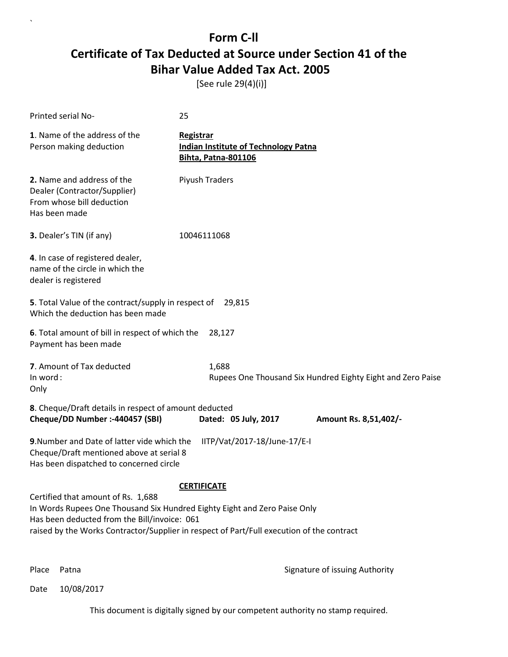[See rule 29(4)(i)]

| Printed serial No-                                                                                                                                                                                                                                                                 | 25                                                                                     |  |
|------------------------------------------------------------------------------------------------------------------------------------------------------------------------------------------------------------------------------------------------------------------------------------|----------------------------------------------------------------------------------------|--|
| 1. Name of the address of the<br>Person making deduction                                                                                                                                                                                                                           | Registrar<br><b>Indian Institute of Technology Patna</b><br><b>Bihta, Patna-801106</b> |  |
| 2. Name and address of the<br>Dealer (Contractor/Supplier)<br>From whose bill deduction<br>Has been made                                                                                                                                                                           | Piyush Traders                                                                         |  |
| 3. Dealer's TIN (if any)                                                                                                                                                                                                                                                           | 10046111068                                                                            |  |
| 4. In case of registered dealer,<br>name of the circle in which the<br>dealer is registered                                                                                                                                                                                        |                                                                                        |  |
| 5. Total Value of the contract/supply in respect of<br>Which the deduction has been made                                                                                                                                                                                           | 29,815                                                                                 |  |
| 6. Total amount of bill in respect of which the<br>Payment has been made                                                                                                                                                                                                           | 28,127                                                                                 |  |
| 7. Amount of Tax deducted<br>In word:<br>Only                                                                                                                                                                                                                                      | 1,688<br>Rupees One Thousand Six Hundred Eighty Eight and Zero Paise                   |  |
| 8. Cheque/Draft details in respect of amount deducted<br>Cheque/DD Number :- 440457 (SBI)                                                                                                                                                                                          | Dated: 05 July, 2017<br>Amount Rs. 8,51,402/-                                          |  |
| 9. Number and Date of latter vide which the<br>Cheque/Draft mentioned above at serial 8<br>Has been dispatched to concerned circle                                                                                                                                                 | IITP/Vat/2017-18/June-17/E-I                                                           |  |
| <b>CERTIFICATE</b><br>Certified that amount of Rs. 1,688<br>In Words Rupees One Thousand Six Hundred Eighty Eight and Zero Paise Only<br>Has been deducted from the Bill/invoice: 061<br>raised by the Works Contractor/Supplier in respect of Part/Full execution of the contract |                                                                                        |  |

`

Place Patna **Property** Place Patna Signature of issuing Authority

Date 10/08/2017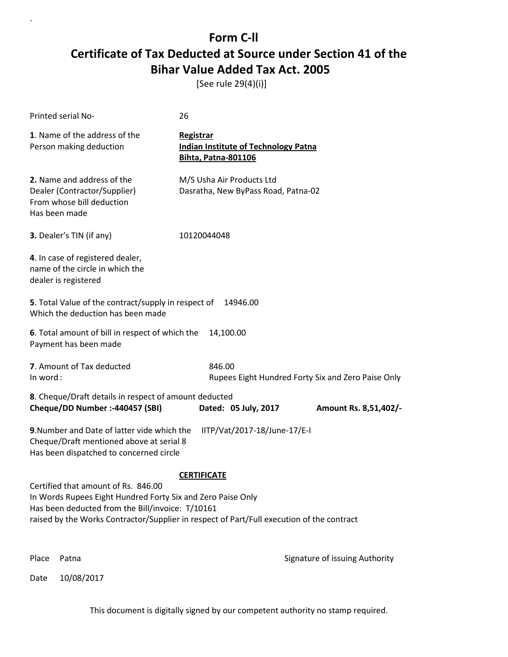[See rule 29(4)(i)]

| Printed serial No-                                                                                                                                                                                                                                                        | 26                                                                                            |  |
|---------------------------------------------------------------------------------------------------------------------------------------------------------------------------------------------------------------------------------------------------------------------------|-----------------------------------------------------------------------------------------------|--|
| 1. Name of the address of the<br>Person making deduction                                                                                                                                                                                                                  | <b>Registrar</b><br><b>Indian Institute of Technology Patna</b><br><b>Bihta, Patna-801106</b> |  |
| 2. Name and address of the<br>Dealer (Contractor/Supplier)<br>From whose bill deduction<br>Has been made                                                                                                                                                                  | M/S Usha Air Products Ltd<br>Dasratha, New ByPass Road, Patna-02                              |  |
| 3. Dealer's TIN (if any)                                                                                                                                                                                                                                                  | 10120044048                                                                                   |  |
| 4. In case of registered dealer,<br>name of the circle in which the<br>dealer is registered                                                                                                                                                                               |                                                                                               |  |
| 5. Total Value of the contract/supply in respect of<br>Which the deduction has been made                                                                                                                                                                                  | 14946.00                                                                                      |  |
| 6. Total amount of bill in respect of which the<br>Payment has been made                                                                                                                                                                                                  | 14,100.00                                                                                     |  |
| 7. Amount of Tax deducted<br>In word:                                                                                                                                                                                                                                     | 846.00<br>Rupees Eight Hundred Forty Six and Zero Paise Only                                  |  |
| 8. Cheque/Draft details in respect of amount deducted<br>Cheque/DD Number :- 440457 (SBI)                                                                                                                                                                                 | Dated: 05 July, 2017<br>Amount Rs. 8,51,402/-                                                 |  |
| 9. Number and Date of latter vide which the<br>IITP/Vat/2017-18/June-17/E-I<br>Cheque/Draft mentioned above at serial 8<br>Has been dispatched to concerned circle                                                                                                        |                                                                                               |  |
| <b>CERTIFICATE</b><br>Certified that amount of Rs. 846.00<br>In Words Rupees Eight Hundred Forty Six and Zero Paise Only<br>Has been deducted from the Bill/invoice: T/10161<br>raised by the Works Contractor/Supplier in respect of Part/Full execution of the contract |                                                                                               |  |
| Place<br>Patna                                                                                                                                                                                                                                                            | Signature of issuing Authority                                                                |  |

Date 10/08/2017

`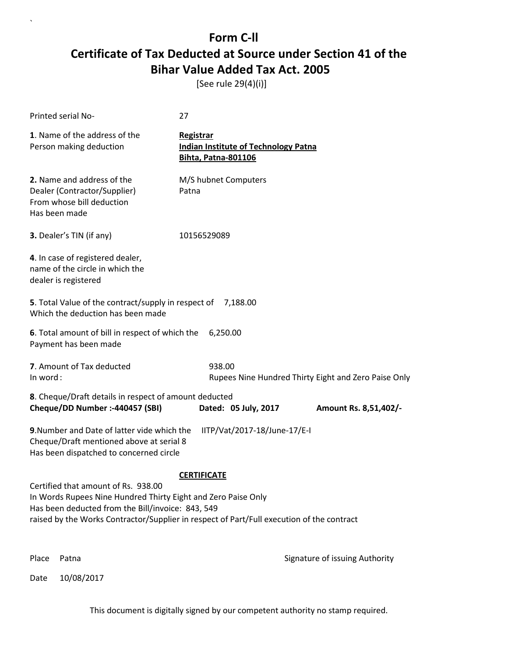[See rule 29(4)(i)]

| <b>Printed serial No-</b>                                                                                                                                                                                                                                                    | 27                                                                                     |  |  |
|------------------------------------------------------------------------------------------------------------------------------------------------------------------------------------------------------------------------------------------------------------------------------|----------------------------------------------------------------------------------------|--|--|
| 1. Name of the address of the<br>Person making deduction                                                                                                                                                                                                                     | Registrar<br><b>Indian Institute of Technology Patna</b><br><b>Bihta, Patna-801106</b> |  |  |
| 2. Name and address of the<br>Dealer (Contractor/Supplier)<br>From whose bill deduction<br>Has been made                                                                                                                                                                     | M/S hubnet Computers<br>Patna                                                          |  |  |
| 3. Dealer's TIN (if any)                                                                                                                                                                                                                                                     | 10156529089                                                                            |  |  |
| 4. In case of registered dealer,<br>name of the circle in which the<br>dealer is registered                                                                                                                                                                                  |                                                                                        |  |  |
| 5. Total Value of the contract/supply in respect of<br>7,188.00<br>Which the deduction has been made                                                                                                                                                                         |                                                                                        |  |  |
| 6. Total amount of bill in respect of which the<br>Payment has been made                                                                                                                                                                                                     | 6,250.00                                                                               |  |  |
| 7. Amount of Tax deducted<br>In word:                                                                                                                                                                                                                                        | 938.00<br>Rupees Nine Hundred Thirty Eight and Zero Paise Only                         |  |  |
| 8. Cheque/Draft details in respect of amount deducted<br>Cheque/DD Number :- 440457 (SBI)                                                                                                                                                                                    | Dated: 05 July, 2017<br>Amount Rs. 8,51,402/-                                          |  |  |
| 9. Number and Date of latter vide which the<br>IITP/Vat/2017-18/June-17/E-I<br>Cheque/Draft mentioned above at serial 8<br>Has been dispatched to concerned circle                                                                                                           |                                                                                        |  |  |
| <b>CERTIFICATE</b><br>Certified that amount of Rs. 938.00<br>In Words Rupees Nine Hundred Thirty Eight and Zero Paise Only<br>Has been deducted from the Bill/invoice: 843, 549<br>raised by the Works Contractor/Supplier in respect of Part/Full execution of the contract |                                                                                        |  |  |
| Place<br>Patna                                                                                                                                                                                                                                                               | Signature of issuing Authority                                                         |  |  |

Date 10/08/2017

`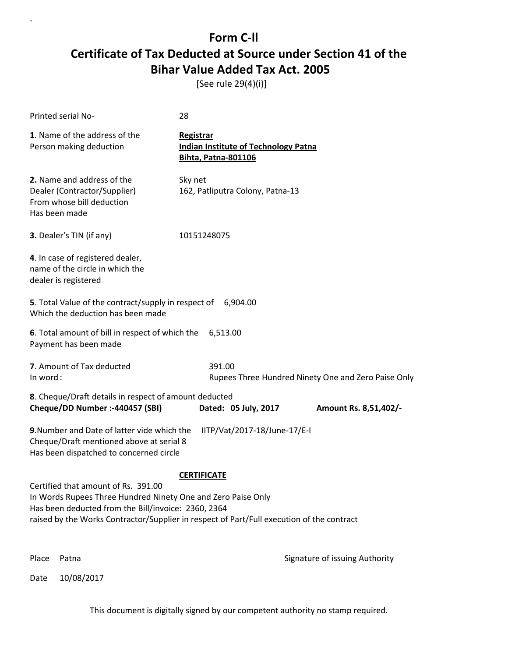[See rule 29(4)(i)]

| <b>Printed serial No-</b>                                                                                                                                          | 28                                                                                            |  |  |
|--------------------------------------------------------------------------------------------------------------------------------------------------------------------|-----------------------------------------------------------------------------------------------|--|--|
| 1. Name of the address of the<br>Person making deduction                                                                                                           | <b>Registrar</b><br><b>Indian Institute of Technology Patna</b><br><b>Bihta, Patna-801106</b> |  |  |
| 2. Name and address of the<br>Dealer (Contractor/Supplier)<br>From whose bill deduction<br>Has been made                                                           | Sky net<br>162, Patliputra Colony, Patna-13                                                   |  |  |
| 3. Dealer's TIN (if any)                                                                                                                                           | 10151248075                                                                                   |  |  |
| 4. In case of registered dealer,<br>name of the circle in which the<br>dealer is registered                                                                        |                                                                                               |  |  |
| 5. Total Value of the contract/supply in respect of<br>Which the deduction has been made                                                                           | 6,904.00                                                                                      |  |  |
| 6. Total amount of bill in respect of which the<br>Payment has been made                                                                                           | 6,513.00                                                                                      |  |  |
| 7. Amount of Tax deducted<br>In word:                                                                                                                              | 391.00<br>Rupees Three Hundred Ninety One and Zero Paise Only                                 |  |  |
| 8. Cheque/Draft details in respect of amount deducted<br>Cheque/DD Number :- 440457 (SBI)                                                                          | Dated: 05 July, 2017<br>Amount Rs. 8,51,402/-                                                 |  |  |
| 9. Number and Date of latter vide which the<br>IITP/Vat/2017-18/June-17/E-I<br>Cheque/Draft mentioned above at serial 8<br>Has been dispatched to concerned circle |                                                                                               |  |  |
| <b>CERTIFICATE</b>                                                                                                                                                 |                                                                                               |  |  |
| Certified that amount of Rs. 391.00<br>In Words Rupees Three Hundred Ninety One and Zero Paise Only<br>Has been deducted from the Bill/invoice: 2360, 2364         | raised by the Works Contractor/Supplier in respect of Part/Full execution of the contract     |  |  |
| Place<br>Patna                                                                                                                                                     | Signature of issuing Authority                                                                |  |  |

Date 10/08/2017

`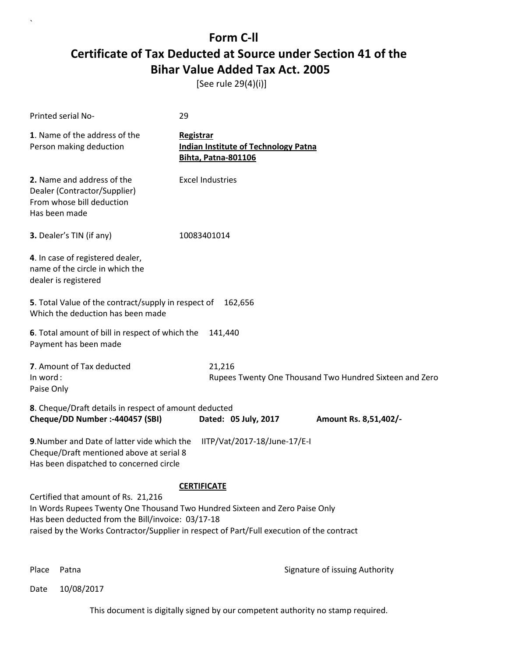[See rule 29(4)(i)]

| <b>Printed serial No-</b>                                                                                                                                                                                                                                                                  | 29                                                                                            |  |
|--------------------------------------------------------------------------------------------------------------------------------------------------------------------------------------------------------------------------------------------------------------------------------------------|-----------------------------------------------------------------------------------------------|--|
| 1. Name of the address of the<br>Person making deduction                                                                                                                                                                                                                                   | <b>Registrar</b><br><b>Indian Institute of Technology Patna</b><br><b>Bihta, Patna-801106</b> |  |
| 2. Name and address of the<br>Dealer (Contractor/Supplier)<br>From whose bill deduction<br>Has been made                                                                                                                                                                                   | <b>Excel Industries</b>                                                                       |  |
| 3. Dealer's TIN (if any)                                                                                                                                                                                                                                                                   | 10083401014                                                                                   |  |
| 4. In case of registered dealer,<br>name of the circle in which the<br>dealer is registered                                                                                                                                                                                                |                                                                                               |  |
| 5. Total Value of the contract/supply in respect of<br>Which the deduction has been made                                                                                                                                                                                                   | 162,656                                                                                       |  |
| 6. Total amount of bill in respect of which the<br>Payment has been made                                                                                                                                                                                                                   | 141,440                                                                                       |  |
| 7. Amount of Tax deducted<br>In word:<br>Paise Only                                                                                                                                                                                                                                        | 21,216<br>Rupees Twenty One Thousand Two Hundred Sixteen and Zero                             |  |
| 8. Cheque/Draft details in respect of amount deducted<br>Cheque/DD Number :- 440457 (SBI)                                                                                                                                                                                                  | Dated: 05 July, 2017<br>Amount Rs. 8,51,402/-                                                 |  |
| 9. Number and Date of latter vide which the<br>Cheque/Draft mentioned above at serial 8<br>Has been dispatched to concerned circle                                                                                                                                                         | IITP/Vat/2017-18/June-17/E-I                                                                  |  |
| <b>CERTIFICATE</b><br>Certified that amount of Rs. 21,216<br>In Words Rupees Twenty One Thousand Two Hundred Sixteen and Zero Paise Only<br>Has been deducted from the Bill/invoice: 03/17-18<br>raised by the Works Contractor/Supplier in respect of Part/Full execution of the contract |                                                                                               |  |

`

Place Patna **Property** Place Patna Signature of issuing Authority

Date 10/08/2017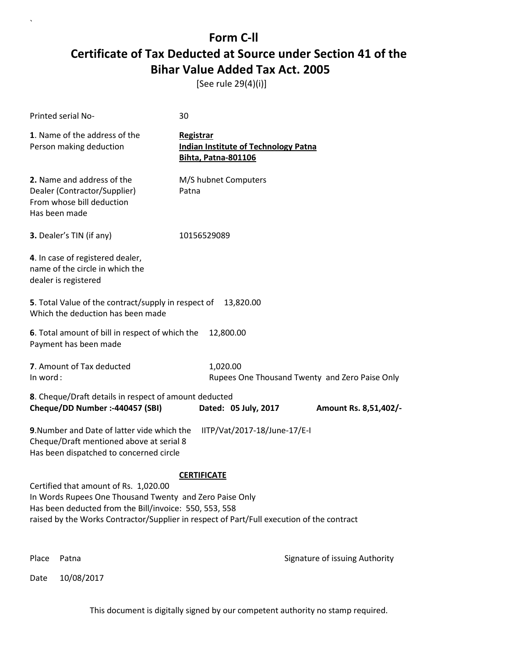[See rule 29(4)(i)]

`

|          | Printed serial No-                                                                                                                                                                                                                                      | 30                                                                                     |                                                |
|----------|---------------------------------------------------------------------------------------------------------------------------------------------------------------------------------------------------------------------------------------------------------|----------------------------------------------------------------------------------------|------------------------------------------------|
|          | 1. Name of the address of the<br>Person making deduction                                                                                                                                                                                                | Registrar<br><b>Indian Institute of Technology Patna</b><br><b>Bihta, Patna-801106</b> |                                                |
|          | 2. Name and address of the<br>Dealer (Contractor/Supplier)<br>From whose bill deduction<br>Has been made                                                                                                                                                | M/S hubnet Computers<br>Patna                                                          |                                                |
|          | 3. Dealer's TIN (if any)                                                                                                                                                                                                                                | 10156529089                                                                            |                                                |
|          | 4. In case of registered dealer,<br>name of the circle in which the<br>dealer is registered                                                                                                                                                             |                                                                                        |                                                |
|          | 5. Total Value of the contract/supply in respect of<br>Which the deduction has been made                                                                                                                                                                | 13,820.00                                                                              |                                                |
|          | 6. Total amount of bill in respect of which the<br>Payment has been made                                                                                                                                                                                | 12,800.00                                                                              |                                                |
| In word: | 7. Amount of Tax deducted                                                                                                                                                                                                                               | 1,020.00                                                                               | Rupees One Thousand Twenty and Zero Paise Only |
|          | 8. Cheque/Draft details in respect of amount deducted<br>Cheque/DD Number :- 440457 (SBI)                                                                                                                                                               | Dated: 05 July, 2017                                                                   | Amount Rs. 8,51,402/-                          |
|          | 9. Number and Date of latter vide which the<br>Cheque/Draft mentioned above at serial 8<br>Has been dispatched to concerned circle                                                                                                                      | IITP/Vat/2017-18/June-17/E-I                                                           |                                                |
|          | Certified that amount of Rs. 1,020.00<br>In Words Rupees One Thousand Twenty and Zero Paise Only<br>Has been deducted from the Bill/invoice: 550, 553, 558<br>raised by the Works Contractor/Supplier in respect of Part/Full execution of the contract | <b>CERTIFICATE</b>                                                                     |                                                |
| Place    | Patna                                                                                                                                                                                                                                                   |                                                                                        | Signature of issuing Authority                 |
| Date     | 10/08/2017                                                                                                                                                                                                                                              |                                                                                        |                                                |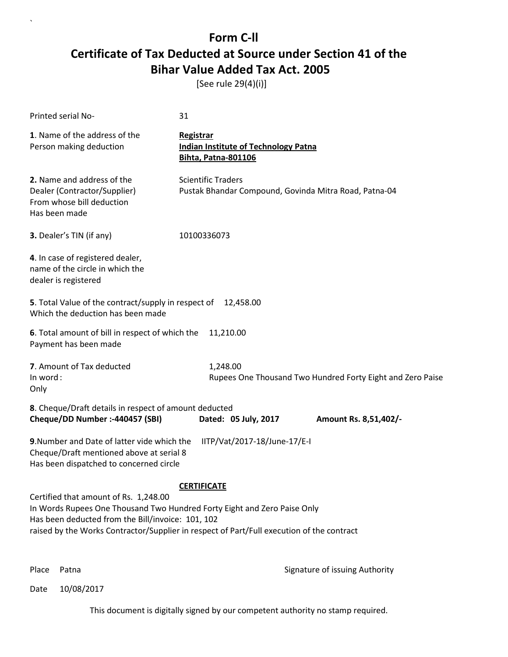[See rule 29(4)(i)]

| Printed serial No-                                                                                                                                                                                                                                                                        | 31                                                                                     |  |  |
|-------------------------------------------------------------------------------------------------------------------------------------------------------------------------------------------------------------------------------------------------------------------------------------------|----------------------------------------------------------------------------------------|--|--|
| 1. Name of the address of the<br>Person making deduction                                                                                                                                                                                                                                  | Registrar<br><b>Indian Institute of Technology Patna</b><br><b>Bihta, Patna-801106</b> |  |  |
| 2. Name and address of the<br>Dealer (Contractor/Supplier)<br>From whose bill deduction<br>Has been made                                                                                                                                                                                  | <b>Scientific Traders</b><br>Pustak Bhandar Compound, Govinda Mitra Road, Patna-04     |  |  |
| 3. Dealer's TIN (if any)                                                                                                                                                                                                                                                                  | 10100336073                                                                            |  |  |
| 4. In case of registered dealer,<br>name of the circle in which the<br>dealer is registered                                                                                                                                                                                               |                                                                                        |  |  |
| 5. Total Value of the contract/supply in respect of 12,458.00<br>Which the deduction has been made                                                                                                                                                                                        |                                                                                        |  |  |
| 6. Total amount of bill in respect of which the<br>Payment has been made                                                                                                                                                                                                                  | 11,210.00                                                                              |  |  |
| 7. Amount of Tax deducted<br>In word:<br>Only                                                                                                                                                                                                                                             | 1,248.00<br>Rupees One Thousand Two Hundred Forty Eight and Zero Paise                 |  |  |
| 8. Cheque/Draft details in respect of amount deducted<br>Cheque/DD Number :- 440457 (SBI)                                                                                                                                                                                                 | Dated: 05 July, 2017<br>Amount Rs. 8,51,402/-                                          |  |  |
| 9. Number and Date of latter vide which the<br>Cheque/Draft mentioned above at serial 8<br>Has been dispatched to concerned circle                                                                                                                                                        | IITP/Vat/2017-18/June-17/E-I                                                           |  |  |
| <b>CERTIFICATE</b><br>Certified that amount of Rs. 1,248.00<br>In Words Rupees One Thousand Two Hundred Forty Eight and Zero Paise Only<br>Has been deducted from the Bill/invoice: 101, 102<br>raised by the Works Contractor/Supplier in respect of Part/Full execution of the contract |                                                                                        |  |  |

`

Place Patna **Property** Place Patna Signature of issuing Authority

Date 10/08/2017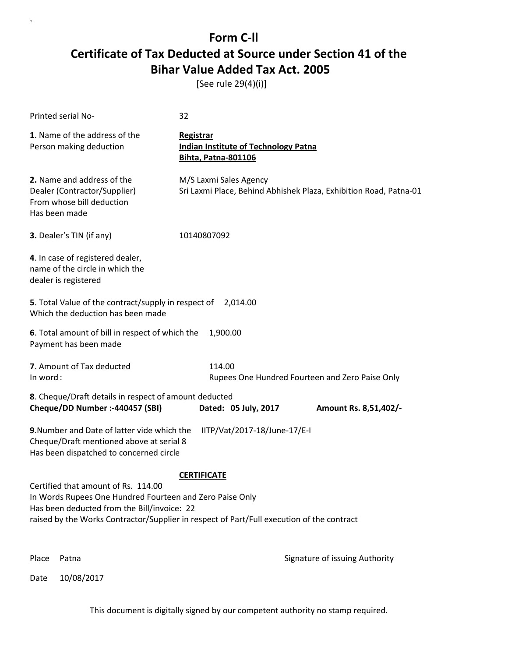[See rule 29(4)(i)]

| <b>Printed serial No-</b>                                                                                                                                                                                                                                         | 32                                                                                            |  |  |
|-------------------------------------------------------------------------------------------------------------------------------------------------------------------------------------------------------------------------------------------------------------------|-----------------------------------------------------------------------------------------------|--|--|
| 1. Name of the address of the<br>Person making deduction                                                                                                                                                                                                          | <b>Registrar</b><br><b>Indian Institute of Technology Patna</b><br><b>Bihta, Patna-801106</b> |  |  |
| 2. Name and address of the<br>Dealer (Contractor/Supplier)<br>From whose bill deduction<br>Has been made                                                                                                                                                          | M/S Laxmi Sales Agency<br>Sri Laxmi Place, Behind Abhishek Plaza, Exhibition Road, Patna-01   |  |  |
| 3. Dealer's TIN (if any)                                                                                                                                                                                                                                          | 10140807092                                                                                   |  |  |
| 4. In case of registered dealer,<br>name of the circle in which the<br>dealer is registered                                                                                                                                                                       |                                                                                               |  |  |
| 5. Total Value of the contract/supply in respect of 2,014.00<br>Which the deduction has been made                                                                                                                                                                 |                                                                                               |  |  |
| 6. Total amount of bill in respect of which the<br>Payment has been made                                                                                                                                                                                          | 1,900.00                                                                                      |  |  |
| 7. Amount of Tax deducted<br>In word:                                                                                                                                                                                                                             | 114.00<br>Rupees One Hundred Fourteen and Zero Paise Only                                     |  |  |
| 8. Cheque/Draft details in respect of amount deducted<br>Cheque/DD Number :- 440457 (SBI)                                                                                                                                                                         | Dated: 05 July, 2017<br>Amount Rs. 8,51,402/-                                                 |  |  |
| 9. Number and Date of latter vide which the<br>IITP/Vat/2017-18/June-17/E-I<br>Cheque/Draft mentioned above at serial 8<br>Has been dispatched to concerned circle                                                                                                |                                                                                               |  |  |
| <b>CERTIFICATE</b><br>Certified that amount of Rs. 114.00<br>In Words Rupees One Hundred Fourteen and Zero Paise Only<br>Has been deducted from the Bill/invoice: 22<br>raised by the Works Contractor/Supplier in respect of Part/Full execution of the contract |                                                                                               |  |  |
| Place<br>Patna                                                                                                                                                                                                                                                    | Signature of issuing Authority                                                                |  |  |

Date 10/08/2017

`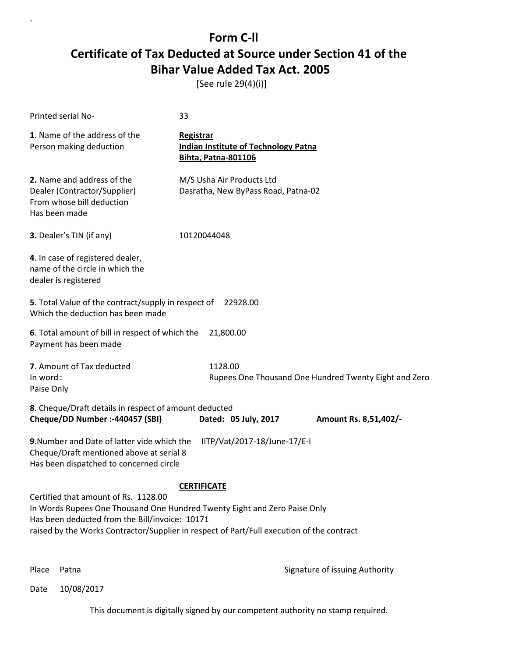[See rule 29(4)(i)]

| Printed serial No-                                                                                                                                                                                                                                                                     | 33                                                                                            |  |  |
|----------------------------------------------------------------------------------------------------------------------------------------------------------------------------------------------------------------------------------------------------------------------------------------|-----------------------------------------------------------------------------------------------|--|--|
| 1. Name of the address of the<br>Person making deduction                                                                                                                                                                                                                               | <b>Registrar</b><br><b>Indian Institute of Technology Patna</b><br><b>Bihta, Patna-801106</b> |  |  |
| 2. Name and address of the<br>Dealer (Contractor/Supplier)<br>From whose bill deduction<br>Has been made                                                                                                                                                                               | M/S Usha Air Products Ltd<br>Dasratha, New ByPass Road, Patna-02                              |  |  |
| 3. Dealer's TIN (if any)                                                                                                                                                                                                                                                               | 10120044048                                                                                   |  |  |
| 4. In case of registered dealer,<br>name of the circle in which the<br>dealer is registered                                                                                                                                                                                            |                                                                                               |  |  |
| 5. Total Value of the contract/supply in respect of<br>Which the deduction has been made                                                                                                                                                                                               | 22928.00                                                                                      |  |  |
| 6. Total amount of bill in respect of which the<br>Payment has been made                                                                                                                                                                                                               | 21,800.00                                                                                     |  |  |
| 7. Amount of Tax deducted<br>In word:<br>Paise Only                                                                                                                                                                                                                                    | 1128.00<br>Rupees One Thousand One Hundred Twenty Eight and Zero                              |  |  |
| 8. Cheque/Draft details in respect of amount deducted<br>Cheque/DD Number :- 440457 (SBI)                                                                                                                                                                                              | Dated: 05 July, 2017<br>Amount Rs. 8,51,402/-                                                 |  |  |
| 9. Number and Date of latter vide which the<br>IITP/Vat/2017-18/June-17/E-I<br>Cheque/Draft mentioned above at serial 8<br>Has been dispatched to concerned circle                                                                                                                     |                                                                                               |  |  |
| <b>CERTIFICATE</b><br>Certified that amount of Rs. 1128.00<br>In Words Rupees One Thousand One Hundred Twenty Eight and Zero Paise Only<br>Has been deducted from the Bill/invoice: 10171<br>raised by the Works Contractor/Supplier in respect of Part/Full execution of the contract |                                                                                               |  |  |

`

Place Patna **Property** Place Patna Signature of issuing Authority

Date 10/08/2017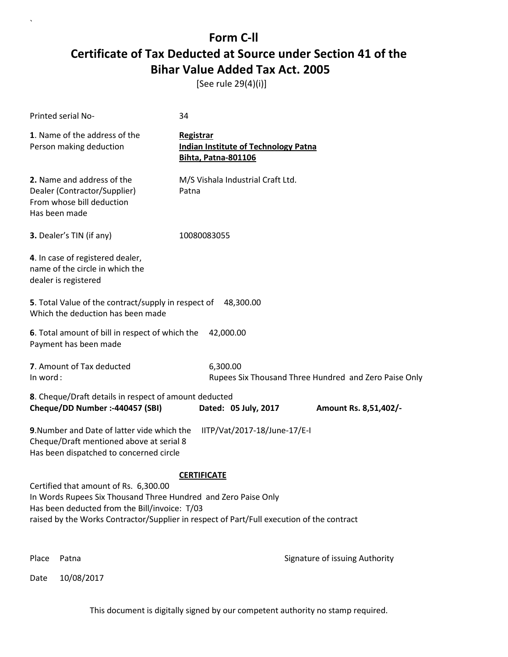[See rule 29(4)(i)]

| Printed serial No-                                                                                                                                                                                                                                                          | 34                                                                                            |                                |  |
|-----------------------------------------------------------------------------------------------------------------------------------------------------------------------------------------------------------------------------------------------------------------------------|-----------------------------------------------------------------------------------------------|--------------------------------|--|
| 1. Name of the address of the<br>Person making deduction                                                                                                                                                                                                                    | <b>Registrar</b><br><b>Indian Institute of Technology Patna</b><br><b>Bihta, Patna-801106</b> |                                |  |
| 2. Name and address of the<br>Dealer (Contractor/Supplier)<br>From whose bill deduction<br>Has been made                                                                                                                                                                    | M/S Vishala Industrial Craft Ltd.<br>Patna                                                    |                                |  |
| 3. Dealer's TIN (if any)                                                                                                                                                                                                                                                    | 10080083055                                                                                   |                                |  |
| 4. In case of registered dealer,<br>name of the circle in which the<br>dealer is registered                                                                                                                                                                                 |                                                                                               |                                |  |
| 5. Total Value of the contract/supply in respect of<br>Which the deduction has been made                                                                                                                                                                                    | 48,300.00                                                                                     |                                |  |
| 6. Total amount of bill in respect of which the<br>Payment has been made                                                                                                                                                                                                    | 42,000.00                                                                                     |                                |  |
| 7. Amount of Tax deducted<br>In word:                                                                                                                                                                                                                                       | 6,300.00<br>Rupees Six Thousand Three Hundred and Zero Paise Only                             |                                |  |
| 8. Cheque/Draft details in respect of amount deducted<br>Cheque/DD Number :- 440457 (SBI)                                                                                                                                                                                   | Dated: 05 July, 2017                                                                          | Amount Rs. 8,51,402/-          |  |
| 9. Number and Date of latter vide which the<br>IITP/Vat/2017-18/June-17/E-I<br>Cheque/Draft mentioned above at serial 8<br>Has been dispatched to concerned circle                                                                                                          |                                                                                               |                                |  |
| <b>CERTIFICATE</b><br>Certified that amount of Rs. 6,300.00<br>In Words Rupees Six Thousand Three Hundred and Zero Paise Only<br>Has been deducted from the Bill/invoice: T/03<br>raised by the Works Contractor/Supplier in respect of Part/Full execution of the contract |                                                                                               |                                |  |
| Place<br>Patna                                                                                                                                                                                                                                                              |                                                                                               | Signature of issuing Authority |  |

Date 10/08/2017

`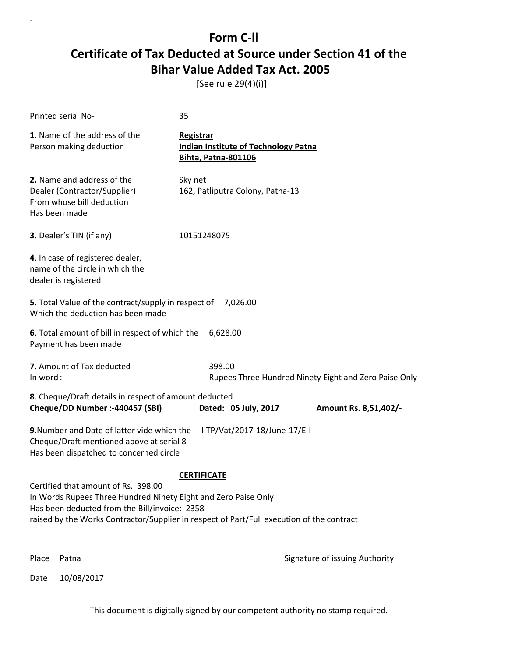[See rule 29(4)(i)]

| Printed serial No-                                                                                                                                                                                                                                  | 35                                                                                            |                                                       |  |
|-----------------------------------------------------------------------------------------------------------------------------------------------------------------------------------------------------------------------------------------------------|-----------------------------------------------------------------------------------------------|-------------------------------------------------------|--|
| 1. Name of the address of the<br>Person making deduction                                                                                                                                                                                            | <b>Registrar</b><br><b>Indian Institute of Technology Patna</b><br><b>Bihta, Patna-801106</b> |                                                       |  |
| 2. Name and address of the<br>Dealer (Contractor/Supplier)<br>From whose bill deduction<br>Has been made                                                                                                                                            | Sky net<br>162, Patliputra Colony, Patna-13                                                   |                                                       |  |
| 3. Dealer's TIN (if any)                                                                                                                                                                                                                            | 10151248075                                                                                   |                                                       |  |
| 4. In case of registered dealer,<br>name of the circle in which the<br>dealer is registered                                                                                                                                                         |                                                                                               |                                                       |  |
| 5. Total Value of the contract/supply in respect of 7,026.00<br>Which the deduction has been made                                                                                                                                                   |                                                                                               |                                                       |  |
| 6. Total amount of bill in respect of which the<br>Payment has been made                                                                                                                                                                            | 6,628.00                                                                                      |                                                       |  |
| 7. Amount of Tax deducted<br>In word:                                                                                                                                                                                                               | 398.00                                                                                        | Rupees Three Hundred Ninety Eight and Zero Paise Only |  |
| 8. Cheque/Draft details in respect of amount deducted<br>Cheque/DD Number :- 440457 (SBI)                                                                                                                                                           | Dated: 05 July, 2017                                                                          | Amount Rs. 8,51,402/-                                 |  |
| IITP/Vat/2017-18/June-17/E-I<br>9. Number and Date of latter vide which the<br>Cheque/Draft mentioned above at serial 8<br>Has been dispatched to concerned circle                                                                                  |                                                                                               |                                                       |  |
|                                                                                                                                                                                                                                                     | <b>CERTIFICATE</b>                                                                            |                                                       |  |
| Certified that amount of Rs. 398.00<br>In Words Rupees Three Hundred Ninety Eight and Zero Paise Only<br>Has been deducted from the Bill/invoice: 2358<br>raised by the Works Contractor/Supplier in respect of Part/Full execution of the contract |                                                                                               |                                                       |  |
| Place<br>Patna                                                                                                                                                                                                                                      |                                                                                               | Signature of issuing Authority                        |  |

Date 10/08/2017

`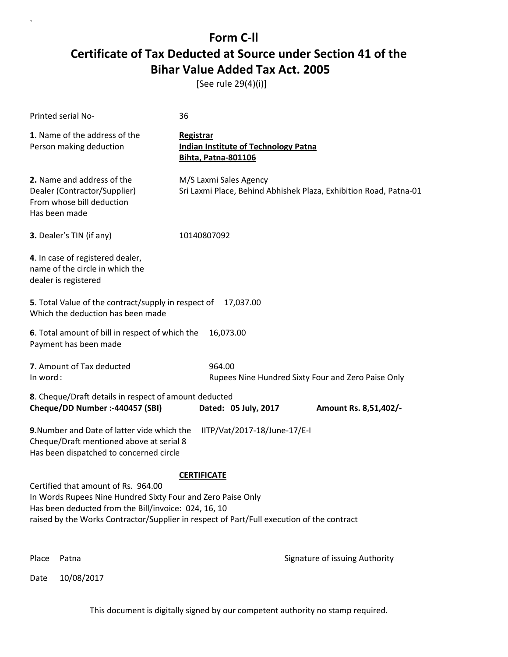[See rule 29(4)(i)]

`

| Printed serial No-                                                                                                                 | 36                                                                                                                                                                             |                                                                   |
|------------------------------------------------------------------------------------------------------------------------------------|--------------------------------------------------------------------------------------------------------------------------------------------------------------------------------|-------------------------------------------------------------------|
| 1. Name of the address of the<br>Person making deduction                                                                           | <b>Registrar</b><br><b>Indian Institute of Technology Patna</b><br><b>Bihta, Patna-801106</b>                                                                                  |                                                                   |
| 2. Name and address of the<br>Dealer (Contractor/Supplier)<br>From whose bill deduction<br>Has been made                           | M/S Laxmi Sales Agency                                                                                                                                                         | Sri Laxmi Place, Behind Abhishek Plaza, Exhibition Road, Patna-01 |
| 3. Dealer's TIN (if any)                                                                                                           | 10140807092                                                                                                                                                                    |                                                                   |
| 4. In case of registered dealer,<br>name of the circle in which the<br>dealer is registered                                        |                                                                                                                                                                                |                                                                   |
| 5. Total Value of the contract/supply in respect of<br>Which the deduction has been made                                           | 17,037.00                                                                                                                                                                      |                                                                   |
| 6. Total amount of bill in respect of which the<br>Payment has been made                                                           | 16,073.00                                                                                                                                                                      |                                                                   |
| 7. Amount of Tax deducted<br>In word:                                                                                              | 964.00                                                                                                                                                                         | Rupees Nine Hundred Sixty Four and Zero Paise Only                |
| 8. Cheque/Draft details in respect of amount deducted<br>Cheque/DD Number :- 440457 (SBI)                                          | Dated: 05 July, 2017                                                                                                                                                           | Amount Rs. 8,51,402/-                                             |
| 9. Number and Date of latter vide which the<br>Cheque/Draft mentioned above at serial 8<br>Has been dispatched to concerned circle | IITP/Vat/2017-18/June-17/E-I                                                                                                                                                   |                                                                   |
| Certified that amount of Rs. 964.00<br>Has been deducted from the Bill/invoice: 024, 16, 10                                        | <b>CERTIFICATE</b><br>In Words Rupees Nine Hundred Sixty Four and Zero Paise Only<br>raised by the Works Contractor/Supplier in respect of Part/Full execution of the contract |                                                                   |
| Place<br>Patna                                                                                                                     |                                                                                                                                                                                | Signature of issuing Authority                                    |
| 10/08/2017<br>Date                                                                                                                 |                                                                                                                                                                                |                                                                   |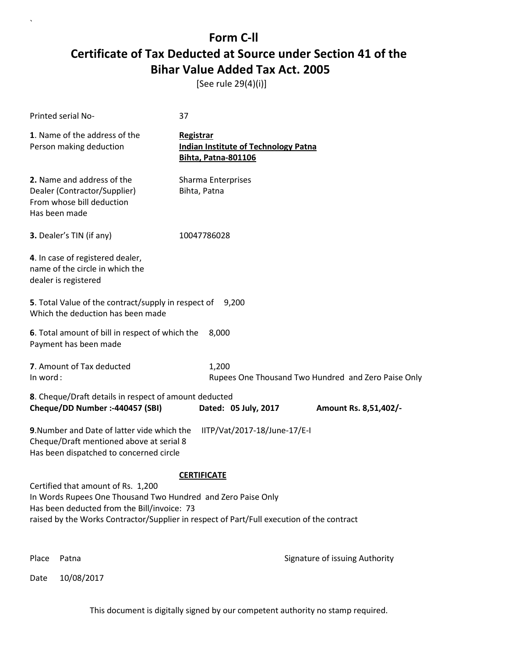[See rule 29(4)(i)]

| Printed serial No-                                                                                                                                                                                                                                                   | 37                                                                                            |                                                     |  |
|----------------------------------------------------------------------------------------------------------------------------------------------------------------------------------------------------------------------------------------------------------------------|-----------------------------------------------------------------------------------------------|-----------------------------------------------------|--|
| 1. Name of the address of the<br>Person making deduction                                                                                                                                                                                                             | <b>Registrar</b><br><b>Indian Institute of Technology Patna</b><br><b>Bihta, Patna-801106</b> |                                                     |  |
| 2. Name and address of the<br>Dealer (Contractor/Supplier)<br>From whose bill deduction<br>Has been made                                                                                                                                                             | Sharma Enterprises<br>Bihta, Patna                                                            |                                                     |  |
| 3. Dealer's TIN (if any)                                                                                                                                                                                                                                             | 10047786028                                                                                   |                                                     |  |
| 4. In case of registered dealer,<br>name of the circle in which the<br>dealer is registered                                                                                                                                                                          |                                                                                               |                                                     |  |
| 5. Total Value of the contract/supply in respect of<br>Which the deduction has been made                                                                                                                                                                             | 9,200                                                                                         |                                                     |  |
| 6. Total amount of bill in respect of which the<br>8,000<br>Payment has been made                                                                                                                                                                                    |                                                                                               |                                                     |  |
| 7. Amount of Tax deducted<br>In word:                                                                                                                                                                                                                                | 1,200                                                                                         | Rupees One Thousand Two Hundred and Zero Paise Only |  |
| 8. Cheque/Draft details in respect of amount deducted<br>Cheque/DD Number :- 440457 (SBI)                                                                                                                                                                            | Dated: 05 July, 2017                                                                          | Amount Rs. 8,51,402/-                               |  |
| 9. Number and Date of latter vide which the<br>IITP/Vat/2017-18/June-17/E-I<br>Cheque/Draft mentioned above at serial 8<br>Has been dispatched to concerned circle                                                                                                   |                                                                                               |                                                     |  |
| <b>CERTIFICATE</b><br>Certified that amount of Rs. 1,200<br>In Words Rupees One Thousand Two Hundred and Zero Paise Only<br>Has been deducted from the Bill/invoice: 73<br>raised by the Works Contractor/Supplier in respect of Part/Full execution of the contract |                                                                                               |                                                     |  |
| Place<br>Patna                                                                                                                                                                                                                                                       |                                                                                               | Signature of issuing Authority                      |  |

Date 10/08/2017

`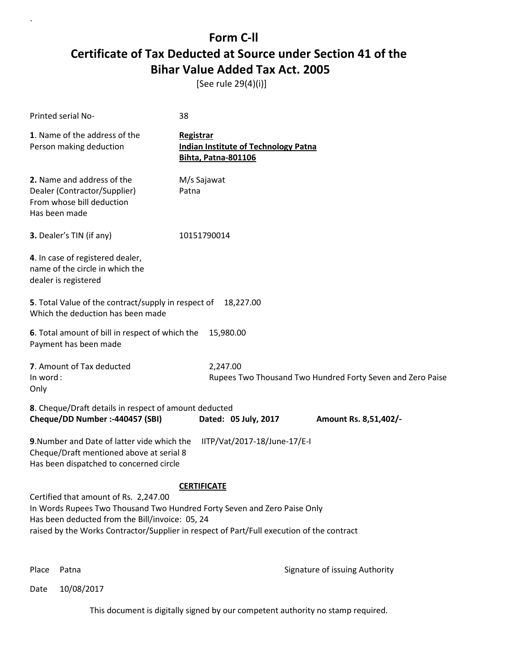[See rule 29(4)(i)]

| Printed serial No-                                                                                                                                                   | 38                                                                                                              |  |  |
|----------------------------------------------------------------------------------------------------------------------------------------------------------------------|-----------------------------------------------------------------------------------------------------------------|--|--|
| 1. Name of the address of the<br>Person making deduction                                                                                                             | <b>Registrar</b><br><b>Indian Institute of Technology Patna</b><br><b>Bihta, Patna-801106</b>                   |  |  |
| 2. Name and address of the<br>Dealer (Contractor/Supplier)<br>From whose bill deduction<br>Has been made                                                             | M/s Sajawat<br>Patna                                                                                            |  |  |
| 3. Dealer's TIN (if any)                                                                                                                                             | 10151790014                                                                                                     |  |  |
| 4. In case of registered dealer,<br>name of the circle in which the<br>dealer is registered                                                                          |                                                                                                                 |  |  |
| 5. Total Value of the contract/supply in respect of<br>Which the deduction has been made                                                                             | 18,227.00                                                                                                       |  |  |
| 6. Total amount of bill in respect of which the<br>Payment has been made                                                                                             | 15,980.00                                                                                                       |  |  |
| 7. Amount of Tax deducted<br>In word:<br>Only                                                                                                                        | 2,247.00<br>Rupees Two Thousand Two Hundred Forty Seven and Zero Paise                                          |  |  |
| 8. Cheque/Draft details in respect of amount deducted<br>Cheque/DD Number :- 440457 (SBI)                                                                            | Dated: 05 July, 2017<br>Amount Rs. 8,51,402/-                                                                   |  |  |
| 9. Number and Date of latter vide which the<br>IITP/Vat/2017-18/June-17/E-I<br>Cheque/Draft mentioned above at serial 8<br>Has been dispatched to concerned circle   |                                                                                                                 |  |  |
| Certified that amount of Rs. 2,247.00<br>In Words Rupees Two Thousand Two Hundred Forty Seven and Zero Paise Only<br>Has been deducted from the Bill/invoice: 05, 24 | <b>CERTIFICATE</b><br>raised by the Works Contractor/Supplier in respect of Part/Full execution of the contract |  |  |

`

Place Patna **Property** Place Patna Signature of issuing Authority

Date 10/08/2017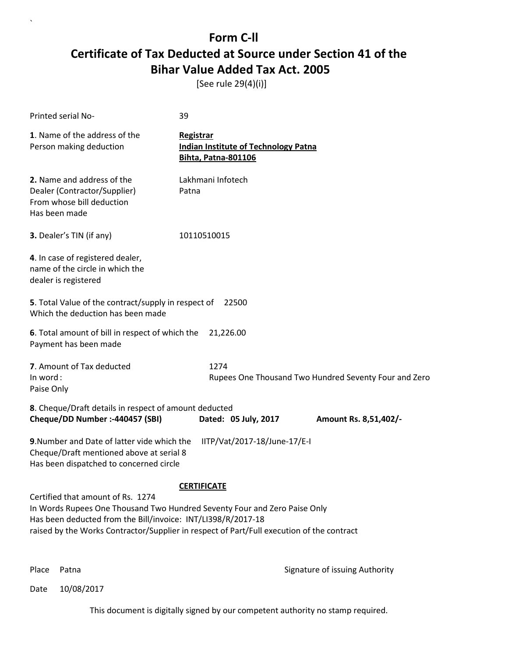[See rule 29(4)(i)]

| Printed serial No-                                                                                                                                                                                                                                                          | 39                                                                                            |                                                       |
|-----------------------------------------------------------------------------------------------------------------------------------------------------------------------------------------------------------------------------------------------------------------------------|-----------------------------------------------------------------------------------------------|-------------------------------------------------------|
| 1. Name of the address of the<br>Person making deduction                                                                                                                                                                                                                    | <b>Registrar</b><br><b>Indian Institute of Technology Patna</b><br><b>Bihta, Patna-801106</b> |                                                       |
| 2. Name and address of the<br>Dealer (Contractor/Supplier)<br>From whose bill deduction<br>Has been made                                                                                                                                                                    | Lakhmani Infotech<br>Patna                                                                    |                                                       |
| 3. Dealer's TIN (if any)                                                                                                                                                                                                                                                    | 10110510015                                                                                   |                                                       |
| 4. In case of registered dealer,<br>name of the circle in which the<br>dealer is registered                                                                                                                                                                                 |                                                                                               |                                                       |
| 5. Total Value of the contract/supply in respect of<br>Which the deduction has been made                                                                                                                                                                                    | 22500                                                                                         |                                                       |
| 6. Total amount of bill in respect of which the<br>Payment has been made                                                                                                                                                                                                    | 21,226.00                                                                                     |                                                       |
| 7. Amount of Tax deducted<br>In word:<br>Paise Only                                                                                                                                                                                                                         | 1274                                                                                          | Rupees One Thousand Two Hundred Seventy Four and Zero |
| 8. Cheque/Draft details in respect of amount deducted<br>Cheque/DD Number :- 440457 (SBI)                                                                                                                                                                                   | Dated: 05 July, 2017                                                                          | Amount Rs. 8,51,402/-                                 |
| 9. Number and Date of latter vide which the<br>Cheque/Draft mentioned above at serial 8<br>Has been dispatched to concerned circle                                                                                                                                          | IITP/Vat/2017-18/June-17/E-I                                                                  |                                                       |
|                                                                                                                                                                                                                                                                             | <b>CERTIFICATE</b>                                                                            |                                                       |
| Certified that amount of Rs. 1274<br>In Words Rupees One Thousand Two Hundred Seventy Four and Zero Paise Only<br>Has been deducted from the Bill/invoice: INT/LI398/R/2017-18<br>raised by the Works Contractor/Supplier in respect of Part/Full execution of the contract |                                                                                               |                                                       |
|                                                                                                                                                                                                                                                                             |                                                                                               |                                                       |

`

Place Patna **Property** Place Patna Signature of issuing Authority

Date 10/08/2017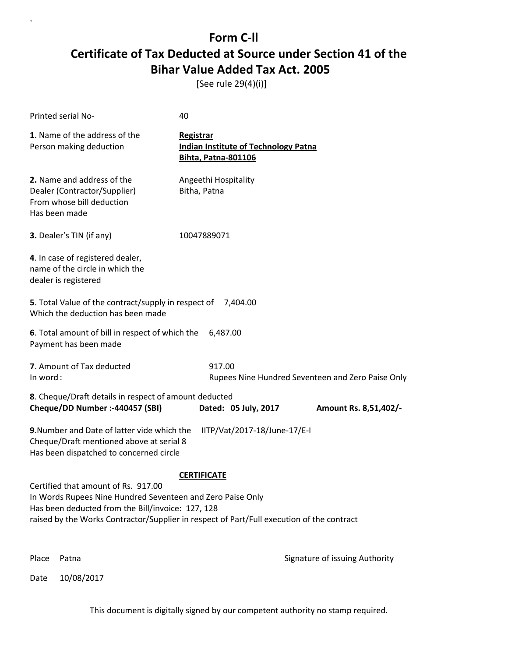[See rule 29(4)(i)]

| <b>Printed serial No-</b>                                                                                                                                                                                                                                                 | 40                                                                                     |  |  |
|---------------------------------------------------------------------------------------------------------------------------------------------------------------------------------------------------------------------------------------------------------------------------|----------------------------------------------------------------------------------------|--|--|
| 1. Name of the address of the<br>Person making deduction                                                                                                                                                                                                                  | Registrar<br><b>Indian Institute of Technology Patna</b><br><b>Bihta, Patna-801106</b> |  |  |
| <b>2.</b> Name and address of the<br>Dealer (Contractor/Supplier)<br>From whose bill deduction<br>Has been made                                                                                                                                                           | Angeethi Hospitality<br>Bitha, Patna                                                   |  |  |
| 3. Dealer's TIN (if any)                                                                                                                                                                                                                                                  | 10047889071                                                                            |  |  |
| 4. In case of registered dealer,<br>name of the circle in which the<br>dealer is registered                                                                                                                                                                               |                                                                                        |  |  |
| 5. Total Value of the contract/supply in respect of<br>Which the deduction has been made                                                                                                                                                                                  | 7,404.00                                                                               |  |  |
| 6. Total amount of bill in respect of which the<br>Payment has been made                                                                                                                                                                                                  | 6,487.00                                                                               |  |  |
| 7. Amount of Tax deducted<br>In word:                                                                                                                                                                                                                                     | 917.00<br>Rupees Nine Hundred Seventeen and Zero Paise Only                            |  |  |
| 8. Cheque/Draft details in respect of amount deducted<br>Cheque/DD Number :- 440457 (SBI)                                                                                                                                                                                 | Dated: 05 July, 2017<br>Amount Rs. 8,51,402/-                                          |  |  |
| 9. Number and Date of latter vide which the<br>IITP/Vat/2017-18/June-17/E-I<br>Cheque/Draft mentioned above at serial 8<br>Has been dispatched to concerned circle                                                                                                        |                                                                                        |  |  |
| <b>CERTIFICATE</b><br>Certified that amount of Rs. 917.00<br>In Words Rupees Nine Hundred Seventeen and Zero Paise Only<br>Has been deducted from the Bill/invoice: 127, 128<br>raised by the Works Contractor/Supplier in respect of Part/Full execution of the contract |                                                                                        |  |  |
| Place<br>Patna                                                                                                                                                                                                                                                            | Signature of issuing Authority                                                         |  |  |

Date 10/08/2017

`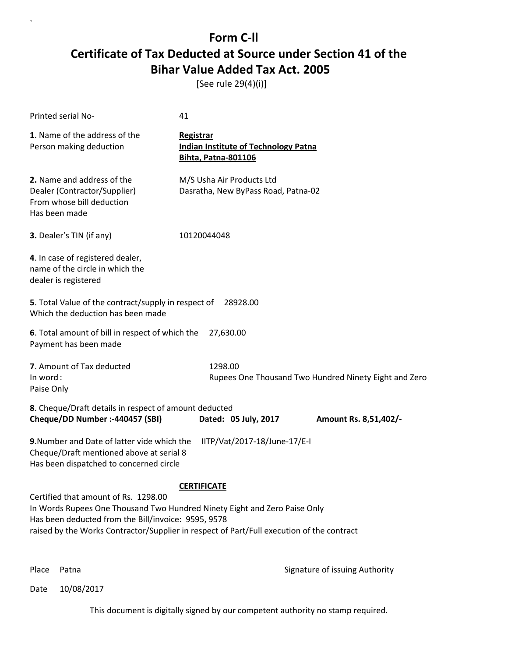[See rule 29(4)(i)]

| Printed serial No-                                                                                                                                                       | 41                                                                                                              |  |  |
|--------------------------------------------------------------------------------------------------------------------------------------------------------------------------|-----------------------------------------------------------------------------------------------------------------|--|--|
| 1. Name of the address of the<br>Person making deduction                                                                                                                 | <b>Registrar</b><br><b>Indian Institute of Technology Patna</b><br><b>Bihta, Patna-801106</b>                   |  |  |
| 2. Name and address of the<br>Dealer (Contractor/Supplier)<br>From whose bill deduction<br>Has been made                                                                 | M/S Usha Air Products Ltd<br>Dasratha, New ByPass Road, Patna-02                                                |  |  |
| 3. Dealer's TIN (if any)                                                                                                                                                 | 10120044048                                                                                                     |  |  |
| 4. In case of registered dealer,<br>name of the circle in which the<br>dealer is registered                                                                              |                                                                                                                 |  |  |
| 5. Total Value of the contract/supply in respect of<br>Which the deduction has been made                                                                                 | 28928.00                                                                                                        |  |  |
| 6. Total amount of bill in respect of which the<br>Payment has been made                                                                                                 | 27,630.00                                                                                                       |  |  |
| 7. Amount of Tax deducted<br>In word:<br>Paise Only                                                                                                                      | 1298.00<br>Rupees One Thousand Two Hundred Ninety Eight and Zero                                                |  |  |
| 8. Cheque/Draft details in respect of amount deducted<br>Cheque/DD Number :- 440457 (SBI)                                                                                | Dated: 05 July, 2017<br>Amount Rs. 8,51,402/-                                                                   |  |  |
| 9. Number and Date of latter vide which the<br>IITP/Vat/2017-18/June-17/E-I<br>Cheque/Draft mentioned above at serial 8<br>Has been dispatched to concerned circle       |                                                                                                                 |  |  |
| Certified that amount of Rs. 1298.00<br>In Words Rupees One Thousand Two Hundred Ninety Eight and Zero Paise Only<br>Has been deducted from the Bill/invoice: 9595, 9578 | <b>CERTIFICATE</b><br>raised by the Works Contractor/Supplier in respect of Part/Full execution of the contract |  |  |

`

Place Patna **Property** Place Patna Signature of issuing Authority

Date 10/08/2017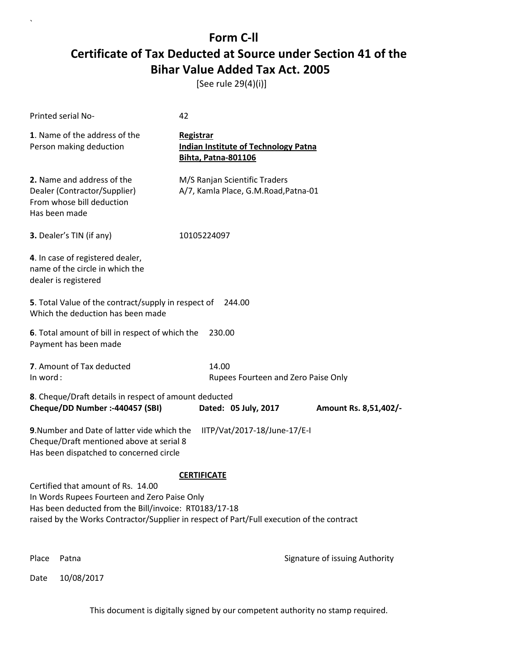[See rule 29(4)(i)]

`

|          | <b>Printed serial No-</b>                                                                                                                                                                                                                | 42                                                                                            |                                |
|----------|------------------------------------------------------------------------------------------------------------------------------------------------------------------------------------------------------------------------------------------|-----------------------------------------------------------------------------------------------|--------------------------------|
|          | 1. Name of the address of the<br>Person making deduction                                                                                                                                                                                 | <b>Registrar</b><br><b>Indian Institute of Technology Patna</b><br><b>Bihta, Patna-801106</b> |                                |
|          | 2. Name and address of the<br>Dealer (Contractor/Supplier)<br>From whose bill deduction<br>Has been made                                                                                                                                 | M/S Ranjan Scientific Traders<br>A/7, Kamla Place, G.M.Road, Patna-01                         |                                |
|          | 3. Dealer's TIN (if any)                                                                                                                                                                                                                 | 10105224097                                                                                   |                                |
|          | 4. In case of registered dealer,<br>name of the circle in which the<br>dealer is registered                                                                                                                                              |                                                                                               |                                |
|          | 5. Total Value of the contract/supply in respect of<br>Which the deduction has been made                                                                                                                                                 | 244.00                                                                                        |                                |
|          | 6. Total amount of bill in respect of which the<br>Payment has been made                                                                                                                                                                 | 230.00                                                                                        |                                |
| In word: | 7. Amount of Tax deducted                                                                                                                                                                                                                | 14.00<br>Rupees Fourteen and Zero Paise Only                                                  |                                |
|          | 8. Cheque/Draft details in respect of amount deducted<br>Cheque/DD Number :- 440457 (SBI)                                                                                                                                                | Dated: 05 July, 2017                                                                          | Amount Rs. 8,51,402/-          |
|          | 9. Number and Date of latter vide which the<br>Cheque/Draft mentioned above at serial 8<br>Has been dispatched to concerned circle                                                                                                       | IITP/Vat/2017-18/June-17/E-I                                                                  |                                |
|          | Certified that amount of Rs. 14.00<br>In Words Rupees Fourteen and Zero Paise Only<br>Has been deducted from the Bill/invoice: RT0183/17-18<br>raised by the Works Contractor/Supplier in respect of Part/Full execution of the contract | <b>CERTIFICATE</b>                                                                            |                                |
| Place    | Patna                                                                                                                                                                                                                                    |                                                                                               | Signature of issuing Authority |
| Date     | 10/08/2017                                                                                                                                                                                                                               |                                                                                               |                                |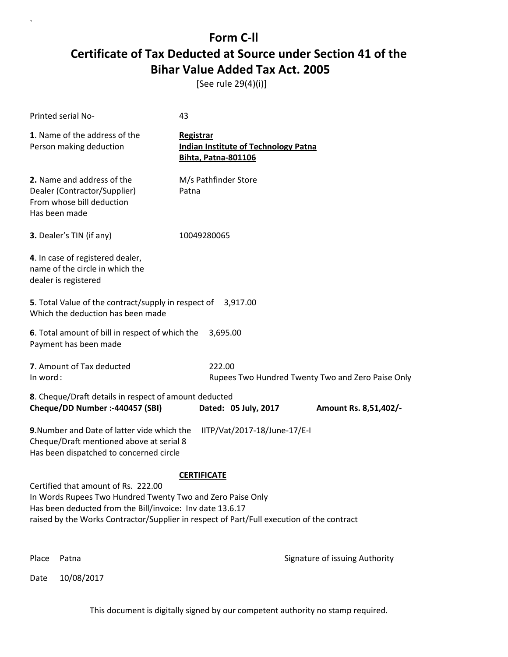[See rule 29(4)(i)]

`

| <b>Printed serial No-</b>                                                                                                                                                                                                                                                         | 43                                                                                            |                                |  |
|-----------------------------------------------------------------------------------------------------------------------------------------------------------------------------------------------------------------------------------------------------------------------------------|-----------------------------------------------------------------------------------------------|--------------------------------|--|
| 1. Name of the address of the<br>Person making deduction                                                                                                                                                                                                                          | <b>Registrar</b><br><b>Indian Institute of Technology Patna</b><br><b>Bihta, Patna-801106</b> |                                |  |
| 2. Name and address of the<br>Dealer (Contractor/Supplier)<br>From whose bill deduction<br>Has been made                                                                                                                                                                          | M/s Pathfinder Store<br>Patna                                                                 |                                |  |
| 3. Dealer's TIN (if any)                                                                                                                                                                                                                                                          | 10049280065                                                                                   |                                |  |
| 4. In case of registered dealer,<br>name of the circle in which the<br>dealer is registered                                                                                                                                                                                       |                                                                                               |                                |  |
| Which the deduction has been made                                                                                                                                                                                                                                                 | 5. Total Value of the contract/supply in respect of 3,917.00                                  |                                |  |
| 6. Total amount of bill in respect of which the<br>Payment has been made                                                                                                                                                                                                          | 3,695.00                                                                                      |                                |  |
| 7. Amount of Tax deducted<br>222.00<br>In word:<br>Rupees Two Hundred Twenty Two and Zero Paise Only                                                                                                                                                                              |                                                                                               |                                |  |
| 8. Cheque/Draft details in respect of amount deducted                                                                                                                                                                                                                             |                                                                                               |                                |  |
| Cheque/DD Number :- 440457 (SBI)                                                                                                                                                                                                                                                  | Dated: 05 July, 2017                                                                          | Amount Rs. 8,51,402/-          |  |
| 9. Number and Date of latter vide which the<br>IITP/Vat/2017-18/June-17/E-I<br>Cheque/Draft mentioned above at serial 8<br>Has been dispatched to concerned circle                                                                                                                |                                                                                               |                                |  |
| <b>CERTIFICATE</b><br>Certified that amount of Rs. 222.00<br>In Words Rupees Two Hundred Twenty Two and Zero Paise Only<br>Has been deducted from the Bill/invoice: Inv date 13.6.17<br>raised by the Works Contractor/Supplier in respect of Part/Full execution of the contract |                                                                                               |                                |  |
| Place<br>Patna                                                                                                                                                                                                                                                                    |                                                                                               | Signature of issuing Authority |  |
| 10/08/2017<br>Date                                                                                                                                                                                                                                                                |                                                                                               |                                |  |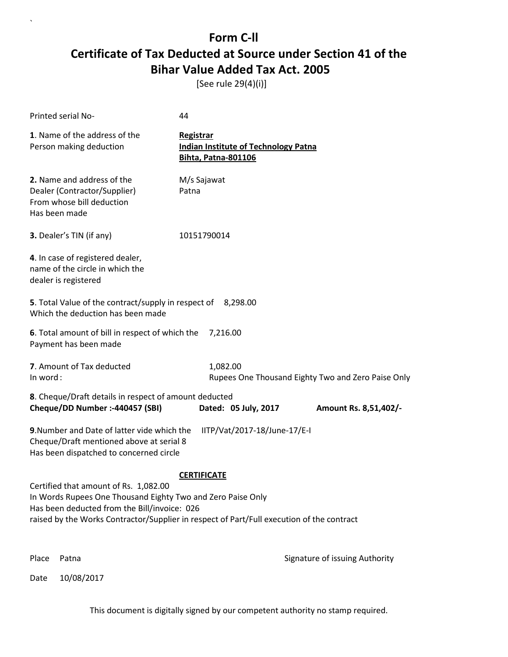[See rule 29(4)(i)]

| Printed serial No-                                                                                                                                                                                                                                | 44                                                                                            |                                                    |
|---------------------------------------------------------------------------------------------------------------------------------------------------------------------------------------------------------------------------------------------------|-----------------------------------------------------------------------------------------------|----------------------------------------------------|
| 1. Name of the address of the<br>Person making deduction                                                                                                                                                                                          | <b>Registrar</b><br><b>Indian Institute of Technology Patna</b><br><b>Bihta, Patna-801106</b> |                                                    |
| 2. Name and address of the<br>Dealer (Contractor/Supplier)<br>From whose bill deduction<br>Has been made                                                                                                                                          | M/s Sajawat<br>Patna                                                                          |                                                    |
| <b>3.</b> Dealer's TIN (if any)                                                                                                                                                                                                                   | 10151790014                                                                                   |                                                    |
| 4. In case of registered dealer,<br>name of the circle in which the<br>dealer is registered                                                                                                                                                       |                                                                                               |                                                    |
| 5. Total Value of the contract/supply in respect of 8,298.00<br>Which the deduction has been made                                                                                                                                                 |                                                                                               |                                                    |
| 6. Total amount of bill in respect of which the<br>Payment has been made                                                                                                                                                                          | 7,216.00                                                                                      |                                                    |
| 7. Amount of Tax deducted<br>In word:                                                                                                                                                                                                             | 1,082.00                                                                                      | Rupees One Thousand Eighty Two and Zero Paise Only |
| 8. Cheque/Draft details in respect of amount deducted<br>Cheque/DD Number :- 440457 (SBI)                                                                                                                                                         | Dated: 05 July, 2017                                                                          | Amount Rs. 8,51,402/-                              |
| 9. Number and Date of latter vide which the<br>Cheque/Draft mentioned above at serial 8<br>Has been dispatched to concerned circle                                                                                                                | IITP/Vat/2017-18/June-17/E-I                                                                  |                                                    |
|                                                                                                                                                                                                                                                   | <b>CERTIFICATE</b>                                                                            |                                                    |
| Certified that amount of Rs. 1,082.00<br>In Words Rupees One Thousand Eighty Two and Zero Paise Only<br>Has been deducted from the Bill/invoice: 026<br>raised by the Works Contractor/Supplier in respect of Part/Full execution of the contract |                                                                                               |                                                    |
| Place<br>Patna                                                                                                                                                                                                                                    |                                                                                               | Signature of issuing Authority                     |

Date 10/08/2017

`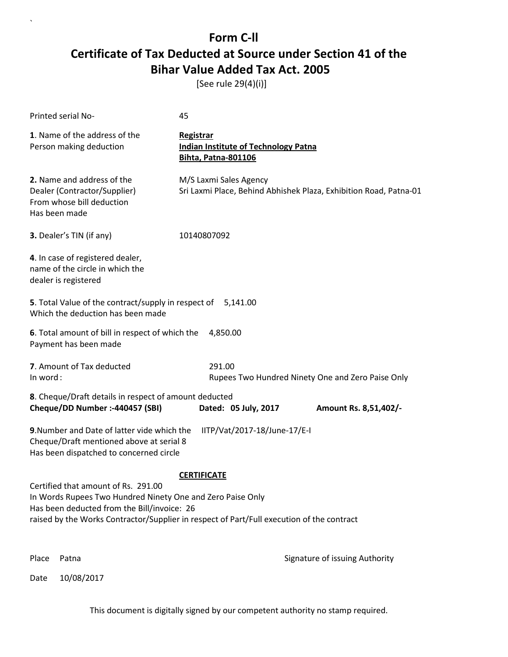[See rule 29(4)(i)]

| Printed serial No-                                                                                                                               | 45                                                                                                              |
|--------------------------------------------------------------------------------------------------------------------------------------------------|-----------------------------------------------------------------------------------------------------------------|
| 1. Name of the address of the<br>Person making deduction                                                                                         | <b>Registrar</b><br><b>Indian Institute of Technology Patna</b><br><b>Bihta, Patna-801106</b>                   |
| 2. Name and address of the<br>Dealer (Contractor/Supplier)<br>From whose bill deduction<br>Has been made                                         | M/S Laxmi Sales Agency<br>Sri Laxmi Place, Behind Abhishek Plaza, Exhibition Road, Patna-01                     |
| 3. Dealer's TIN (if any)                                                                                                                         | 10140807092                                                                                                     |
| 4. In case of registered dealer,<br>name of the circle in which the<br>dealer is registered                                                      |                                                                                                                 |
| 5. Total Value of the contract/supply in respect of 5,141.00<br>Which the deduction has been made                                                |                                                                                                                 |
| 6. Total amount of bill in respect of which the<br>Payment has been made                                                                         | 4,850.00                                                                                                        |
| 7. Amount of Tax deducted<br>In word:                                                                                                            | 291.00<br>Rupees Two Hundred Ninety One and Zero Paise Only                                                     |
| 8. Cheque/Draft details in respect of amount deducted<br>Cheque/DD Number :- 440457 (SBI)                                                        | Dated: 05 July, 2017<br>Amount Rs. 8,51,402/-                                                                   |
| 9. Number and Date of latter vide which the<br>Cheque/Draft mentioned above at serial 8<br>Has been dispatched to concerned circle               | IITP/Vat/2017-18/June-17/E-I                                                                                    |
| Certified that amount of Rs. 291.00<br>In Words Rupees Two Hundred Ninety One and Zero Paise Only<br>Has been deducted from the Bill/invoice: 26 | <b>CERTIFICATE</b><br>raised by the Works Contractor/Supplier in respect of Part/Full execution of the contract |
| Place<br>Patna                                                                                                                                   | Signature of issuing Authority                                                                                  |

Date 10/08/2017

`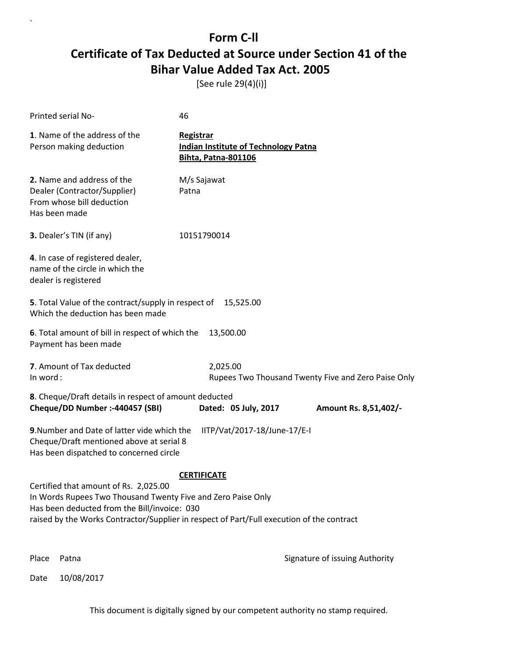[See rule 29(4)(i)]

`

|                                                                                                                                                                                                                                                                          | Printed serial No-                                                                                       | 46                                                                                     |                                                     |  |  |
|--------------------------------------------------------------------------------------------------------------------------------------------------------------------------------------------------------------------------------------------------------------------------|----------------------------------------------------------------------------------------------------------|----------------------------------------------------------------------------------------|-----------------------------------------------------|--|--|
|                                                                                                                                                                                                                                                                          | 1. Name of the address of the<br>Person making deduction                                                 | Registrar<br><b>Indian Institute of Technology Patna</b><br><b>Bihta, Patna-801106</b> |                                                     |  |  |
|                                                                                                                                                                                                                                                                          | 2. Name and address of the<br>Dealer (Contractor/Supplier)<br>From whose bill deduction<br>Has been made | M/s Sajawat<br>Patna                                                                   |                                                     |  |  |
|                                                                                                                                                                                                                                                                          | 3. Dealer's TIN (if any)                                                                                 | 10151790014                                                                            |                                                     |  |  |
|                                                                                                                                                                                                                                                                          | 4. In case of registered dealer,<br>name of the circle in which the<br>dealer is registered              |                                                                                        |                                                     |  |  |
|                                                                                                                                                                                                                                                                          | <b>5</b> . Total Value of the contract/supply in respect of<br>Which the deduction has been made         | 15,525.00                                                                              |                                                     |  |  |
|                                                                                                                                                                                                                                                                          | 6. Total amount of bill in respect of which the<br>13,500.00<br>Payment has been made                    |                                                                                        |                                                     |  |  |
| In word:                                                                                                                                                                                                                                                                 | 7. Amount of Tax deducted                                                                                | 2,025.00                                                                               | Rupees Two Thousand Twenty Five and Zero Paise Only |  |  |
|                                                                                                                                                                                                                                                                          | 8. Cheque/Draft details in respect of amount deducted<br>Cheque/DD Number :- 440457 (SBI)                | Dated: 05 July, 2017                                                                   | Amount Rs. 8,51,402/-                               |  |  |
| 9. Number and Date of latter vide which the<br>IITP/Vat/2017-18/June-17/E-I<br>Cheque/Draft mentioned above at serial 8<br>Has been dispatched to concerned circle                                                                                                       |                                                                                                          |                                                                                        |                                                     |  |  |
| <b>CERTIFICATE</b><br>Certified that amount of Rs. 2,025.00<br>In Words Rupees Two Thousand Twenty Five and Zero Paise Only<br>Has been deducted from the Bill/invoice: 030<br>raised by the Works Contractor/Supplier in respect of Part/Full execution of the contract |                                                                                                          |                                                                                        |                                                     |  |  |
| Place                                                                                                                                                                                                                                                                    | Patna                                                                                                    |                                                                                        | Signature of issuing Authority                      |  |  |
| Date                                                                                                                                                                                                                                                                     | 10/08/2017                                                                                               |                                                                                        |                                                     |  |  |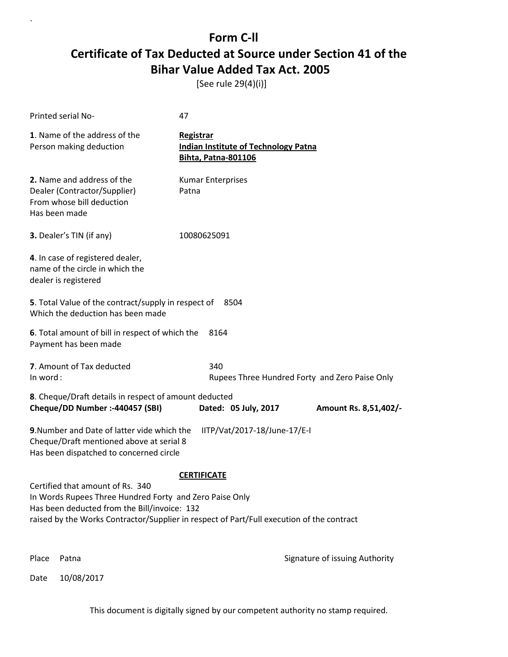[See rule 29(4)(i)]

`

|                                                                                                                                                                                                                                                                | Printed serial No-                                                                                       | 47                                                                                     |                                                |
|----------------------------------------------------------------------------------------------------------------------------------------------------------------------------------------------------------------------------------------------------------------|----------------------------------------------------------------------------------------------------------|----------------------------------------------------------------------------------------|------------------------------------------------|
|                                                                                                                                                                                                                                                                | 1. Name of the address of the<br>Person making deduction                                                 | Registrar<br><b>Indian Institute of Technology Patna</b><br><b>Bihta, Patna-801106</b> |                                                |
|                                                                                                                                                                                                                                                                | 2. Name and address of the<br>Dealer (Contractor/Supplier)<br>From whose bill deduction<br>Has been made | <b>Kumar Enterprises</b><br>Patna                                                      |                                                |
|                                                                                                                                                                                                                                                                | 3. Dealer's TIN (if any)                                                                                 | 10080625091                                                                            |                                                |
|                                                                                                                                                                                                                                                                | 4. In case of registered dealer,<br>name of the circle in which the<br>dealer is registered              |                                                                                        |                                                |
|                                                                                                                                                                                                                                                                | 5. Total Value of the contract/supply in respect of<br>Which the deduction has been made                 | 8504                                                                                   |                                                |
|                                                                                                                                                                                                                                                                | 6. Total amount of bill in respect of which the<br>Payment has been made                                 | 8164                                                                                   |                                                |
| In word:                                                                                                                                                                                                                                                       | 7. Amount of Tax deducted                                                                                | 340                                                                                    | Rupees Three Hundred Forty and Zero Paise Only |
|                                                                                                                                                                                                                                                                | 8. Cheque/Draft details in respect of amount deducted<br>Cheque/DD Number :- 440457 (SBI)                | Dated: 05 July, 2017                                                                   | Amount Rs. 8,51,402/-                          |
| 9. Number and Date of latter vide which the<br>IITP/Vat/2017-18/June-17/E-I<br>Cheque/Draft mentioned above at serial 8<br>Has been dispatched to concerned circle                                                                                             |                                                                                                          |                                                                                        |                                                |
| <b>CERTIFICATE</b><br>Certified that amount of Rs. 340<br>In Words Rupees Three Hundred Forty and Zero Paise Only<br>Has been deducted from the Bill/invoice: 132<br>raised by the Works Contractor/Supplier in respect of Part/Full execution of the contract |                                                                                                          |                                                                                        |                                                |
| Place                                                                                                                                                                                                                                                          | Patna                                                                                                    |                                                                                        | Signature of issuing Authority                 |
| Date                                                                                                                                                                                                                                                           | 10/08/2017                                                                                               |                                                                                        |                                                |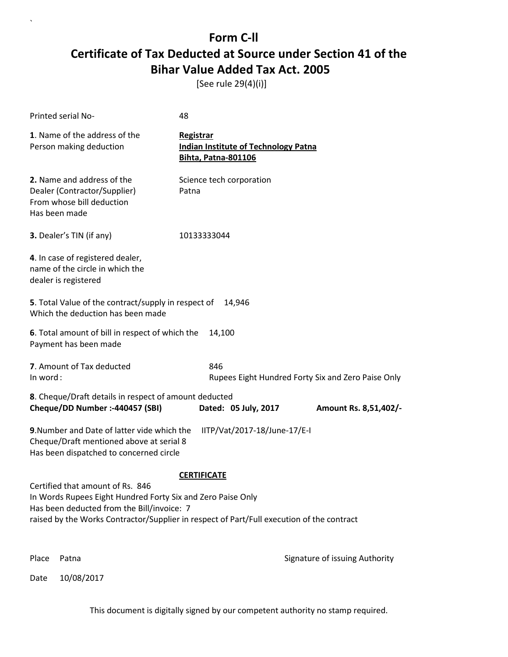[See rule 29(4)(i)]

`

|                                                                                                                                                                                                                                                                  | Printed serial No-                                                                                       | 48                                      |                                             |                                                    |
|------------------------------------------------------------------------------------------------------------------------------------------------------------------------------------------------------------------------------------------------------------------|----------------------------------------------------------------------------------------------------------|-----------------------------------------|---------------------------------------------|----------------------------------------------------|
|                                                                                                                                                                                                                                                                  | 1. Name of the address of the<br>Person making deduction                                                 | Registrar<br><b>Bihta, Patna-801106</b> | <b>Indian Institute of Technology Patna</b> |                                                    |
|                                                                                                                                                                                                                                                                  | 2. Name and address of the<br>Dealer (Contractor/Supplier)<br>From whose bill deduction<br>Has been made | Science tech corporation<br>Patna       |                                             |                                                    |
|                                                                                                                                                                                                                                                                  | 3. Dealer's TIN (if any)                                                                                 | 10133333044                             |                                             |                                                    |
|                                                                                                                                                                                                                                                                  | 4. In case of registered dealer,<br>name of the circle in which the<br>dealer is registered              |                                         |                                             |                                                    |
|                                                                                                                                                                                                                                                                  | 5. Total Value of the contract/supply in respect of<br>Which the deduction has been made                 | 14,946                                  |                                             |                                                    |
|                                                                                                                                                                                                                                                                  | 6. Total amount of bill in respect of which the<br>Payment has been made                                 | 14,100                                  |                                             |                                                    |
| In word:                                                                                                                                                                                                                                                         | 7. Amount of Tax deducted                                                                                | 846                                     |                                             | Rupees Eight Hundred Forty Six and Zero Paise Only |
|                                                                                                                                                                                                                                                                  | 8. Cheque/Draft details in respect of amount deducted<br>Cheque/DD Number :- 440457 (SBI)                | Dated: 05 July, 2017                    |                                             | Amount Rs. 8,51,402/-                              |
| 9. Number and Date of latter vide which the<br>IITP/Vat/2017-18/June-17/E-I<br>Cheque/Draft mentioned above at serial 8<br>Has been dispatched to concerned circle                                                                                               |                                                                                                          |                                         |                                             |                                                    |
| <b>CERTIFICATE</b><br>Certified that amount of Rs. 846<br>In Words Rupees Eight Hundred Forty Six and Zero Paise Only<br>Has been deducted from the Bill/invoice: 7<br>raised by the Works Contractor/Supplier in respect of Part/Full execution of the contract |                                                                                                          |                                         |                                             |                                                    |
| Place                                                                                                                                                                                                                                                            | Patna                                                                                                    |                                         |                                             | Signature of issuing Authority                     |
| Date                                                                                                                                                                                                                                                             | 10/08/2017                                                                                               |                                         |                                             |                                                    |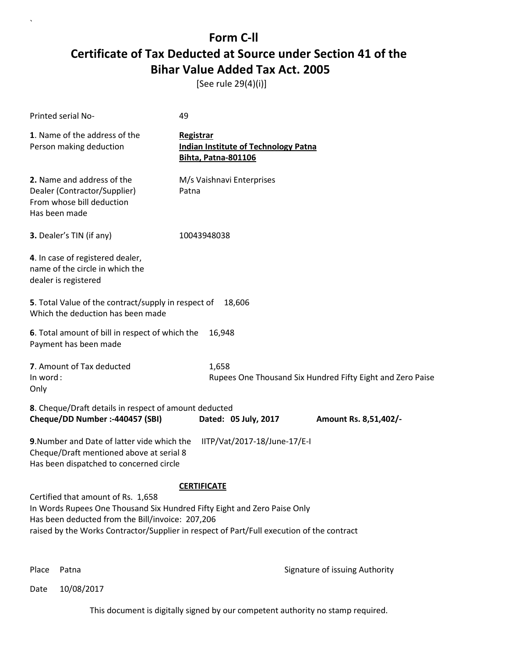[See rule 29(4)(i)]

| Printed serial No-                                                                                                                                                                                                                                              | 49                                                                                            |                                                            |  |
|-----------------------------------------------------------------------------------------------------------------------------------------------------------------------------------------------------------------------------------------------------------------|-----------------------------------------------------------------------------------------------|------------------------------------------------------------|--|
| 1. Name of the address of the<br>Person making deduction                                                                                                                                                                                                        | <b>Registrar</b><br><b>Indian Institute of Technology Patna</b><br><b>Bihta, Patna-801106</b> |                                                            |  |
| 2. Name and address of the<br>Dealer (Contractor/Supplier)<br>From whose bill deduction<br>Has been made                                                                                                                                                        | M/s Vaishnavi Enterprises<br>Patna                                                            |                                                            |  |
| 3. Dealer's TIN (if any)                                                                                                                                                                                                                                        | 10043948038                                                                                   |                                                            |  |
| 4. In case of registered dealer,<br>name of the circle in which the<br>dealer is registered                                                                                                                                                                     |                                                                                               |                                                            |  |
| 5. Total Value of the contract/supply in respect of<br>Which the deduction has been made                                                                                                                                                                        | 18,606                                                                                        |                                                            |  |
| 6. Total amount of bill in respect of which the<br>Payment has been made                                                                                                                                                                                        | 16,948                                                                                        |                                                            |  |
| 7. Amount of Tax deducted<br>In word:<br>Only                                                                                                                                                                                                                   | 1,658                                                                                         | Rupees One Thousand Six Hundred Fifty Eight and Zero Paise |  |
| 8. Cheque/Draft details in respect of amount deducted                                                                                                                                                                                                           |                                                                                               |                                                            |  |
| Cheque/DD Number :- 440457 (SBI)                                                                                                                                                                                                                                | Dated: 05 July, 2017                                                                          | Amount Rs. 8,51,402/-                                      |  |
| 9. Number and Date of latter vide which the<br>Cheque/Draft mentioned above at serial 8<br>Has been dispatched to concerned circle                                                                                                                              | IITP/Vat/2017-18/June-17/E-I                                                                  |                                                            |  |
|                                                                                                                                                                                                                                                                 | <b>CERTIFICATE</b>                                                                            |                                                            |  |
| Certified that amount of Rs. 1,658<br>In Words Rupees One Thousand Six Hundred Fifty Eight and Zero Paise Only<br>Has been deducted from the Bill/invoice: 207,206<br>raised by the Works Contractor/Supplier in respect of Part/Full execution of the contract |                                                                                               |                                                            |  |
|                                                                                                                                                                                                                                                                 |                                                                                               |                                                            |  |

`

Place Patna **Property** Place Patna Signature of issuing Authority

Date 10/08/2017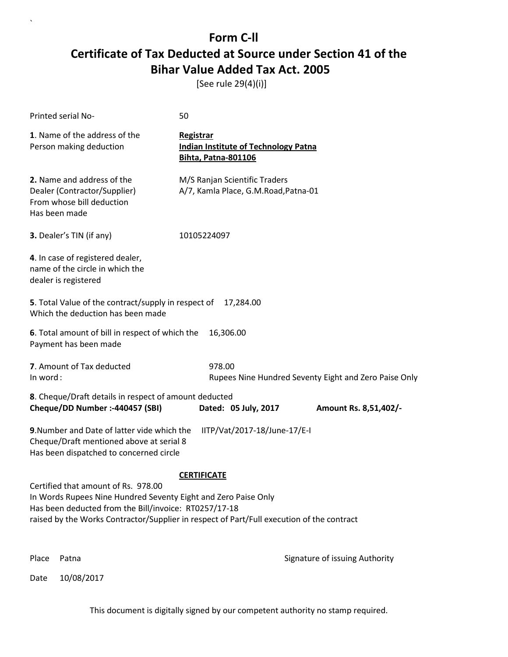[See rule 29(4)(i)]

`

|          | <b>Printed serial No-</b>                                                                                                                                                                                                                                   | 50                                                                                            |                                                       |
|----------|-------------------------------------------------------------------------------------------------------------------------------------------------------------------------------------------------------------------------------------------------------------|-----------------------------------------------------------------------------------------------|-------------------------------------------------------|
|          | 1. Name of the address of the<br>Person making deduction                                                                                                                                                                                                    | <b>Registrar</b><br><b>Indian Institute of Technology Patna</b><br><b>Bihta, Patna-801106</b> |                                                       |
|          | 2. Name and address of the<br>Dealer (Contractor/Supplier)<br>From whose bill deduction<br>Has been made                                                                                                                                                    | M/S Ranjan Scientific Traders<br>A/7, Kamla Place, G.M.Road, Patna-01                         |                                                       |
|          | 3. Dealer's TIN (if any)                                                                                                                                                                                                                                    | 10105224097                                                                                   |                                                       |
|          | 4. In case of registered dealer,<br>name of the circle in which the<br>dealer is registered                                                                                                                                                                 |                                                                                               |                                                       |
|          | 5. Total Value of the contract/supply in respect of<br>Which the deduction has been made                                                                                                                                                                    | 17,284.00                                                                                     |                                                       |
|          | 6. Total amount of bill in respect of which the<br>Payment has been made                                                                                                                                                                                    | 16,306.00                                                                                     |                                                       |
| In word: | 7. Amount of Tax deducted                                                                                                                                                                                                                                   | 978.00                                                                                        | Rupees Nine Hundred Seventy Eight and Zero Paise Only |
|          | 8. Cheque/Draft details in respect of amount deducted                                                                                                                                                                                                       |                                                                                               |                                                       |
|          | Cheque/DD Number :- 440457 (SBI)                                                                                                                                                                                                                            | Dated: 05 July, 2017                                                                          | Amount Rs. 8,51,402/-                                 |
|          | 9. Number and Date of latter vide which the<br>Cheque/Draft mentioned above at serial 8<br>Has been dispatched to concerned circle                                                                                                                          | IITP/Vat/2017-18/June-17/E-I                                                                  |                                                       |
|          |                                                                                                                                                                                                                                                             | <b>CERTIFICATE</b>                                                                            |                                                       |
|          | Certified that amount of Rs. 978.00<br>In Words Rupees Nine Hundred Seventy Eight and Zero Paise Only<br>Has been deducted from the Bill/invoice: RT0257/17-18<br>raised by the Works Contractor/Supplier in respect of Part/Full execution of the contract |                                                                                               |                                                       |
|          |                                                                                                                                                                                                                                                             |                                                                                               |                                                       |
| Place    | Patna                                                                                                                                                                                                                                                       |                                                                                               | Signature of issuing Authority                        |
| Date     | 10/08/2017                                                                                                                                                                                                                                                  |                                                                                               |                                                       |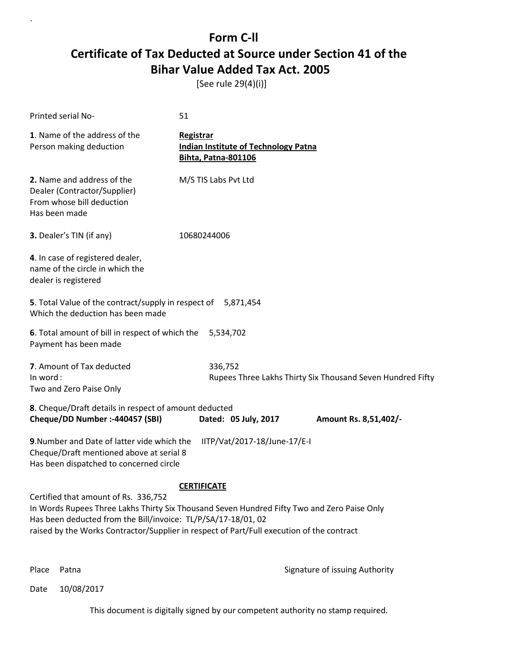[See rule 29(4)(i)]

| Printed serial No-                                                                                                                                                                                                                                                                                | 51                   |           |                                                                           |                                                            |                       |  |
|---------------------------------------------------------------------------------------------------------------------------------------------------------------------------------------------------------------------------------------------------------------------------------------------------|----------------------|-----------|---------------------------------------------------------------------------|------------------------------------------------------------|-----------------------|--|
| 1. Name of the address of the<br>Person making deduction                                                                                                                                                                                                                                          | Registrar            |           | <b>Indian Institute of Technology Patna</b><br><b>Bihta, Patna-801106</b> |                                                            |                       |  |
| 2. Name and address of the<br>Dealer (Contractor/Supplier)<br>From whose bill deduction<br>Has been made                                                                                                                                                                                          | M/S TIS Labs Pvt Ltd |           |                                                                           |                                                            |                       |  |
| 3. Dealer's TIN (if any)                                                                                                                                                                                                                                                                          | 10680244006          |           |                                                                           |                                                            |                       |  |
| 4. In case of registered dealer,<br>name of the circle in which the<br>dealer is registered                                                                                                                                                                                                       |                      |           |                                                                           |                                                            |                       |  |
| 5. Total Value of the contract/supply in respect of<br>Which the deduction has been made                                                                                                                                                                                                          |                      |           | 5,871,454                                                                 |                                                            |                       |  |
| 6. Total amount of bill in respect of which the<br>Payment has been made                                                                                                                                                                                                                          |                      | 5,534,702 |                                                                           |                                                            |                       |  |
| 7. Amount of Tax deducted<br>In word:<br>Two and Zero Paise Only                                                                                                                                                                                                                                  |                      | 336,752   |                                                                           | Rupees Three Lakhs Thirty Six Thousand Seven Hundred Fifty |                       |  |
| 8. Cheque/Draft details in respect of amount deducted<br>Cheque/DD Number :- 440457 (SBI)                                                                                                                                                                                                         |                      |           | Dated: 05 July, 2017                                                      |                                                            | Amount Rs. 8,51,402/- |  |
| 9. Number and Date of latter vide which the<br>Cheque/Draft mentioned above at serial 8<br>Has been dispatched to concerned circle                                                                                                                                                                |                      |           | IITP/Vat/2017-18/June-17/E-I                                              |                                                            |                       |  |
| Certified that amount of Rs. 336,752<br>In Words Rupees Three Lakhs Thirty Six Thousand Seven Hundred Fifty Two and Zero Paise Only<br>Has been deducted from the Bill/invoice: TL/P/SA/17-18/01, 02<br>raised by the Works Contractor/Supplier in respect of Part/Full execution of the contract | <b>CERTIFICATE</b>   |           |                                                                           |                                                            |                       |  |

`

Place Patna **Property** Place Patna Signature of issuing Authority

Date 10/08/2017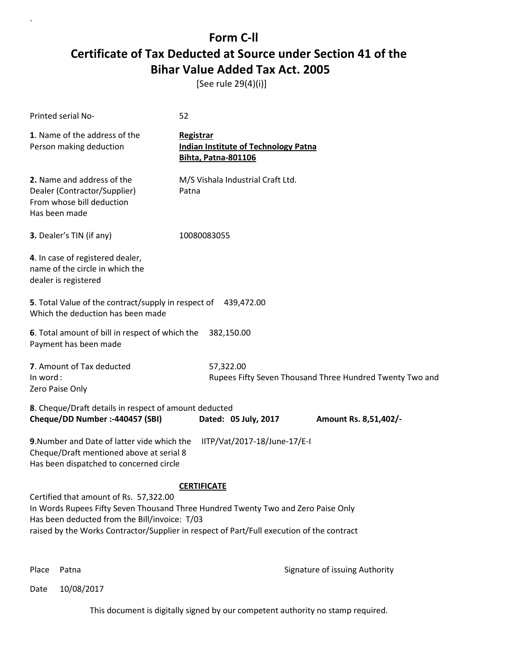[See rule 29(4)(i)]

| Printed serial No-                                                                                                                                                                                                                                                                              | 52          |                                                                           |                                                          |  |
|-------------------------------------------------------------------------------------------------------------------------------------------------------------------------------------------------------------------------------------------------------------------------------------------------|-------------|---------------------------------------------------------------------------|----------------------------------------------------------|--|
| 1. Name of the address of the<br>Person making deduction                                                                                                                                                                                                                                        | Registrar   | <b>Indian Institute of Technology Patna</b><br><b>Bihta, Patna-801106</b> |                                                          |  |
| 2. Name and address of the<br>Dealer (Contractor/Supplier)<br>From whose bill deduction<br>Has been made                                                                                                                                                                                        | Patna       | M/S Vishala Industrial Craft Ltd.                                         |                                                          |  |
| 3. Dealer's TIN (if any)                                                                                                                                                                                                                                                                        | 10080083055 |                                                                           |                                                          |  |
| 4. In case of registered dealer,<br>name of the circle in which the<br>dealer is registered                                                                                                                                                                                                     |             |                                                                           |                                                          |  |
| 5. Total Value of the contract/supply in respect of 439,472.00<br>Which the deduction has been made                                                                                                                                                                                             |             |                                                                           |                                                          |  |
| 6. Total amount of bill in respect of which the<br>Payment has been made                                                                                                                                                                                                                        |             | 382,150.00                                                                |                                                          |  |
| 7. Amount of Tax deducted<br>In word:<br>Zero Paise Only                                                                                                                                                                                                                                        |             | 57,322.00                                                                 | Rupees Fifty Seven Thousand Three Hundred Twenty Two and |  |
| 8. Cheque/Draft details in respect of amount deducted<br>Cheque/DD Number :- 440457 (SBI)                                                                                                                                                                                                       |             | Dated: 05 July, 2017                                                      | Amount Rs. 8,51,402/-                                    |  |
| 9. Number and Date of latter vide which the<br>Cheque/Draft mentioned above at serial 8<br>Has been dispatched to concerned circle                                                                                                                                                              |             | IITP/Vat/2017-18/June-17/E-I                                              |                                                          |  |
| <b>CERTIFICATE</b><br>Certified that amount of Rs. 57,322.00<br>In Words Rupees Fifty Seven Thousand Three Hundred Twenty Two and Zero Paise Only<br>Has been deducted from the Bill/invoice: T/03<br>raised by the Works Contractor/Supplier in respect of Part/Full execution of the contract |             |                                                                           |                                                          |  |

`

Place Patna **Property** Place Patna Signature of issuing Authority

Date 10/08/2017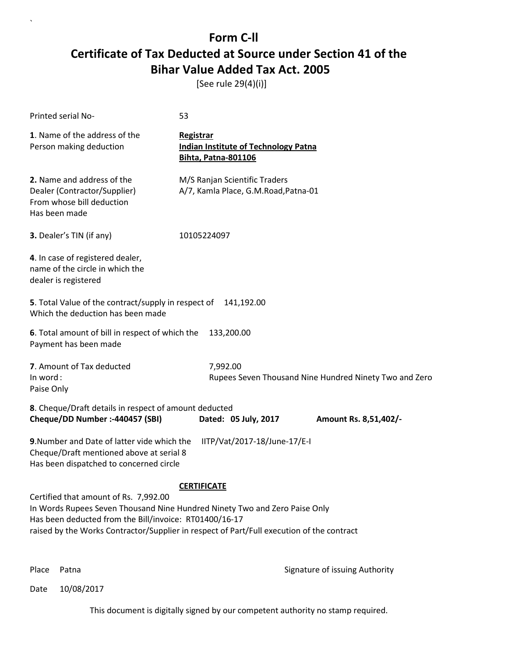[See rule 29(4)(i)]

| <b>Printed serial No-</b>                                                                                                          | 53                                                                                                                                                                                            |
|------------------------------------------------------------------------------------------------------------------------------------|-----------------------------------------------------------------------------------------------------------------------------------------------------------------------------------------------|
| 1. Name of the address of the<br>Person making deduction                                                                           | <b>Registrar</b><br><b>Indian Institute of Technology Patna</b><br><b>Bihta, Patna-801106</b>                                                                                                 |
| 2. Name and address of the<br>Dealer (Contractor/Supplier)<br>From whose bill deduction<br>Has been made                           | M/S Ranjan Scientific Traders<br>A/7, Kamla Place, G.M.Road, Patna-01                                                                                                                         |
| 3. Dealer's TIN (if any)                                                                                                           | 10105224097                                                                                                                                                                                   |
| 4. In case of registered dealer,<br>name of the circle in which the<br>dealer is registered                                        |                                                                                                                                                                                               |
| 5. Total Value of the contract/supply in respect of<br>Which the deduction has been made                                           | 141,192.00                                                                                                                                                                                    |
| 6. Total amount of bill in respect of which the<br>Payment has been made                                                           | 133,200.00                                                                                                                                                                                    |
| 7. Amount of Tax deducted<br>In word:<br>Paise Only                                                                                | 7,992.00<br>Rupees Seven Thousand Nine Hundred Ninety Two and Zero                                                                                                                            |
| 8. Cheque/Draft details in respect of amount deducted<br>Cheque/DD Number :- 440457 (SBI)                                          | Dated: 05 July, 2017<br>Amount Rs. 8,51,402/-                                                                                                                                                 |
| 9. Number and Date of latter vide which the<br>Cheque/Draft mentioned above at serial 8<br>Has been dispatched to concerned circle | IITP/Vat/2017-18/June-17/E-I                                                                                                                                                                  |
| Certified that amount of Rs. 7,992.00<br>Has been deducted from the Bill/invoice: RT01400/16-17                                    | <b>CERTIFICATE</b><br>In Words Rupees Seven Thousand Nine Hundred Ninety Two and Zero Paise Only<br>raised by the Works Contractor/Supplier in respect of Part/Full execution of the contract |

`

Place Patna **Property** Place Patna Signature of issuing Authority

Date 10/08/2017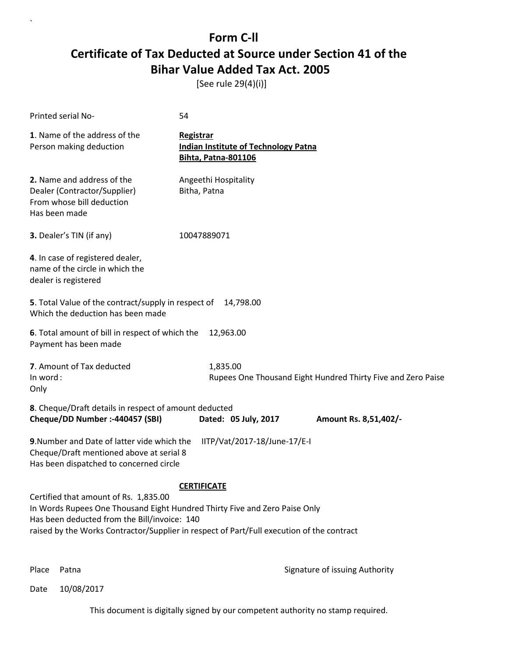[See rule 29(4)(i)]

| Printed serial No-                                                                                                                                                                                                                                               | 54                                                                                            |                                                              |
|------------------------------------------------------------------------------------------------------------------------------------------------------------------------------------------------------------------------------------------------------------------|-----------------------------------------------------------------------------------------------|--------------------------------------------------------------|
| 1. Name of the address of the<br>Person making deduction                                                                                                                                                                                                         | <b>Registrar</b><br><b>Indian Institute of Technology Patna</b><br><b>Bihta, Patna-801106</b> |                                                              |
| 2. Name and address of the<br>Dealer (Contractor/Supplier)<br>From whose bill deduction<br>Has been made                                                                                                                                                         | Angeethi Hospitality<br>Bitha, Patna                                                          |                                                              |
| 3. Dealer's TIN (if any)                                                                                                                                                                                                                                         | 10047889071                                                                                   |                                                              |
| 4. In case of registered dealer,<br>name of the circle in which the<br>dealer is registered                                                                                                                                                                      |                                                                                               |                                                              |
| 5. Total Value of the contract/supply in respect of<br>Which the deduction has been made                                                                                                                                                                         | 14,798.00                                                                                     |                                                              |
| 6. Total amount of bill in respect of which the<br>Payment has been made                                                                                                                                                                                         | 12,963.00                                                                                     |                                                              |
| 7. Amount of Tax deducted<br>In word:<br>Only                                                                                                                                                                                                                    | 1,835.00                                                                                      | Rupees One Thousand Eight Hundred Thirty Five and Zero Paise |
| 8. Cheque/Draft details in respect of amount deducted<br>Cheque/DD Number :- 440457 (SBI)                                                                                                                                                                        | Dated: 05 July, 2017                                                                          | Amount Rs. 8,51,402/-                                        |
| 9. Number and Date of latter vide which the<br>Cheque/Draft mentioned above at serial 8<br>Has been dispatched to concerned circle                                                                                                                               | IITP/Vat/2017-18/June-17/E-I                                                                  |                                                              |
| Certified that amount of Rs. 1,835.00<br>In Words Rupees One Thousand Eight Hundred Thirty Five and Zero Paise Only<br>Has been deducted from the Bill/invoice: 140<br>raised by the Works Contractor/Supplier in respect of Part/Full execution of the contract | <b>CERTIFICATE</b>                                                                            |                                                              |

`

Place Patna **Property** Place Patna Signature of issuing Authority

Date 10/08/2017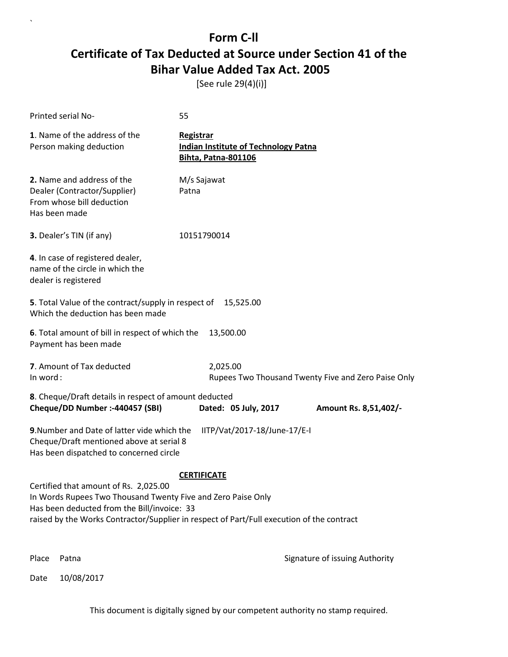[See rule 29(4)(i)]

`

|                                                                                                                                                                                                                                                                         | Printed serial No-                                                                                                                 | 55                                                                                     |                                                     |
|-------------------------------------------------------------------------------------------------------------------------------------------------------------------------------------------------------------------------------------------------------------------------|------------------------------------------------------------------------------------------------------------------------------------|----------------------------------------------------------------------------------------|-----------------------------------------------------|
|                                                                                                                                                                                                                                                                         | 1. Name of the address of the<br>Person making deduction                                                                           | Registrar<br><b>Indian Institute of Technology Patna</b><br><b>Bihta, Patna-801106</b> |                                                     |
|                                                                                                                                                                                                                                                                         | 2. Name and address of the<br>Dealer (Contractor/Supplier)<br>From whose bill deduction<br>Has been made                           | M/s Sajawat<br>Patna                                                                   |                                                     |
|                                                                                                                                                                                                                                                                         | <b>3.</b> Dealer's TIN (if any)                                                                                                    | 10151790014                                                                            |                                                     |
|                                                                                                                                                                                                                                                                         | 4. In case of registered dealer,<br>name of the circle in which the<br>dealer is registered                                        |                                                                                        |                                                     |
|                                                                                                                                                                                                                                                                         | 5. Total Value of the contract/supply in respect of<br>Which the deduction has been made                                           | 15,525.00                                                                              |                                                     |
|                                                                                                                                                                                                                                                                         | 6. Total amount of bill in respect of which the<br>Payment has been made                                                           | 13,500.00                                                                              |                                                     |
| In word:                                                                                                                                                                                                                                                                | 7. Amount of Tax deducted                                                                                                          | 2,025.00                                                                               | Rupees Two Thousand Twenty Five and Zero Paise Only |
|                                                                                                                                                                                                                                                                         | 8. Cheque/Draft details in respect of amount deducted<br>Cheque/DD Number :- 440457 (SBI)                                          | Dated: 05 July, 2017                                                                   | Amount Rs. 8,51,402/-                               |
|                                                                                                                                                                                                                                                                         | 9. Number and Date of latter vide which the<br>Cheque/Draft mentioned above at serial 8<br>Has been dispatched to concerned circle | IITP/Vat/2017-18/June-17/E-I                                                           |                                                     |
| <b>CERTIFICATE</b><br>Certified that amount of Rs. 2,025.00<br>In Words Rupees Two Thousand Twenty Five and Zero Paise Only<br>Has been deducted from the Bill/invoice: 33<br>raised by the Works Contractor/Supplier in respect of Part/Full execution of the contract |                                                                                                                                    |                                                                                        |                                                     |
| Place                                                                                                                                                                                                                                                                   | Patna                                                                                                                              |                                                                                        | Signature of issuing Authority                      |
| Date                                                                                                                                                                                                                                                                    | 10/08/2017                                                                                                                         |                                                                                        |                                                     |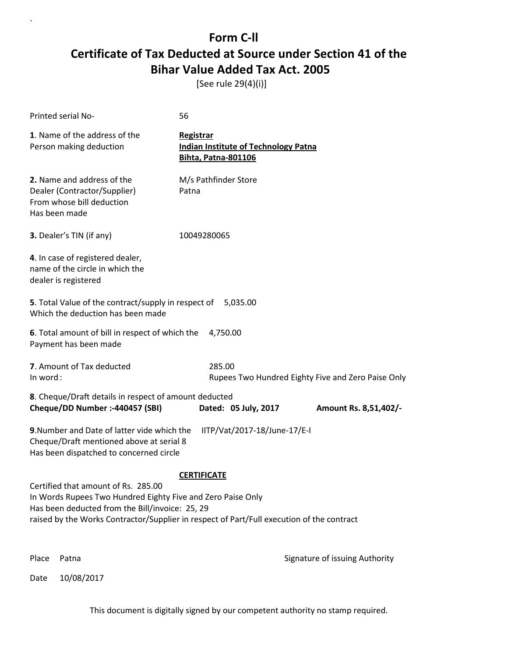[See rule 29(4)(i)]

| Printed serial No-                                                                                                                                                                                                                                 | 56                                                                                            |                                |
|----------------------------------------------------------------------------------------------------------------------------------------------------------------------------------------------------------------------------------------------------|-----------------------------------------------------------------------------------------------|--------------------------------|
| 1. Name of the address of the<br>Person making deduction                                                                                                                                                                                           | <b>Registrar</b><br><b>Indian Institute of Technology Patna</b><br><b>Bihta, Patna-801106</b> |                                |
| 2. Name and address of the<br>Dealer (Contractor/Supplier)<br>From whose bill deduction<br>Has been made                                                                                                                                           | M/s Pathfinder Store<br>Patna                                                                 |                                |
| 3. Dealer's TIN (if any)                                                                                                                                                                                                                           | 10049280065                                                                                   |                                |
| 4. In case of registered dealer,<br>name of the circle in which the<br>dealer is registered                                                                                                                                                        |                                                                                               |                                |
| 5. Total Value of the contract/supply in respect of<br>Which the deduction has been made                                                                                                                                                           | 5,035.00                                                                                      |                                |
| 6. Total amount of bill in respect of which the<br>Payment has been made                                                                                                                                                                           | 4,750.00                                                                                      |                                |
| 7. Amount of Tax deducted<br>In word:                                                                                                                                                                                                              | 285.00<br>Rupees Two Hundred Eighty Five and Zero Paise Only                                  |                                |
| 8. Cheque/Draft details in respect of amount deducted<br>Cheque/DD Number :- 440457 (SBI)                                                                                                                                                          | Dated: 05 July, 2017                                                                          | Amount Rs. 8,51,402/-          |
| 9. Number and Date of latter vide which the<br>Cheque/Draft mentioned above at serial 8<br>Has been dispatched to concerned circle                                                                                                                 | IITP/Vat/2017-18/June-17/E-I                                                                  |                                |
|                                                                                                                                                                                                                                                    | <b>CERTIFICATE</b>                                                                            |                                |
| Certified that amount of Rs. 285.00<br>In Words Rupees Two Hundred Eighty Five and Zero Paise Only<br>Has been deducted from the Bill/invoice: 25, 29<br>raised by the Works Contractor/Supplier in respect of Part/Full execution of the contract |                                                                                               |                                |
| Place<br>Patna                                                                                                                                                                                                                                     |                                                                                               | Signature of issuing Authority |

Date 10/08/2017

`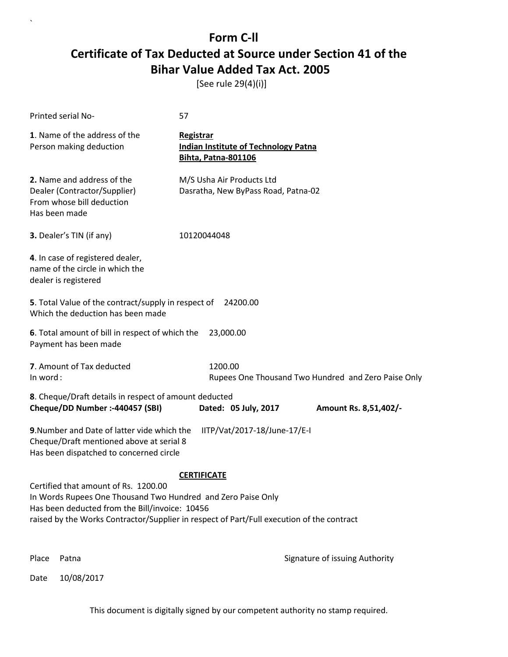[See rule 29(4)(i)]

| Printed serial No-                                                                                                                                     | 57                                                                                                              |
|--------------------------------------------------------------------------------------------------------------------------------------------------------|-----------------------------------------------------------------------------------------------------------------|
| 1. Name of the address of the<br>Person making deduction                                                                                               | <b>Registrar</b><br><b>Indian Institute of Technology Patna</b><br><b>Bihta, Patna-801106</b>                   |
| 2. Name and address of the<br>Dealer (Contractor/Supplier)<br>From whose bill deduction<br>Has been made                                               | M/S Usha Air Products Ltd<br>Dasratha, New ByPass Road, Patna-02                                                |
| 3. Dealer's TIN (if any)                                                                                                                               | 10120044048                                                                                                     |
| 4. In case of registered dealer,<br>name of the circle in which the<br>dealer is registered                                                            |                                                                                                                 |
| 5. Total Value of the contract/supply in respect of<br>Which the deduction has been made                                                               | 24200.00                                                                                                        |
| 6. Total amount of bill in respect of which the<br>Payment has been made                                                                               | 23,000.00                                                                                                       |
| 7. Amount of Tax deducted<br>In word:                                                                                                                  | 1200.00<br>Rupees One Thousand Two Hundred and Zero Paise Only                                                  |
| 8. Cheque/Draft details in respect of amount deducted<br>Cheque/DD Number :- 440457 (SBI)                                                              | Dated: 05 July, 2017<br>Amount Rs. 8,51,402/-                                                                   |
| 9. Number and Date of latter vide which the<br>Cheque/Draft mentioned above at serial 8<br>Has been dispatched to concerned circle                     | IITP/Vat/2017-18/June-17/E-I                                                                                    |
| Certified that amount of Rs. 1200.00<br>In Words Rupees One Thousand Two Hundred and Zero Paise Only<br>Has been deducted from the Bill/invoice: 10456 | <b>CERTIFICATE</b><br>raised by the Works Contractor/Supplier in respect of Part/Full execution of the contract |
| Place<br>Patna                                                                                                                                         | Signature of issuing Authority                                                                                  |

Date 10/08/2017

`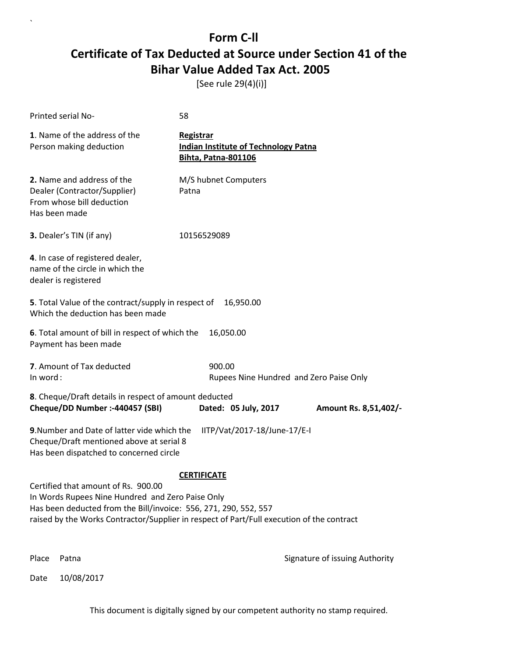[See rule 29(4)(i)]

| Printed serial No-                                                                                                                                                                                                                                       | 58                                                                                     |                                         |
|----------------------------------------------------------------------------------------------------------------------------------------------------------------------------------------------------------------------------------------------------------|----------------------------------------------------------------------------------------|-----------------------------------------|
| 1. Name of the address of the<br>Person making deduction                                                                                                                                                                                                 | Registrar<br><b>Indian Institute of Technology Patna</b><br><b>Bihta, Patna-801106</b> |                                         |
| 2. Name and address of the<br>Dealer (Contractor/Supplier)<br>From whose bill deduction<br>Has been made                                                                                                                                                 | M/S hubnet Computers<br>Patna                                                          |                                         |
| <b>3.</b> Dealer's TIN (if any)                                                                                                                                                                                                                          | 10156529089                                                                            |                                         |
| 4. In case of registered dealer,<br>name of the circle in which the<br>dealer is registered                                                                                                                                                              |                                                                                        |                                         |
| 5. Total Value of the contract/supply in respect of<br>Which the deduction has been made                                                                                                                                                                 | 16,950.00                                                                              |                                         |
| 6. Total amount of bill in respect of which the<br>Payment has been made                                                                                                                                                                                 | 16,050.00                                                                              |                                         |
| 7. Amount of Tax deducted<br>In word:                                                                                                                                                                                                                    | 900.00                                                                                 | Rupees Nine Hundred and Zero Paise Only |
| 8. Cheque/Draft details in respect of amount deducted<br>Cheque/DD Number :- 440457 (SBI)                                                                                                                                                                | Dated: 05 July, 2017                                                                   | Amount Rs. 8,51,402/-                   |
| 9. Number and Date of latter vide which the<br>Cheque/Draft mentioned above at serial 8<br>Has been dispatched to concerned circle                                                                                                                       | IITP/Vat/2017-18/June-17/E-I                                                           |                                         |
|                                                                                                                                                                                                                                                          | <b>CERTIFICATE</b>                                                                     |                                         |
| Certified that amount of Rs. 900.00<br>In Words Rupees Nine Hundred and Zero Paise Only<br>Has been deducted from the Bill/invoice: 556, 271, 290, 552, 557<br>raised by the Works Contractor/Supplier in respect of Part/Full execution of the contract |                                                                                        |                                         |
| Place<br>Patna                                                                                                                                                                                                                                           |                                                                                        | Signature of issuing Authority          |

Date 10/08/2017

`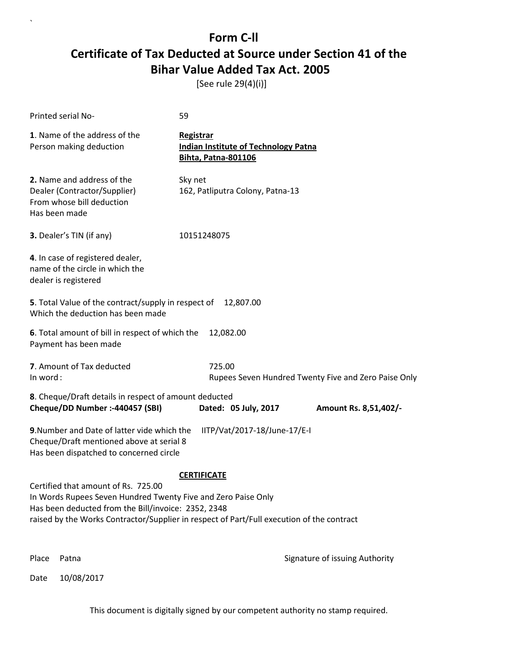[See rule 29(4)(i)]

`

|          | Printed serial No-                                                                                                                                                                                                                                       | 59                                                                                     |                                                      |
|----------|----------------------------------------------------------------------------------------------------------------------------------------------------------------------------------------------------------------------------------------------------------|----------------------------------------------------------------------------------------|------------------------------------------------------|
|          | 1. Name of the address of the<br>Person making deduction                                                                                                                                                                                                 | Registrar<br><b>Indian Institute of Technology Patna</b><br><b>Bihta, Patna-801106</b> |                                                      |
|          | 2. Name and address of the<br>Dealer (Contractor/Supplier)<br>From whose bill deduction<br>Has been made                                                                                                                                                 | Sky net<br>162, Patliputra Colony, Patna-13                                            |                                                      |
|          | 3. Dealer's TIN (if any)                                                                                                                                                                                                                                 | 10151248075                                                                            |                                                      |
|          | 4. In case of registered dealer,<br>name of the circle in which the<br>dealer is registered                                                                                                                                                              |                                                                                        |                                                      |
|          | 5. Total Value of the contract/supply in respect of<br>Which the deduction has been made                                                                                                                                                                 | 12,807.00                                                                              |                                                      |
|          | 6. Total amount of bill in respect of which the<br>Payment has been made                                                                                                                                                                                 | 12,082.00                                                                              |                                                      |
| In word: | 7. Amount of Tax deducted                                                                                                                                                                                                                                | 725.00                                                                                 | Rupees Seven Hundred Twenty Five and Zero Paise Only |
|          | 8. Cheque/Draft details in respect of amount deducted<br>Cheque/DD Number :- 440457 (SBI)                                                                                                                                                                | Dated: 05 July, 2017                                                                   | Amount Rs. 8,51,402/-                                |
|          | 9. Number and Date of latter vide which the<br>Cheque/Draft mentioned above at serial 8<br>Has been dispatched to concerned circle                                                                                                                       | IITP/Vat/2017-18/June-17/E-I                                                           |                                                      |
|          | Certified that amount of Rs. 725.00<br>In Words Rupees Seven Hundred Twenty Five and Zero Paise Only<br>Has been deducted from the Bill/invoice: 2352, 2348<br>raised by the Works Contractor/Supplier in respect of Part/Full execution of the contract | <b>CERTIFICATE</b>                                                                     |                                                      |
| Place    | Patna                                                                                                                                                                                                                                                    |                                                                                        | Signature of issuing Authority                       |
| Date     | 10/08/2017                                                                                                                                                                                                                                               |                                                                                        |                                                      |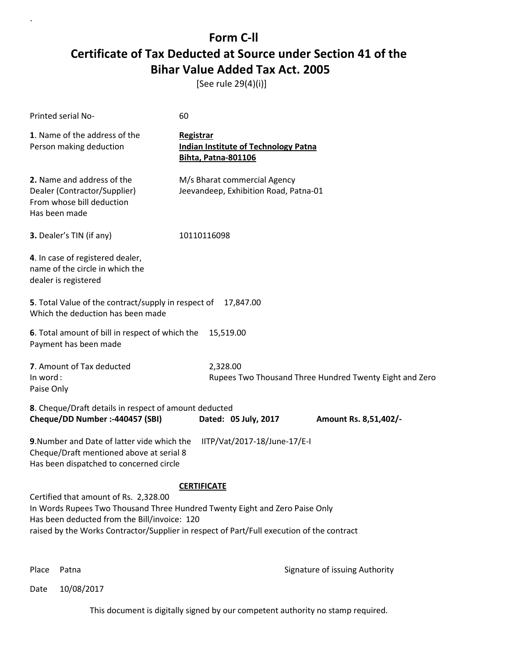[See rule 29(4)(i)]

| Printed serial No-                                                                                                                 | 60                                                                                                                                                                                             |
|------------------------------------------------------------------------------------------------------------------------------------|------------------------------------------------------------------------------------------------------------------------------------------------------------------------------------------------|
| 1. Name of the address of the<br>Person making deduction                                                                           | Registrar<br><b>Indian Institute of Technology Patna</b><br><b>Bihta, Patna-801106</b>                                                                                                         |
| 2. Name and address of the<br>Dealer (Contractor/Supplier)<br>From whose bill deduction<br>Has been made                           | M/s Bharat commercial Agency<br>Jeevandeep, Exhibition Road, Patna-01                                                                                                                          |
| 3. Dealer's TIN (if any)                                                                                                           | 10110116098                                                                                                                                                                                    |
| 4. In case of registered dealer,<br>name of the circle in which the<br>dealer is registered                                        |                                                                                                                                                                                                |
| 5. Total Value of the contract/supply in respect of<br>Which the deduction has been made                                           | 17,847.00                                                                                                                                                                                      |
| 6. Total amount of bill in respect of which the<br>Payment has been made                                                           | 15,519.00                                                                                                                                                                                      |
| 7. Amount of Tax deducted<br>In word:<br>Paise Only                                                                                | 2,328.00<br>Rupees Two Thousand Three Hundred Twenty Eight and Zero                                                                                                                            |
| 8. Cheque/Draft details in respect of amount deducted<br>Cheque/DD Number :- 440457 (SBI)                                          | Dated: 05 July, 2017<br>Amount Rs. 8,51,402/-                                                                                                                                                  |
| 9. Number and Date of latter vide which the<br>Cheque/Draft mentioned above at serial 8<br>Has been dispatched to concerned circle | IITP/Vat/2017-18/June-17/E-I                                                                                                                                                                   |
| Certified that amount of Rs. 2,328.00<br>Has been deducted from the Bill/invoice: 120                                              | <b>CERTIFICATE</b><br>In Words Rupees Two Thousand Three Hundred Twenty Eight and Zero Paise Only<br>raised by the Works Contractor/Supplier in respect of Part/Full execution of the contract |

`

Place Patna **Property** Place Patna Signature of issuing Authority

Date 10/08/2017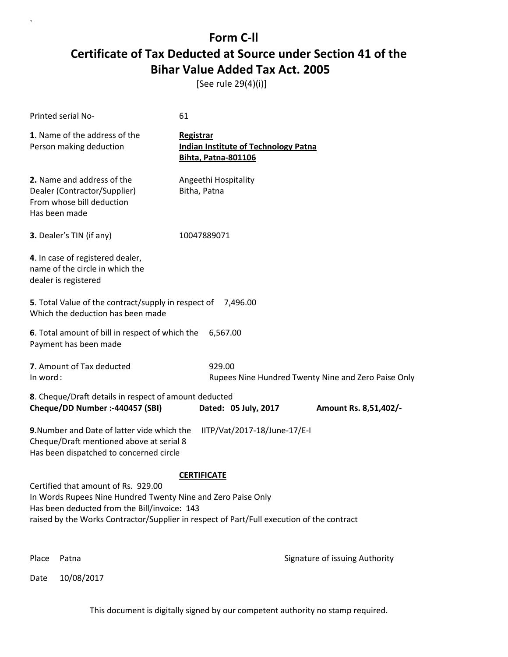[See rule 29(4)(i)]

| Printed serial No-                                                                                                                                  | 61                                                                                            |
|-----------------------------------------------------------------------------------------------------------------------------------------------------|-----------------------------------------------------------------------------------------------|
| 1. Name of the address of the<br>Person making deduction                                                                                            | <b>Registrar</b><br><b>Indian Institute of Technology Patna</b><br><b>Bihta, Patna-801106</b> |
| 2. Name and address of the<br>Dealer (Contractor/Supplier)<br>From whose bill deduction<br>Has been made                                            | Angeethi Hospitality<br>Bitha, Patna                                                          |
| <b>3.</b> Dealer's TIN (if any)                                                                                                                     | 10047889071                                                                                   |
| 4. In case of registered dealer,<br>name of the circle in which the<br>dealer is registered                                                         |                                                                                               |
| 5. Total Value of the contract/supply in respect of 7,496.00<br>Which the deduction has been made                                                   |                                                                                               |
| 6. Total amount of bill in respect of which the<br>Payment has been made                                                                            | 6,567.00                                                                                      |
| 7. Amount of Tax deducted<br>In word:                                                                                                               | 929.00<br>Rupees Nine Hundred Twenty Nine and Zero Paise Only                                 |
| 8. Cheque/Draft details in respect of amount deducted<br>Cheque/DD Number :- 440457 (SBI)                                                           | Dated: 05 July, 2017<br>Amount Rs. 8,51,402/-                                                 |
| 9. Number and Date of latter vide which the<br>Cheque/Draft mentioned above at serial 8<br>Has been dispatched to concerned circle                  | IITP/Vat/2017-18/June-17/E-I                                                                  |
|                                                                                                                                                     | <b>CERTIFICATE</b>                                                                            |
| Certified that amount of Rs. 929.00<br>In Words Rupees Nine Hundred Twenty Nine and Zero Paise Only<br>Has been deducted from the Bill/invoice: 143 | raised by the Works Contractor/Supplier in respect of Part/Full execution of the contract     |
| Place<br>Patna                                                                                                                                      | Signature of issuing Authority                                                                |

Date 10/08/2017

`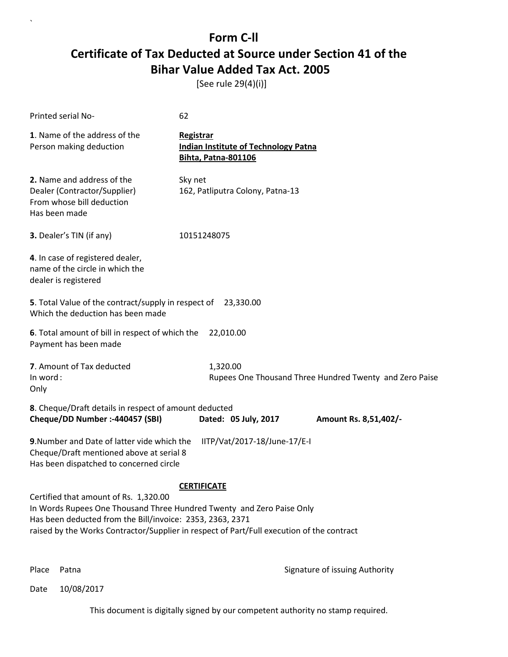[See rule 29(4)(i)]

| Printed serial No-                                                                                                                                                          | 62                                                                                                              |
|-----------------------------------------------------------------------------------------------------------------------------------------------------------------------------|-----------------------------------------------------------------------------------------------------------------|
| 1. Name of the address of the<br>Person making deduction                                                                                                                    | <b>Registrar</b><br><b>Indian Institute of Technology Patna</b><br><b>Bihta, Patna-801106</b>                   |
| 2. Name and address of the<br>Dealer (Contractor/Supplier)<br>From whose bill deduction<br>Has been made                                                                    | Sky net<br>162, Patliputra Colony, Patna-13                                                                     |
| 3. Dealer's TIN (if any)                                                                                                                                                    | 10151248075                                                                                                     |
| 4. In case of registered dealer,<br>name of the circle in which the<br>dealer is registered                                                                                 |                                                                                                                 |
| 5. Total Value of the contract/supply in respect of 23,330.00<br>Which the deduction has been made                                                                          |                                                                                                                 |
| 6. Total amount of bill in respect of which the<br>Payment has been made                                                                                                    | 22,010.00                                                                                                       |
| 7. Amount of Tax deducted<br>In word:<br>Only                                                                                                                               | 1,320.00<br>Rupees One Thousand Three Hundred Twenty and Zero Paise                                             |
| 8. Cheque/Draft details in respect of amount deducted<br>Cheque/DD Number :- 440457 (SBI)                                                                                   | Dated: 05 July, 2017<br>Amount Rs. 8,51,402/-                                                                   |
| 9. Number and Date of latter vide which the<br>Cheque/Draft mentioned above at serial 8<br>Has been dispatched to concerned circle                                          | IITP/Vat/2017-18/June-17/E-I                                                                                    |
| Certified that amount of Rs. 1,320.00<br>In Words Rupees One Thousand Three Hundred Twenty and Zero Paise Only<br>Has been deducted from the Bill/invoice: 2353, 2363, 2371 | <b>CERTIFICATE</b><br>raised by the Works Contractor/Supplier in respect of Part/Full execution of the contract |

`

Place Patna **Property** Place Patna Signature of issuing Authority

Date 10/08/2017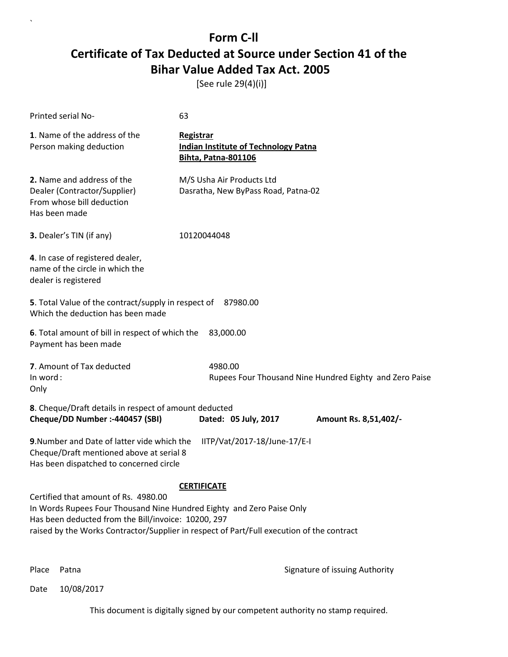[See rule 29(4)(i)]

| Printed serial No-                                                                                                                                                                                                                                                | 63                                                                                            |                                                         |
|-------------------------------------------------------------------------------------------------------------------------------------------------------------------------------------------------------------------------------------------------------------------|-----------------------------------------------------------------------------------------------|---------------------------------------------------------|
| 1. Name of the address of the<br>Person making deduction                                                                                                                                                                                                          | <b>Registrar</b><br><b>Indian Institute of Technology Patna</b><br><b>Bihta, Patna-801106</b> |                                                         |
| 2. Name and address of the<br>Dealer (Contractor/Supplier)<br>From whose bill deduction<br>Has been made                                                                                                                                                          | M/S Usha Air Products Ltd<br>Dasratha, New ByPass Road, Patna-02                              |                                                         |
| 3. Dealer's TIN (if any)                                                                                                                                                                                                                                          | 10120044048                                                                                   |                                                         |
| 4. In case of registered dealer,<br>name of the circle in which the<br>dealer is registered                                                                                                                                                                       |                                                                                               |                                                         |
| 5. Total Value of the contract/supply in respect of 87980.00<br>Which the deduction has been made                                                                                                                                                                 |                                                                                               |                                                         |
| 6. Total amount of bill in respect of which the<br>Payment has been made                                                                                                                                                                                          | 83,000.00                                                                                     |                                                         |
| 7. Amount of Tax deducted<br>In word:<br>Only                                                                                                                                                                                                                     | 4980.00                                                                                       | Rupees Four Thousand Nine Hundred Eighty and Zero Paise |
| 8. Cheque/Draft details in respect of amount deducted<br>Cheque/DD Number :- 440457 (SBI)                                                                                                                                                                         | Dated: 05 July, 2017                                                                          | Amount Rs. 8,51,402/-                                   |
| 9. Number and Date of latter vide which the<br>Cheque/Draft mentioned above at serial 8<br>Has been dispatched to concerned circle                                                                                                                                | IITP/Vat/2017-18/June-17/E-I                                                                  |                                                         |
| Certified that amount of Rs. 4980.00<br>In Words Rupees Four Thousand Nine Hundred Eighty and Zero Paise Only<br>Has been deducted from the Bill/invoice: 10200, 297<br>raised by the Works Contractor/Supplier in respect of Part/Full execution of the contract | <b>CERTIFICATE</b>                                                                            |                                                         |

`

Place Patna **Property** Place Patna Signature of issuing Authority

Date 10/08/2017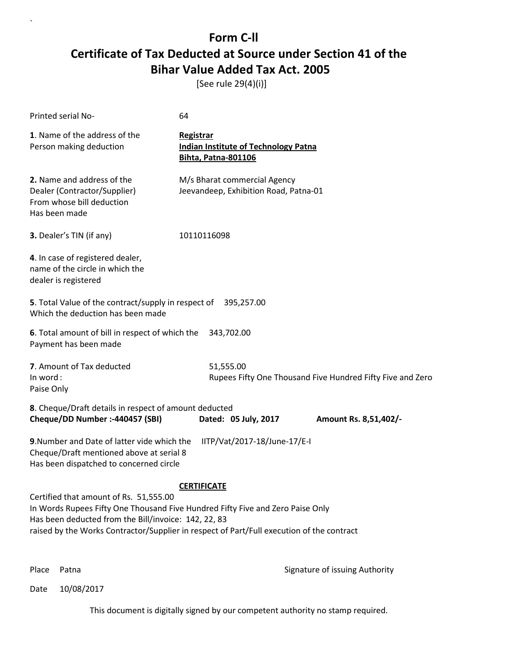[See rule 29(4)(i)]

| Printed serial No-                                                                                                                                                                                                                                                            | 64                                                                                            |                                                            |
|-------------------------------------------------------------------------------------------------------------------------------------------------------------------------------------------------------------------------------------------------------------------------------|-----------------------------------------------------------------------------------------------|------------------------------------------------------------|
| 1. Name of the address of the<br>Person making deduction                                                                                                                                                                                                                      | <b>Registrar</b><br><b>Indian Institute of Technology Patna</b><br><b>Bihta, Patna-801106</b> |                                                            |
| 2. Name and address of the<br>Dealer (Contractor/Supplier)<br>From whose bill deduction<br>Has been made                                                                                                                                                                      | M/s Bharat commercial Agency<br>Jeevandeep, Exhibition Road, Patna-01                         |                                                            |
| 3. Dealer's TIN (if any)                                                                                                                                                                                                                                                      | 10110116098                                                                                   |                                                            |
| 4. In case of registered dealer,<br>name of the circle in which the<br>dealer is registered                                                                                                                                                                                   |                                                                                               |                                                            |
| 5. Total Value of the contract/supply in respect of 395,257.00<br>Which the deduction has been made                                                                                                                                                                           |                                                                                               |                                                            |
| 6. Total amount of bill in respect of which the<br>Payment has been made                                                                                                                                                                                                      | 343,702.00                                                                                    |                                                            |
| 7. Amount of Tax deducted<br>In word:<br>Paise Only                                                                                                                                                                                                                           | 51,555.00                                                                                     | Rupees Fifty One Thousand Five Hundred Fifty Five and Zero |
| 8. Cheque/Draft details in respect of amount deducted<br>Cheque/DD Number :- 440457 (SBI)                                                                                                                                                                                     | Dated: 05 July, 2017                                                                          | Amount Rs. 8,51,402/-                                      |
| 9. Number and Date of latter vide which the<br>Cheque/Draft mentioned above at serial 8<br>Has been dispatched to concerned circle                                                                                                                                            | IITP/Vat/2017-18/June-17/E-I                                                                  |                                                            |
| Certified that amount of Rs. 51,555.00<br>In Words Rupees Fifty One Thousand Five Hundred Fifty Five and Zero Paise Only<br>Has been deducted from the Bill/invoice: 142, 22, 83<br>raised by the Works Contractor/Supplier in respect of Part/Full execution of the contract | <b>CERTIFICATE</b>                                                                            |                                                            |

`

Place Patna **Property** Place Patna Signature of issuing Authority

Date 10/08/2017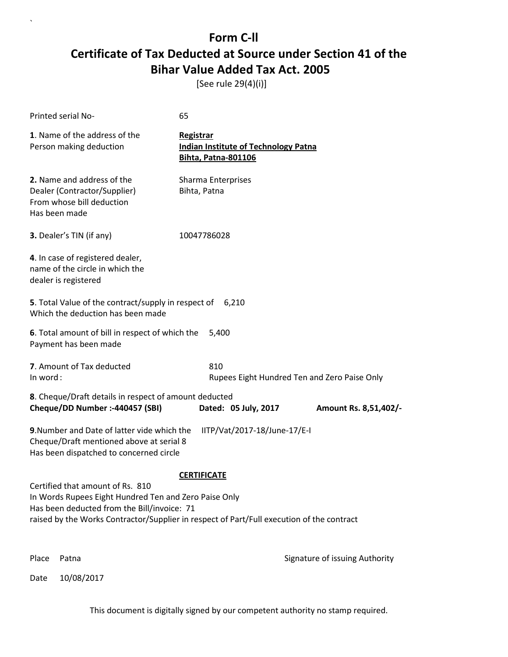[See rule 29(4)(i)]

`

| Printed serial No-                                                                                                                       | 65                                                                                                              |                                              |
|------------------------------------------------------------------------------------------------------------------------------------------|-----------------------------------------------------------------------------------------------------------------|----------------------------------------------|
| 1. Name of the address of the<br>Person making deduction                                                                                 | Registrar<br><b>Indian Institute of Technology Patna</b><br><b>Bihta, Patna-801106</b>                          |                                              |
| 2. Name and address of the<br>Dealer (Contractor/Supplier)<br>From whose bill deduction<br>Has been made                                 | Sharma Enterprises<br>Bihta, Patna                                                                              |                                              |
| 3. Dealer's TIN (if any)                                                                                                                 | 10047786028                                                                                                     |                                              |
| 4. In case of registered dealer,<br>name of the circle in which the<br>dealer is registered                                              |                                                                                                                 |                                              |
| 5. Total Value of the contract/supply in respect of<br>Which the deduction has been made                                                 | 6,210                                                                                                           |                                              |
| 6. Total amount of bill in respect of which the<br>Payment has been made                                                                 | 5,400                                                                                                           |                                              |
| 7. Amount of Tax deducted<br>In word:                                                                                                    | 810                                                                                                             | Rupees Eight Hundred Ten and Zero Paise Only |
| 8. Cheque/Draft details in respect of amount deducted<br>Cheque/DD Number :- 440457 (SBI)                                                | Dated: 05 July, 2017                                                                                            | Amount Rs. 8,51,402/-                        |
| 9. Number and Date of latter vide which the<br>Cheque/Draft mentioned above at serial 8<br>Has been dispatched to concerned circle       | IITP/Vat/2017-18/June-17/E-I                                                                                    |                                              |
| Certified that amount of Rs. 810<br>In Words Rupees Eight Hundred Ten and Zero Paise Only<br>Has been deducted from the Bill/invoice: 71 | <b>CERTIFICATE</b><br>raised by the Works Contractor/Supplier in respect of Part/Full execution of the contract |                                              |
| Place<br>Patna                                                                                                                           |                                                                                                                 | Signature of issuing Authority               |
| 10/08/2017<br>Date                                                                                                                       |                                                                                                                 |                                              |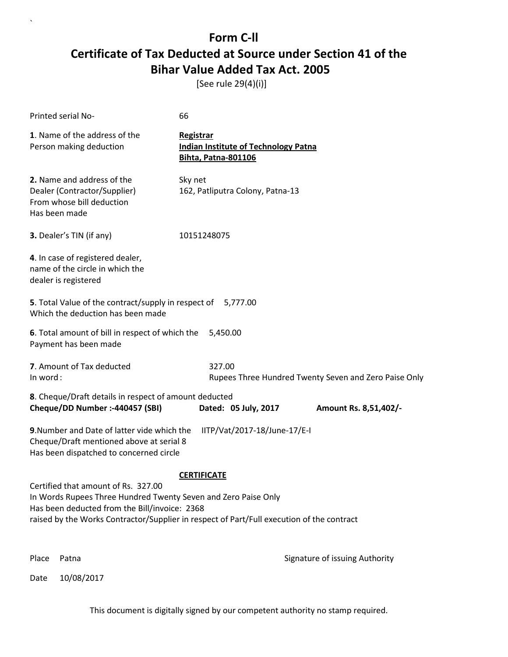[See rule 29(4)(i)]

| Printed serial No-                                                                                                                                                                                                                                  | 66                                                                                            |                                                       |
|-----------------------------------------------------------------------------------------------------------------------------------------------------------------------------------------------------------------------------------------------------|-----------------------------------------------------------------------------------------------|-------------------------------------------------------|
| 1. Name of the address of the<br>Person making deduction                                                                                                                                                                                            | <b>Registrar</b><br><b>Indian Institute of Technology Patna</b><br><b>Bihta, Patna-801106</b> |                                                       |
| 2. Name and address of the<br>Dealer (Contractor/Supplier)<br>From whose bill deduction<br>Has been made                                                                                                                                            | Sky net<br>162, Patliputra Colony, Patna-13                                                   |                                                       |
| 3. Dealer's TIN (if any)                                                                                                                                                                                                                            | 10151248075                                                                                   |                                                       |
| 4. In case of registered dealer,<br>name of the circle in which the<br>dealer is registered                                                                                                                                                         |                                                                                               |                                                       |
| 5. Total Value of the contract/supply in respect of<br>Which the deduction has been made                                                                                                                                                            | 5,777.00                                                                                      |                                                       |
| 6. Total amount of bill in respect of which the<br>Payment has been made                                                                                                                                                                            | 5,450.00                                                                                      |                                                       |
| 7. Amount of Tax deducted<br>In word:                                                                                                                                                                                                               | 327.00                                                                                        | Rupees Three Hundred Twenty Seven and Zero Paise Only |
| 8. Cheque/Draft details in respect of amount deducted<br>Cheque/DD Number :- 440457 (SBI)                                                                                                                                                           | Dated: 05 July, 2017                                                                          | Amount Rs. 8,51,402/-                                 |
| 9. Number and Date of latter vide which the<br>Cheque/Draft mentioned above at serial 8<br>Has been dispatched to concerned circle                                                                                                                  | IITP/Vat/2017-18/June-17/E-I                                                                  |                                                       |
|                                                                                                                                                                                                                                                     | <b>CERTIFICATE</b>                                                                            |                                                       |
| Certified that amount of Rs. 327.00<br>In Words Rupees Three Hundred Twenty Seven and Zero Paise Only<br>Has been deducted from the Bill/invoice: 2368<br>raised by the Works Contractor/Supplier in respect of Part/Full execution of the contract |                                                                                               |                                                       |
| Place<br>Patna                                                                                                                                                                                                                                      |                                                                                               | Signature of issuing Authority                        |

Date 10/08/2017

`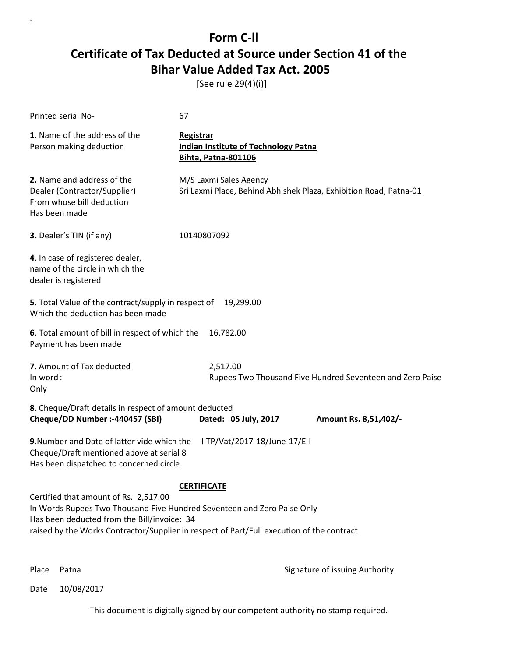[See rule 29(4)(i)]

| Printed serial No-                                                                                                                                              | 67                                                                                            |
|-----------------------------------------------------------------------------------------------------------------------------------------------------------------|-----------------------------------------------------------------------------------------------|
| 1. Name of the address of the<br>Person making deduction                                                                                                        | <b>Registrar</b><br><b>Indian Institute of Technology Patna</b><br><b>Bihta, Patna-801106</b> |
| 2. Name and address of the<br>Dealer (Contractor/Supplier)<br>From whose bill deduction<br>Has been made                                                        | M/S Laxmi Sales Agency<br>Sri Laxmi Place, Behind Abhishek Plaza, Exhibition Road, Patna-01   |
| 3. Dealer's TIN (if any)                                                                                                                                        | 10140807092                                                                                   |
| 4. In case of registered dealer,<br>name of the circle in which the<br>dealer is registered                                                                     |                                                                                               |
| 5. Total Value of the contract/supply in respect of<br>Which the deduction has been made                                                                        | 19,299.00                                                                                     |
| 6. Total amount of bill in respect of which the<br>Payment has been made                                                                                        | 16,782.00                                                                                     |
| 7. Amount of Tax deducted<br>In word:<br>Only                                                                                                                   | 2,517.00<br>Rupees Two Thousand Five Hundred Seventeen and Zero Paise                         |
| 8. Cheque/Draft details in respect of amount deducted<br>Cheque/DD Number :- 440457 (SBI)                                                                       | Dated: 05 July, 2017<br>Amount Rs. 8,51,402/-                                                 |
| 9. Number and Date of latter vide which the<br>Cheque/Draft mentioned above at serial 8<br>Has been dispatched to concerned circle                              | IITP/Vat/2017-18/June-17/E-I                                                                  |
|                                                                                                                                                                 | <b>CERTIFICATE</b>                                                                            |
| Certified that amount of Rs. 2,517.00<br>In Words Rupees Two Thousand Five Hundred Seventeen and Zero Paise Only<br>Has been deducted from the Bill/invoice: 34 | raised by the Works Contractor/Supplier in respect of Part/Full execution of the contract     |
|                                                                                                                                                                 |                                                                                               |

`

Place Patna **Property** Place Patna Signature of issuing Authority

Date 10/08/2017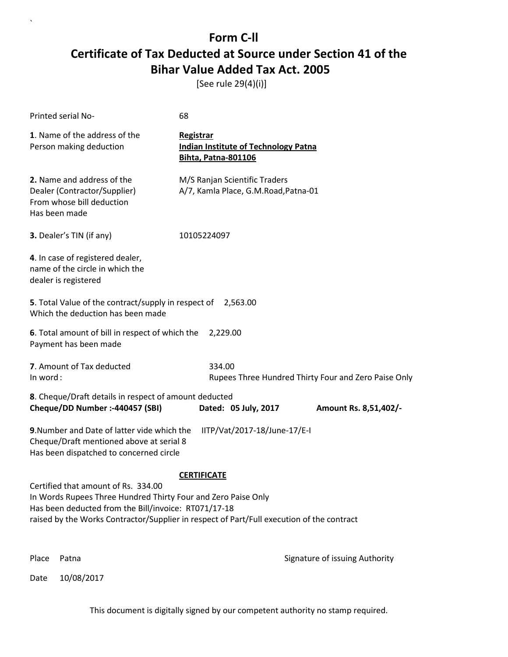[See rule 29(4)(i)]

| Printed serial No-                                                                                                                                                                                                                                                              | 68                                                                                     |  |
|---------------------------------------------------------------------------------------------------------------------------------------------------------------------------------------------------------------------------------------------------------------------------------|----------------------------------------------------------------------------------------|--|
| 1. Name of the address of the<br>Person making deduction                                                                                                                                                                                                                        | Registrar<br><b>Indian Institute of Technology Patna</b><br><b>Bihta, Patna-801106</b> |  |
| 2. Name and address of the<br>Dealer (Contractor/Supplier)<br>From whose bill deduction<br>Has been made                                                                                                                                                                        | M/S Ranjan Scientific Traders<br>A/7, Kamla Place, G.M.Road, Patna-01                  |  |
| 3. Dealer's TIN (if any)                                                                                                                                                                                                                                                        | 10105224097                                                                            |  |
| 4. In case of registered dealer,<br>name of the circle in which the<br>dealer is registered                                                                                                                                                                                     |                                                                                        |  |
| 5. Total Value of the contract/supply in respect of 2,563.00<br>Which the deduction has been made                                                                                                                                                                               |                                                                                        |  |
| 6. Total amount of bill in respect of which the<br>Payment has been made                                                                                                                                                                                                        | 2,229.00                                                                               |  |
| 7. Amount of Tax deducted<br>In word:                                                                                                                                                                                                                                           | 334.00<br>Rupees Three Hundred Thirty Four and Zero Paise Only                         |  |
| 8. Cheque/Draft details in respect of amount deducted<br>Cheque/DD Number :- 440457 (SBI)                                                                                                                                                                                       | Dated: 05 July, 2017<br>Amount Rs. 8,51,402/-                                          |  |
| 9. Number and Date of latter vide which the<br>Cheque/Draft mentioned above at serial 8<br>Has been dispatched to concerned circle                                                                                                                                              | IITP/Vat/2017-18/June-17/E-I                                                           |  |
| <b>CERTIFICATE</b><br>Certified that amount of Rs. 334.00<br>In Words Rupees Three Hundred Thirty Four and Zero Paise Only<br>Has been deducted from the Bill/invoice: RT071/17-18<br>raised by the Works Contractor/Supplier in respect of Part/Full execution of the contract |                                                                                        |  |
| Place<br>Patna                                                                                                                                                                                                                                                                  | Signature of issuing Authority                                                         |  |

Date 10/08/2017

`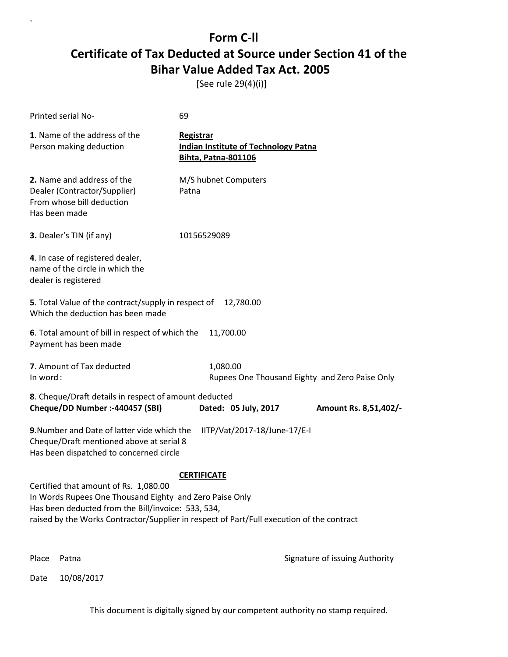[See rule 29(4)(i)]

| Printed serial No-                                                                                                                                                                                                                                  | 69                                                                                     |                                                |
|-----------------------------------------------------------------------------------------------------------------------------------------------------------------------------------------------------------------------------------------------------|----------------------------------------------------------------------------------------|------------------------------------------------|
| 1. Name of the address of the<br>Person making deduction                                                                                                                                                                                            | Registrar<br><b>Indian Institute of Technology Patna</b><br><b>Bihta, Patna-801106</b> |                                                |
| 2. Name and address of the<br>Dealer (Contractor/Supplier)<br>From whose bill deduction<br>Has been made                                                                                                                                            | M/S hubnet Computers<br>Patna                                                          |                                                |
| 3. Dealer's TIN (if any)                                                                                                                                                                                                                            | 10156529089                                                                            |                                                |
| 4. In case of registered dealer,<br>name of the circle in which the<br>dealer is registered                                                                                                                                                         |                                                                                        |                                                |
| 5. Total Value of the contract/supply in respect of<br>Which the deduction has been made                                                                                                                                                            | 12,780.00                                                                              |                                                |
| 6. Total amount of bill in respect of which the<br>Payment has been made                                                                                                                                                                            | 11,700.00                                                                              |                                                |
| 7. Amount of Tax deducted<br>In word:                                                                                                                                                                                                               | 1,080.00                                                                               | Rupees One Thousand Eighty and Zero Paise Only |
| 8. Cheque/Draft details in respect of amount deducted<br>Cheque/DD Number :- 440457 (SBI)                                                                                                                                                           | Dated: 05 July, 2017                                                                   | Amount Rs. 8,51,402/-                          |
| 9. Number and Date of latter vide which the<br>Cheque/Draft mentioned above at serial 8<br>Has been dispatched to concerned circle                                                                                                                  | IITP/Vat/2017-18/June-17/E-I                                                           |                                                |
| Certified that amount of Rs. 1,080.00<br>In Words Rupees One Thousand Eighty and Zero Paise Only<br>Has been deducted from the Bill/invoice: 533, 534,<br>raised by the Works Contractor/Supplier in respect of Part/Full execution of the contract | <b>CERTIFICATE</b>                                                                     |                                                |
| Place<br>Patna                                                                                                                                                                                                                                      |                                                                                        | Signature of issuing Authority                 |

Date 10/08/2017

`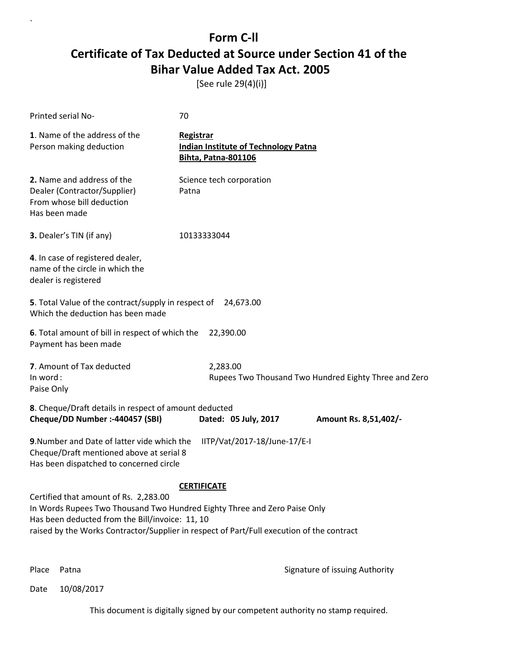[See rule 29(4)(i)]

| Printed serial No-                                                                                                                                                                                                                                                                       | 70                                                                                     |                                                       |
|------------------------------------------------------------------------------------------------------------------------------------------------------------------------------------------------------------------------------------------------------------------------------------------|----------------------------------------------------------------------------------------|-------------------------------------------------------|
| 1. Name of the address of the<br>Person making deduction                                                                                                                                                                                                                                 | Registrar<br><b>Indian Institute of Technology Patna</b><br><b>Bihta, Patna-801106</b> |                                                       |
| 2. Name and address of the<br>Dealer (Contractor/Supplier)<br>From whose bill deduction<br>Has been made                                                                                                                                                                                 | Science tech corporation<br>Patna                                                      |                                                       |
| 3. Dealer's TIN (if any)                                                                                                                                                                                                                                                                 | 10133333044                                                                            |                                                       |
| 4. In case of registered dealer,<br>name of the circle in which the<br>dealer is registered                                                                                                                                                                                              |                                                                                        |                                                       |
| 5. Total Value of the contract/supply in respect of<br>Which the deduction has been made                                                                                                                                                                                                 | 24,673.00                                                                              |                                                       |
| 6. Total amount of bill in respect of which the<br>Payment has been made                                                                                                                                                                                                                 | 22,390.00                                                                              |                                                       |
| 7. Amount of Tax deducted<br>In word:<br>Paise Only                                                                                                                                                                                                                                      | 2,283.00                                                                               | Rupees Two Thousand Two Hundred Eighty Three and Zero |
| 8. Cheque/Draft details in respect of amount deducted<br>Cheque/DD Number :- 440457 (SBI)                                                                                                                                                                                                | Dated: 05 July, 2017                                                                   | Amount Rs. 8,51,402/-                                 |
| 9. Number and Date of latter vide which the<br>IITP/Vat/2017-18/June-17/E-I<br>Cheque/Draft mentioned above at serial 8<br>Has been dispatched to concerned circle                                                                                                                       |                                                                                        |                                                       |
| <b>CERTIFICATE</b><br>Certified that amount of Rs. 2,283.00<br>In Words Rupees Two Thousand Two Hundred Eighty Three and Zero Paise Only<br>Has been deducted from the Bill/invoice: 11, 10<br>raised by the Works Contractor/Supplier in respect of Part/Full execution of the contract |                                                                                        |                                                       |

`

Place Patna **Property** Place Patna Signature of issuing Authority

Date 10/08/2017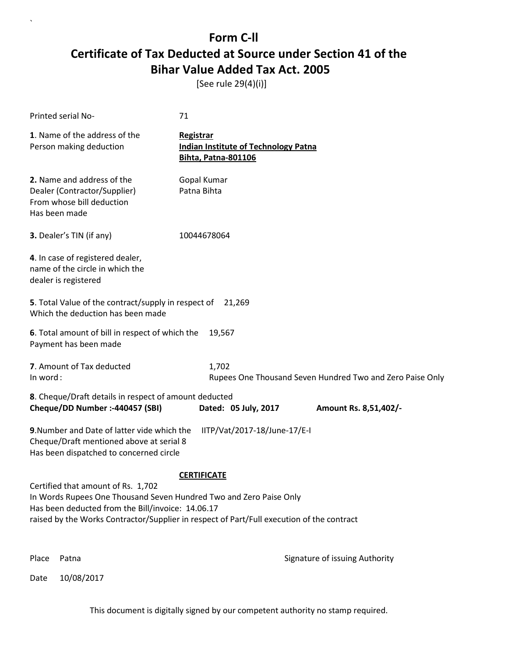[See rule 29(4)(i)]

`

| Printed serial No-                                                                                                                                                                                                                                                               | 71                                                                                            |  |
|----------------------------------------------------------------------------------------------------------------------------------------------------------------------------------------------------------------------------------------------------------------------------------|-----------------------------------------------------------------------------------------------|--|
| 1. Name of the address of the<br>Person making deduction                                                                                                                                                                                                                         | <b>Registrar</b><br><b>Indian Institute of Technology Patna</b><br><b>Bihta, Patna-801106</b> |  |
| 2. Name and address of the<br>Dealer (Contractor/Supplier)<br>From whose bill deduction<br>Has been made                                                                                                                                                                         | Gopal Kumar<br>Patna Bihta                                                                    |  |
| 3. Dealer's TIN (if any)                                                                                                                                                                                                                                                         | 10044678064                                                                                   |  |
| 4. In case of registered dealer,<br>name of the circle in which the<br>dealer is registered                                                                                                                                                                                      |                                                                                               |  |
| 5. Total Value of the contract/supply in respect of<br>Which the deduction has been made                                                                                                                                                                                         | 21.269                                                                                        |  |
| 6. Total amount of bill in respect of which the<br>Payment has been made                                                                                                                                                                                                         | 19,567                                                                                        |  |
| 7. Amount of Tax deducted<br>In word:                                                                                                                                                                                                                                            | 1,702<br>Rupees One Thousand Seven Hundred Two and Zero Paise Only                            |  |
| 8. Cheque/Draft details in respect of amount deducted<br>Cheque/DD Number :- 440457 (SBI)                                                                                                                                                                                        | Dated: 05 July, 2017<br>Amount Rs. 8,51,402/-                                                 |  |
| 9. Number and Date of latter vide which the<br>Cheque/Draft mentioned above at serial 8<br>Has been dispatched to concerned circle                                                                                                                                               | IITP/Vat/2017-18/June-17/E-I                                                                  |  |
| <b>CERTIFICATE</b><br>Certified that amount of Rs. 1,702<br>In Words Rupees One Thousand Seven Hundred Two and Zero Paise Only<br>Has been deducted from the Bill/invoice: 14.06.17<br>raised by the Works Contractor/Supplier in respect of Part/Full execution of the contract |                                                                                               |  |
| Place<br>Patna                                                                                                                                                                                                                                                                   | Signature of issuing Authority                                                                |  |
| 10/08/2017<br>Date                                                                                                                                                                                                                                                               |                                                                                               |  |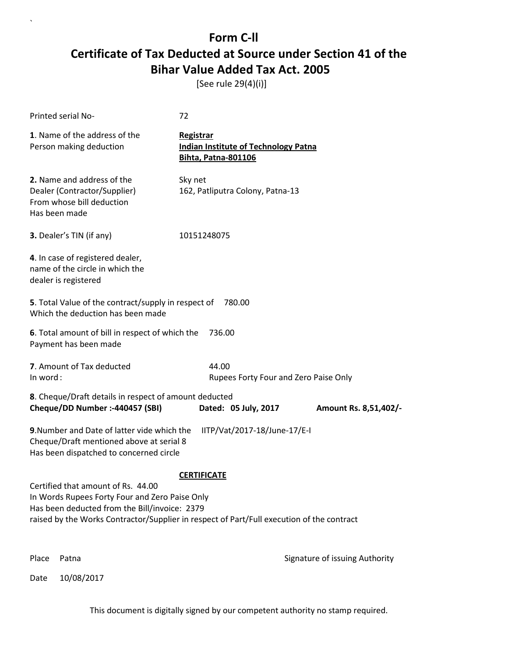[See rule 29(4)(i)]

`

|          | Printed serial No-                                                                                                                                                                                                                 | 72                                                                                            |                                |
|----------|------------------------------------------------------------------------------------------------------------------------------------------------------------------------------------------------------------------------------------|-----------------------------------------------------------------------------------------------|--------------------------------|
|          | 1. Name of the address of the<br>Person making deduction                                                                                                                                                                           | <b>Registrar</b><br><b>Indian Institute of Technology Patna</b><br><b>Bihta, Patna-801106</b> |                                |
|          | 2. Name and address of the<br>Dealer (Contractor/Supplier)<br>From whose bill deduction<br>Has been made                                                                                                                           | Sky net<br>162, Patliputra Colony, Patna-13                                                   |                                |
|          | 3. Dealer's TIN (if any)                                                                                                                                                                                                           | 10151248075                                                                                   |                                |
|          | 4. In case of registered dealer,<br>name of the circle in which the<br>dealer is registered                                                                                                                                        |                                                                                               |                                |
|          | 5. Total Value of the contract/supply in respect of<br>Which the deduction has been made                                                                                                                                           | 780.00                                                                                        |                                |
|          | 6. Total amount of bill in respect of which the<br>Payment has been made                                                                                                                                                           | 736.00                                                                                        |                                |
| In word: | 7. Amount of Tax deducted                                                                                                                                                                                                          | 44.00<br>Rupees Forty Four and Zero Paise Only                                                |                                |
|          | 8. Cheque/Draft details in respect of amount deducted<br>Cheque/DD Number :- 440457 (SBI)                                                                                                                                          | Dated: 05 July, 2017                                                                          | Amount Rs. 8,51,402/-          |
|          | 9. Number and Date of latter vide which the<br>Cheque/Draft mentioned above at serial 8<br>Has been dispatched to concerned circle                                                                                                 | IITP/Vat/2017-18/June-17/E-I                                                                  |                                |
|          | Certified that amount of Rs. 44.00<br>In Words Rupees Forty Four and Zero Paise Only<br>Has been deducted from the Bill/invoice: 2379<br>raised by the Works Contractor/Supplier in respect of Part/Full execution of the contract | <b>CERTIFICATE</b>                                                                            |                                |
| Place    | Patna                                                                                                                                                                                                                              |                                                                                               | Signature of issuing Authority |
| Date     | 10/08/2017                                                                                                                                                                                                                         |                                                                                               |                                |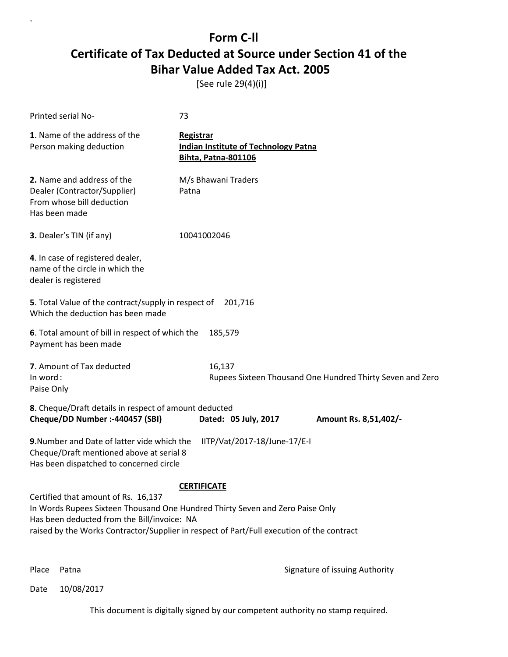[See rule 29(4)(i)]

| Printed serial No-                                                                                                                                                                                                                                                                     | 73                                                                                            |  |  |
|----------------------------------------------------------------------------------------------------------------------------------------------------------------------------------------------------------------------------------------------------------------------------------------|-----------------------------------------------------------------------------------------------|--|--|
| 1. Name of the address of the<br>Person making deduction                                                                                                                                                                                                                               | <b>Registrar</b><br><b>Indian Institute of Technology Patna</b><br><b>Bihta, Patna-801106</b> |  |  |
| 2. Name and address of the<br>Dealer (Contractor/Supplier)<br>From whose bill deduction<br>Has been made                                                                                                                                                                               | M/s Bhawani Traders<br>Patna                                                                  |  |  |
| 3. Dealer's TIN (if any)                                                                                                                                                                                                                                                               | 10041002046                                                                                   |  |  |
| 4. In case of registered dealer,<br>name of the circle in which the<br>dealer is registered                                                                                                                                                                                            |                                                                                               |  |  |
| 5. Total Value of the contract/supply in respect of<br>Which the deduction has been made                                                                                                                                                                                               | 201,716                                                                                       |  |  |
| 6. Total amount of bill in respect of which the<br>Payment has been made                                                                                                                                                                                                               | 185,579                                                                                       |  |  |
| 7. Amount of Tax deducted<br>In word:<br>Paise Only                                                                                                                                                                                                                                    | 16,137<br>Rupees Sixteen Thousand One Hundred Thirty Seven and Zero                           |  |  |
| 8. Cheque/Draft details in respect of amount deducted<br>Cheque/DD Number :- 440457 (SBI)                                                                                                                                                                                              | Dated: 05 July, 2017<br>Amount Rs. 8,51,402/-                                                 |  |  |
| 9. Number and Date of latter vide which the<br>Cheque/Draft mentioned above at serial 8<br>Has been dispatched to concerned circle                                                                                                                                                     | IITP/Vat/2017-18/June-17/E-I                                                                  |  |  |
| <b>CERTIFICATE</b><br>Certified that amount of Rs. 16,137<br>In Words Rupees Sixteen Thousand One Hundred Thirty Seven and Zero Paise Only<br>Has been deducted from the Bill/invoice: NA<br>raised by the Works Contractor/Supplier in respect of Part/Full execution of the contract |                                                                                               |  |  |

`

Place Patna **Property** Place Patna Signature of issuing Authority

Date 10/08/2017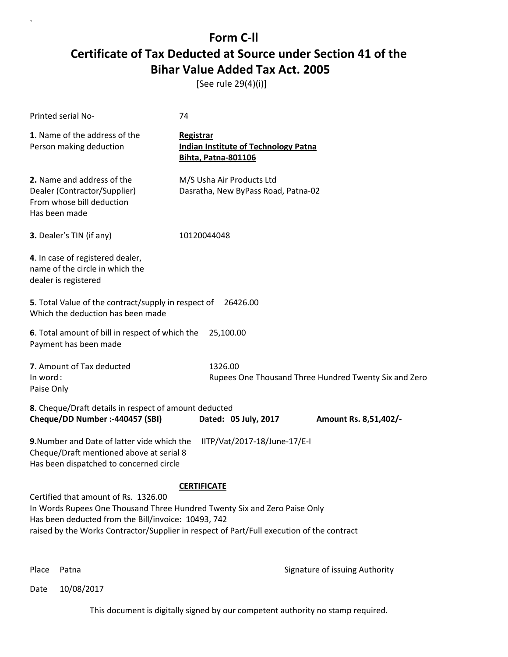[See rule 29(4)(i)]

| Printed serial No-                                                                                                                                                                                                                                                                          | 74                                                                                            |  |  |
|---------------------------------------------------------------------------------------------------------------------------------------------------------------------------------------------------------------------------------------------------------------------------------------------|-----------------------------------------------------------------------------------------------|--|--|
| 1. Name of the address of the<br>Person making deduction                                                                                                                                                                                                                                    | <b>Registrar</b><br><b>Indian Institute of Technology Patna</b><br><b>Bihta, Patna-801106</b> |  |  |
| 2. Name and address of the<br>Dealer (Contractor/Supplier)<br>From whose bill deduction<br>Has been made                                                                                                                                                                                    | M/S Usha Air Products Ltd<br>Dasratha, New ByPass Road, Patna-02                              |  |  |
| 3. Dealer's TIN (if any)                                                                                                                                                                                                                                                                    | 10120044048                                                                                   |  |  |
| 4. In case of registered dealer,<br>name of the circle in which the<br>dealer is registered                                                                                                                                                                                                 |                                                                                               |  |  |
| 5. Total Value of the contract/supply in respect of<br>26426.00<br>Which the deduction has been made                                                                                                                                                                                        |                                                                                               |  |  |
| 6. Total amount of bill in respect of which the<br>Payment has been made                                                                                                                                                                                                                    | 25,100.00                                                                                     |  |  |
| 7. Amount of Tax deducted<br>In word:<br>Paise Only                                                                                                                                                                                                                                         | 1326.00<br>Rupees One Thousand Three Hundred Twenty Six and Zero                              |  |  |
| 8. Cheque/Draft details in respect of amount deducted<br>Cheque/DD Number :- 440457 (SBI)                                                                                                                                                                                                   | Dated: 05 July, 2017<br>Amount Rs. 8,51,402/-                                                 |  |  |
| 9. Number and Date of latter vide which the<br>IITP/Vat/2017-18/June-17/E-I<br>Cheque/Draft mentioned above at serial 8<br>Has been dispatched to concerned circle                                                                                                                          |                                                                                               |  |  |
| <b>CERTIFICATE</b><br>Certified that amount of Rs. 1326.00<br>In Words Rupees One Thousand Three Hundred Twenty Six and Zero Paise Only<br>Has been deducted from the Bill/invoice: 10493, 742<br>raised by the Works Contractor/Supplier in respect of Part/Full execution of the contract |                                                                                               |  |  |

`

Place Patna **Property** Place Patna Signature of issuing Authority

Date 10/08/2017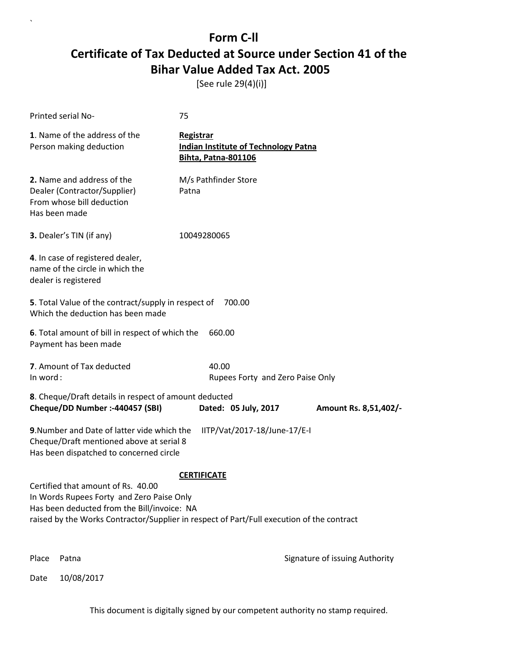[See rule 29(4)(i)]

| <b>Printed serial No-</b>                                                                                                                                                                                                   | 75                                                                                            |                                |
|-----------------------------------------------------------------------------------------------------------------------------------------------------------------------------------------------------------------------------|-----------------------------------------------------------------------------------------------|--------------------------------|
| 1. Name of the address of the<br>Person making deduction                                                                                                                                                                    | <b>Registrar</b><br><b>Indian Institute of Technology Patna</b><br><b>Bihta, Patna-801106</b> |                                |
| 2. Name and address of the<br>Dealer (Contractor/Supplier)<br>From whose bill deduction<br>Has been made                                                                                                                    | M/s Pathfinder Store<br>Patna                                                                 |                                |
| 3. Dealer's TIN (if any)                                                                                                                                                                                                    | 10049280065                                                                                   |                                |
| 4. In case of registered dealer,<br>name of the circle in which the<br>dealer is registered                                                                                                                                 |                                                                                               |                                |
| 5. Total Value of the contract/supply in respect of<br>Which the deduction has been made                                                                                                                                    | 700.00                                                                                        |                                |
| 6. Total amount of bill in respect of which the<br>Payment has been made                                                                                                                                                    | 660.00                                                                                        |                                |
| 7. Amount of Tax deducted<br>In word:                                                                                                                                                                                       | 40.00<br>Rupees Forty and Zero Paise Only                                                     |                                |
| 8. Cheque/Draft details in respect of amount deducted<br>Cheque/DD Number :- 440457 (SBI)                                                                                                                                   | Dated: 05 July, 2017                                                                          | Amount Rs. 8,51,402/-          |
| 9. Number and Date of latter vide which the<br>Cheque/Draft mentioned above at serial 8<br>Has been dispatched to concerned circle                                                                                          | IITP/Vat/2017-18/June-17/E-I                                                                  |                                |
|                                                                                                                                                                                                                             | <b>CERTIFICATE</b>                                                                            |                                |
| Certified that amount of Rs. 40.00<br>In Words Rupees Forty and Zero Paise Only<br>Has been deducted from the Bill/invoice: NA<br>raised by the Works Contractor/Supplier in respect of Part/Full execution of the contract |                                                                                               |                                |
| Place<br>Patna                                                                                                                                                                                                              |                                                                                               | Signature of issuing Authority |

Date 10/08/2017

`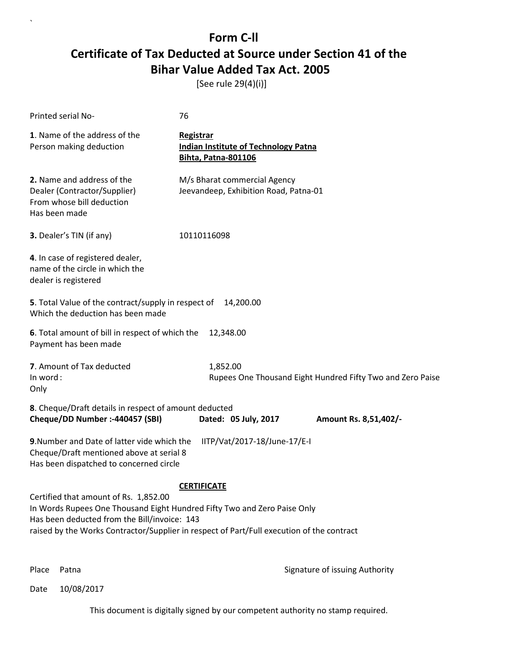[See rule 29(4)(i)]

| Printed serial No-                                                                                                                                                                                                                                                                   | 76                                                                                            |                                                            |  |
|--------------------------------------------------------------------------------------------------------------------------------------------------------------------------------------------------------------------------------------------------------------------------------------|-----------------------------------------------------------------------------------------------|------------------------------------------------------------|--|
| 1. Name of the address of the<br>Person making deduction                                                                                                                                                                                                                             | <b>Registrar</b><br><b>Indian Institute of Technology Patna</b><br><b>Bihta, Patna-801106</b> |                                                            |  |
| 2. Name and address of the<br>Dealer (Contractor/Supplier)<br>From whose bill deduction<br>Has been made                                                                                                                                                                             | M/s Bharat commercial Agency<br>Jeevandeep, Exhibition Road, Patna-01                         |                                                            |  |
| 3. Dealer's TIN (if any)                                                                                                                                                                                                                                                             | 10110116098                                                                                   |                                                            |  |
| 4. In case of registered dealer,<br>name of the circle in which the<br>dealer is registered                                                                                                                                                                                          |                                                                                               |                                                            |  |
| 5. Total Value of the contract/supply in respect of<br>14,200.00<br>Which the deduction has been made                                                                                                                                                                                |                                                                                               |                                                            |  |
| 6. Total amount of bill in respect of which the<br>Payment has been made                                                                                                                                                                                                             | 12,348.00                                                                                     |                                                            |  |
| 7. Amount of Tax deducted<br>In word:<br>Only                                                                                                                                                                                                                                        | 1,852.00                                                                                      | Rupees One Thousand Eight Hundred Fifty Two and Zero Paise |  |
| 8. Cheque/Draft details in respect of amount deducted<br>Cheque/DD Number :- 440457 (SBI)                                                                                                                                                                                            | Dated: 05 July, 2017                                                                          | Amount Rs. 8,51,402/-                                      |  |
| 9. Number and Date of latter vide which the<br>Cheque/Draft mentioned above at serial 8<br>Has been dispatched to concerned circle                                                                                                                                                   | IITP/Vat/2017-18/June-17/E-I                                                                  |                                                            |  |
| <b>CERTIFICATE</b><br>Certified that amount of Rs. 1,852.00<br>In Words Rupees One Thousand Eight Hundred Fifty Two and Zero Paise Only<br>Has been deducted from the Bill/invoice: 143<br>raised by the Works Contractor/Supplier in respect of Part/Full execution of the contract |                                                                                               |                                                            |  |

`

Place Patna **Property** Place Patna Signature of issuing Authority

Date 10/08/2017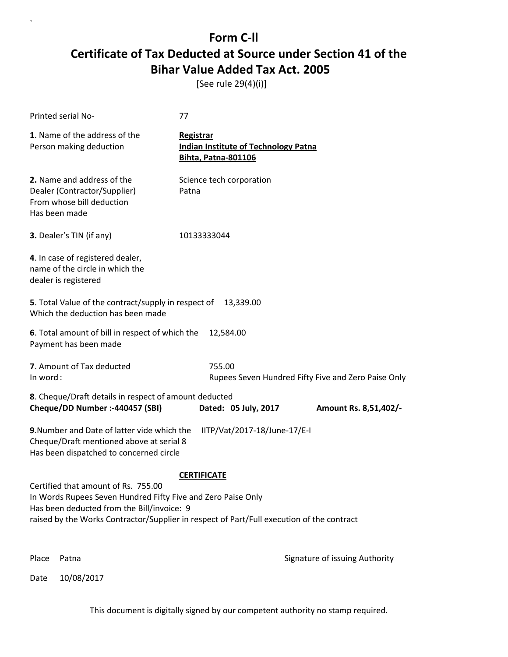[See rule 29(4)(i)]

| Printed serial No-                                                                                                                                                                                                                             | 77                                                                                            |                                                     |
|------------------------------------------------------------------------------------------------------------------------------------------------------------------------------------------------------------------------------------------------|-----------------------------------------------------------------------------------------------|-----------------------------------------------------|
| 1. Name of the address of the<br>Person making deduction                                                                                                                                                                                       | <b>Registrar</b><br><b>Indian Institute of Technology Patna</b><br><b>Bihta, Patna-801106</b> |                                                     |
| 2. Name and address of the<br>Dealer (Contractor/Supplier)<br>From whose bill deduction<br>Has been made                                                                                                                                       | Science tech corporation<br>Patna                                                             |                                                     |
| 3. Dealer's TIN (if any)                                                                                                                                                                                                                       | 10133333044                                                                                   |                                                     |
| 4. In case of registered dealer,<br>name of the circle in which the<br>dealer is registered                                                                                                                                                    |                                                                                               |                                                     |
| 5. Total Value of the contract/supply in respect of<br>Which the deduction has been made                                                                                                                                                       | 13,339.00                                                                                     |                                                     |
| 6. Total amount of bill in respect of which the<br>Payment has been made                                                                                                                                                                       | 12,584.00                                                                                     |                                                     |
| 7. Amount of Tax deducted<br>In word:                                                                                                                                                                                                          | 755.00                                                                                        | Rupees Seven Hundred Fifty Five and Zero Paise Only |
| 8. Cheque/Draft details in respect of amount deducted<br>Cheque/DD Number :- 440457 (SBI)                                                                                                                                                      | Dated: 05 July, 2017                                                                          | Amount Rs. 8,51,402/-                               |
| 9. Number and Date of latter vide which the<br>Cheque/Draft mentioned above at serial 8<br>Has been dispatched to concerned circle                                                                                                             | IITP/Vat/2017-18/June-17/E-I                                                                  |                                                     |
|                                                                                                                                                                                                                                                | <b>CERTIFICATE</b>                                                                            |                                                     |
| Certified that amount of Rs. 755.00<br>In Words Rupees Seven Hundred Fifty Five and Zero Paise Only<br>Has been deducted from the Bill/invoice: 9<br>raised by the Works Contractor/Supplier in respect of Part/Full execution of the contract |                                                                                               |                                                     |
| Place<br>Patna                                                                                                                                                                                                                                 |                                                                                               | Signature of issuing Authority                      |

Date 10/08/2017

`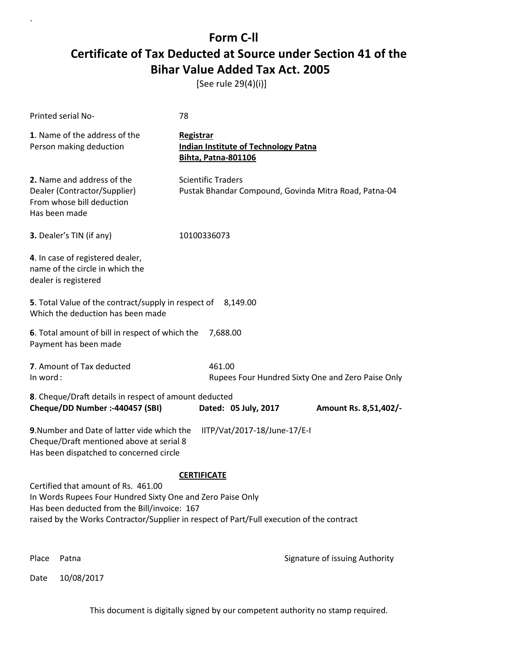[See rule 29(4)(i)]

| Printed serial No-                                                                                                                                                                                                                             | 78                                                                                     |  |  |
|------------------------------------------------------------------------------------------------------------------------------------------------------------------------------------------------------------------------------------------------|----------------------------------------------------------------------------------------|--|--|
| 1. Name of the address of the<br>Person making deduction                                                                                                                                                                                       | Registrar<br><b>Indian Institute of Technology Patna</b><br><b>Bihta, Patna-801106</b> |  |  |
| 2. Name and address of the<br>Dealer (Contractor/Supplier)<br>From whose bill deduction<br>Has been made                                                                                                                                       | <b>Scientific Traders</b><br>Pustak Bhandar Compound, Govinda Mitra Road, Patna-04     |  |  |
| 3. Dealer's TIN (if any)                                                                                                                                                                                                                       | 10100336073                                                                            |  |  |
| 4. In case of registered dealer,<br>name of the circle in which the<br>dealer is registered                                                                                                                                                    |                                                                                        |  |  |
| 5. Total Value of the contract/supply in respect of<br>Which the deduction has been made                                                                                                                                                       | 8,149.00                                                                               |  |  |
| 6. Total amount of bill in respect of which the<br>Payment has been made                                                                                                                                                                       | 7,688.00                                                                               |  |  |
| 7. Amount of Tax deducted<br>In word:                                                                                                                                                                                                          | 461.00<br>Rupees Four Hundred Sixty One and Zero Paise Only                            |  |  |
| 8. Cheque/Draft details in respect of amount deducted<br>Cheque/DD Number :- 440457 (SBI)                                                                                                                                                      | Dated: 05 July, 2017<br>Amount Rs. 8,51,402/-                                          |  |  |
| 9. Number and Date of latter vide which the<br>IITP/Vat/2017-18/June-17/E-I<br>Cheque/Draft mentioned above at serial 8<br>Has been dispatched to concerned circle                                                                             |                                                                                        |  |  |
| <b>CERTIFICATE</b>                                                                                                                                                                                                                             |                                                                                        |  |  |
| Certified that amount of Rs. 461.00<br>In Words Rupees Four Hundred Sixty One and Zero Paise Only<br>Has been deducted from the Bill/invoice: 167<br>raised by the Works Contractor/Supplier in respect of Part/Full execution of the contract |                                                                                        |  |  |
|                                                                                                                                                                                                                                                |                                                                                        |  |  |
| Place<br>Patna                                                                                                                                                                                                                                 | Signature of issuing Authority                                                         |  |  |

Date 10/08/2017

`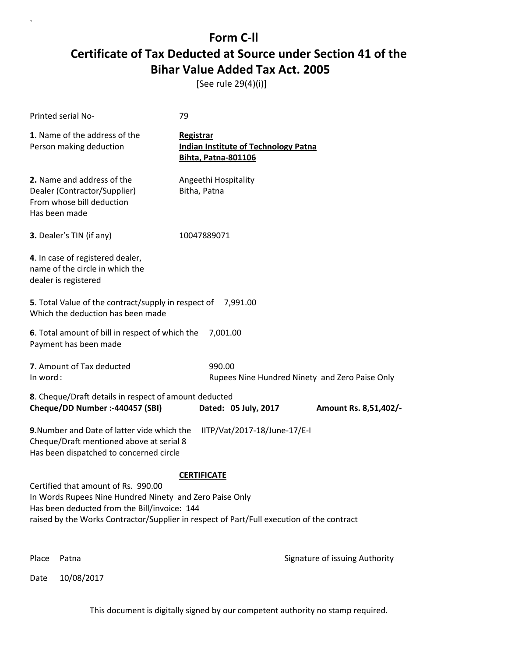[See rule 29(4)(i)]

| <b>Printed serial No-</b>                                                                                                          | 79                                                                                            |
|------------------------------------------------------------------------------------------------------------------------------------|-----------------------------------------------------------------------------------------------|
| 1. Name of the address of the<br>Person making deduction                                                                           | <b>Registrar</b><br><b>Indian Institute of Technology Patna</b><br><b>Bihta, Patna-801106</b> |
| 2. Name and address of the<br>Dealer (Contractor/Supplier)<br>From whose bill deduction<br>Has been made                           | Angeethi Hospitality<br>Bitha, Patna                                                          |
| 3. Dealer's TIN (if any)                                                                                                           | 10047889071                                                                                   |
| 4. In case of registered dealer,<br>name of the circle in which the<br>dealer is registered                                        |                                                                                               |
| 5. Total Value of the contract/supply in respect of 7,991.00<br>Which the deduction has been made                                  |                                                                                               |
| 6. Total amount of bill in respect of which the<br>Payment has been made                                                           | 7,001.00                                                                                      |
| 7. Amount of Tax deducted<br>In word:                                                                                              | 990.00<br>Rupees Nine Hundred Ninety and Zero Paise Only                                      |
| 8. Cheque/Draft details in respect of amount deducted<br>Cheque/DD Number :- 440457 (SBI)                                          | Dated: 05 July, 2017<br>Amount Rs. 8,51,402/-                                                 |
| 9. Number and Date of latter vide which the<br>Cheque/Draft mentioned above at serial 8<br>Has been dispatched to concerned circle | IITP/Vat/2017-18/June-17/E-I                                                                  |
|                                                                                                                                    | <b>CERTIFICATE</b>                                                                            |
| Certified that amount of Rs. 990.00<br>In Words Rupees Nine Hundred Ninety and Zero Paise Only                                     |                                                                                               |
| Has been deducted from the Bill/invoice: 144                                                                                       | raised by the Works Contractor/Supplier in respect of Part/Full execution of the contract     |
|                                                                                                                                    |                                                                                               |
|                                                                                                                                    |                                                                                               |

Date 10/08/2017

`

Place Patna **Property** Place Patna Signature of issuing Authority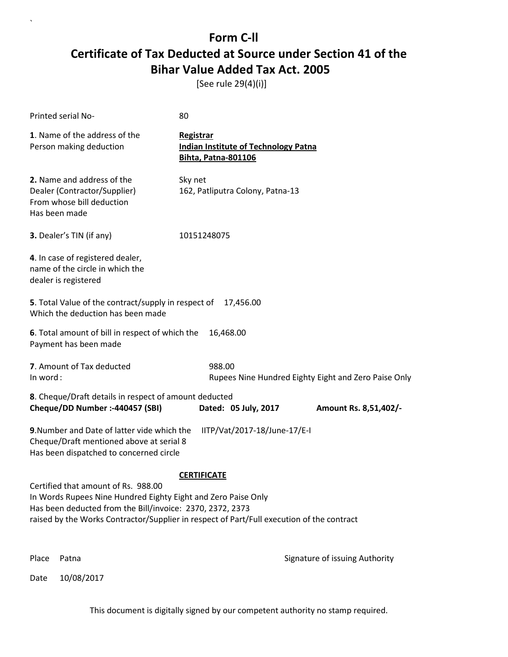[See rule 29(4)(i)]

`

|                                                                                                                                                                                                                                                                                      | Printed serial No-                                                                                       | 80                                                                                            |                                                      |  |
|--------------------------------------------------------------------------------------------------------------------------------------------------------------------------------------------------------------------------------------------------------------------------------------|----------------------------------------------------------------------------------------------------------|-----------------------------------------------------------------------------------------------|------------------------------------------------------|--|
|                                                                                                                                                                                                                                                                                      | 1. Name of the address of the<br>Person making deduction                                                 | <b>Registrar</b><br><b>Indian Institute of Technology Patna</b><br><b>Bihta, Patna-801106</b> |                                                      |  |
|                                                                                                                                                                                                                                                                                      | 2. Name and address of the<br>Dealer (Contractor/Supplier)<br>From whose bill deduction<br>Has been made | Sky net<br>162, Patliputra Colony, Patna-13                                                   |                                                      |  |
|                                                                                                                                                                                                                                                                                      | 3. Dealer's TIN (if any)                                                                                 | 10151248075                                                                                   |                                                      |  |
|                                                                                                                                                                                                                                                                                      | 4. In case of registered dealer,<br>name of the circle in which the<br>dealer is registered              |                                                                                               |                                                      |  |
|                                                                                                                                                                                                                                                                                      | 5. Total Value of the contract/supply in respect of<br>17,456.00<br>Which the deduction has been made    |                                                                                               |                                                      |  |
|                                                                                                                                                                                                                                                                                      | 6. Total amount of bill in respect of which the<br>16,468.00<br>Payment has been made                    |                                                                                               |                                                      |  |
| In word:                                                                                                                                                                                                                                                                             | 7. Amount of Tax deducted                                                                                | 988.00                                                                                        | Rupees Nine Hundred Eighty Eight and Zero Paise Only |  |
|                                                                                                                                                                                                                                                                                      | 8. Cheque/Draft details in respect of amount deducted<br>Cheque/DD Number :- 440457 (SBI)                | Dated: 05 July, 2017                                                                          | Amount Rs. 8,51,402/-                                |  |
| 9. Number and Date of latter vide which the<br>IITP/Vat/2017-18/June-17/E-I<br>Cheque/Draft mentioned above at serial 8<br>Has been dispatched to concerned circle                                                                                                                   |                                                                                                          |                                                                                               |                                                      |  |
| <b>CERTIFICATE</b><br>Certified that amount of Rs. 988.00<br>In Words Rupees Nine Hundred Eighty Eight and Zero Paise Only<br>Has been deducted from the Bill/invoice: 2370, 2372, 2373<br>raised by the Works Contractor/Supplier in respect of Part/Full execution of the contract |                                                                                                          |                                                                                               |                                                      |  |
| Place                                                                                                                                                                                                                                                                                | Patna                                                                                                    |                                                                                               | Signature of issuing Authority                       |  |
| Date                                                                                                                                                                                                                                                                                 | 10/08/2017                                                                                               |                                                                                               |                                                      |  |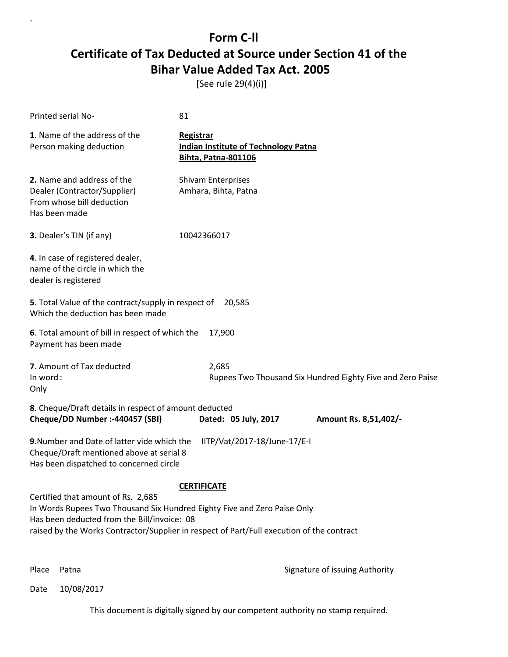[See rule 29(4)(i)]

| <b>Printed serial No-</b>                                                                                                                                                                                                                                  | 81                                                                                            |  |  |
|------------------------------------------------------------------------------------------------------------------------------------------------------------------------------------------------------------------------------------------------------------|-----------------------------------------------------------------------------------------------|--|--|
| 1. Name of the address of the<br>Person making deduction                                                                                                                                                                                                   | <b>Registrar</b><br><b>Indian Institute of Technology Patna</b><br><b>Bihta, Patna-801106</b> |  |  |
| 2. Name and address of the<br>Dealer (Contractor/Supplier)<br>From whose bill deduction<br>Has been made                                                                                                                                                   | <b>Shivam Enterprises</b><br>Amhara, Bihta, Patna                                             |  |  |
| 3. Dealer's TIN (if any)                                                                                                                                                                                                                                   | 10042366017                                                                                   |  |  |
| 4. In case of registered dealer,<br>name of the circle in which the<br>dealer is registered                                                                                                                                                                |                                                                                               |  |  |
| 5. Total Value of the contract/supply in respect of<br>Which the deduction has been made                                                                                                                                                                   | 20,585                                                                                        |  |  |
| 6. Total amount of bill in respect of which the<br>Payment has been made                                                                                                                                                                                   | 17,900                                                                                        |  |  |
| 7. Amount of Tax deducted<br>In word:<br>Only                                                                                                                                                                                                              | 2,685<br>Rupees Two Thousand Six Hundred Eighty Five and Zero Paise                           |  |  |
| 8. Cheque/Draft details in respect of amount deducted<br>Cheque/DD Number :- 440457 (SBI)                                                                                                                                                                  | Dated: 05 July, 2017<br>Amount Rs. 8,51,402/-                                                 |  |  |
| 9. Number and Date of latter vide which the<br>Cheque/Draft mentioned above at serial 8<br>Has been dispatched to concerned circle                                                                                                                         | IITP/Vat/2017-18/June-17/E-I                                                                  |  |  |
|                                                                                                                                                                                                                                                            | <b>CERTIFICATE</b>                                                                            |  |  |
| Certified that amount of Rs. 2,685<br>In Words Rupees Two Thousand Six Hundred Eighty Five and Zero Paise Only<br>Has been deducted from the Bill/invoice: 08<br>raised by the Works Contractor/Supplier in respect of Part/Full execution of the contract |                                                                                               |  |  |
|                                                                                                                                                                                                                                                            |                                                                                               |  |  |

`

Place Patna **Property** Place Patna Signature of issuing Authority

Date 10/08/2017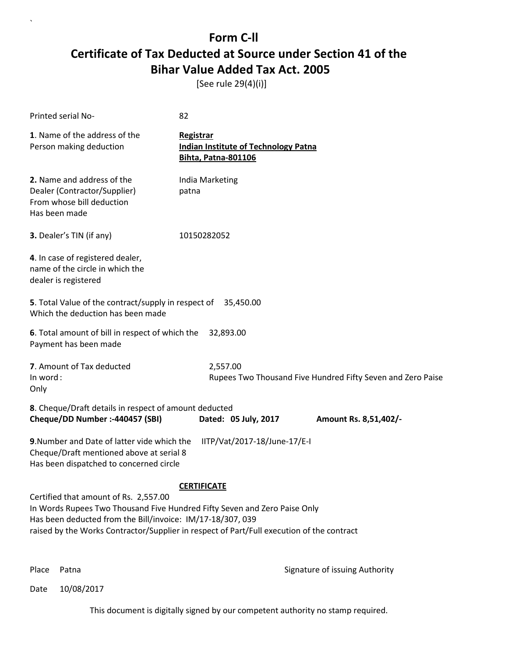[See rule 29(4)(i)]

| Printed serial No-                                                                                                                                                               | 82                                                                                                              |
|----------------------------------------------------------------------------------------------------------------------------------------------------------------------------------|-----------------------------------------------------------------------------------------------------------------|
| 1. Name of the address of the<br>Person making deduction                                                                                                                         | <b>Registrar</b><br><b>Indian Institute of Technology Patna</b><br><b>Bihta, Patna-801106</b>                   |
| 2. Name and address of the<br>Dealer (Contractor/Supplier)<br>From whose bill deduction<br>Has been made                                                                         | India Marketing<br>patna                                                                                        |
| 3. Dealer's TIN (if any)                                                                                                                                                         | 10150282052                                                                                                     |
| 4. In case of registered dealer,<br>name of the circle in which the<br>dealer is registered                                                                                      |                                                                                                                 |
| 5. Total Value of the contract/supply in respect of 35,450.00<br>Which the deduction has been made                                                                               |                                                                                                                 |
| 6. Total amount of bill in respect of which the<br>Payment has been made                                                                                                         | 32,893.00                                                                                                       |
| 7. Amount of Tax deducted<br>In word:<br>Only                                                                                                                                    | 2,557.00<br>Rupees Two Thousand Five Hundred Fifty Seven and Zero Paise                                         |
| 8. Cheque/Draft details in respect of amount deducted<br>Cheque/DD Number :- 440457 (SBI)                                                                                        | Dated: 05 July, 2017<br>Amount Rs. 8,51,402/-                                                                   |
| 9. Number and Date of latter vide which the<br>Cheque/Draft mentioned above at serial 8<br>Has been dispatched to concerned circle                                               | IITP/Vat/2017-18/June-17/E-I                                                                                    |
| Certified that amount of Rs. 2,557.00<br>In Words Rupees Two Thousand Five Hundred Fifty Seven and Zero Paise Only<br>Has been deducted from the Bill/invoice: IM/17-18/307, 039 | <b>CERTIFICATE</b><br>raised by the Works Contractor/Supplier in respect of Part/Full execution of the contract |

`

Place Patna **Property** Place Patna Signature of issuing Authority

Date 10/08/2017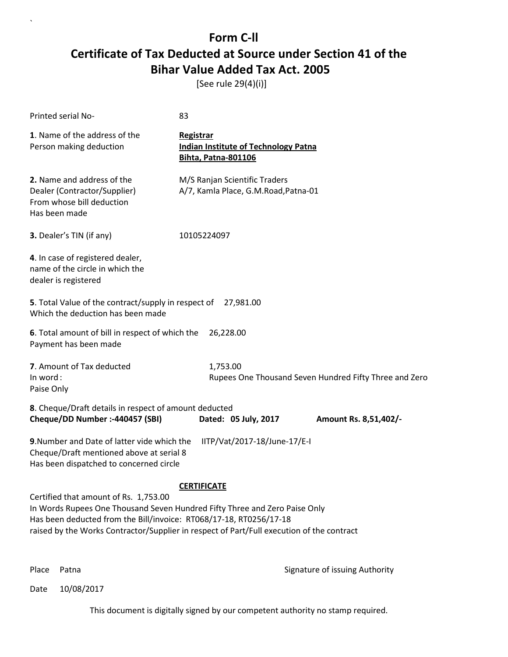[See rule 29(4)(i)]

| Printed serial No-                                                                                                                                                                                                                                                                                           | 83                                                                                            |  |
|--------------------------------------------------------------------------------------------------------------------------------------------------------------------------------------------------------------------------------------------------------------------------------------------------------------|-----------------------------------------------------------------------------------------------|--|
| 1. Name of the address of the<br>Person making deduction                                                                                                                                                                                                                                                     | <b>Registrar</b><br><b>Indian Institute of Technology Patna</b><br><b>Bihta, Patna-801106</b> |  |
| 2. Name and address of the<br>Dealer (Contractor/Supplier)<br>From whose bill deduction<br>Has been made                                                                                                                                                                                                     | M/S Ranjan Scientific Traders<br>A/7, Kamla Place, G.M.Road, Patna-01                         |  |
| 3. Dealer's TIN (if any)                                                                                                                                                                                                                                                                                     | 10105224097                                                                                   |  |
| 4. In case of registered dealer,<br>name of the circle in which the<br>dealer is registered                                                                                                                                                                                                                  |                                                                                               |  |
| 5. Total Value of the contract/supply in respect of<br>Which the deduction has been made                                                                                                                                                                                                                     | 27,981.00                                                                                     |  |
| 6. Total amount of bill in respect of which the<br>Payment has been made                                                                                                                                                                                                                                     | 26,228.00                                                                                     |  |
| 7. Amount of Tax deducted<br>In word:<br>Paise Only                                                                                                                                                                                                                                                          | 1,753.00<br>Rupees One Thousand Seven Hundred Fifty Three and Zero                            |  |
| 8. Cheque/Draft details in respect of amount deducted<br>Cheque/DD Number :- 440457 (SBI)                                                                                                                                                                                                                    | Dated: 05 July, 2017<br>Amount Rs. 8,51,402/-                                                 |  |
| 9. Number and Date of latter vide which the<br>IITP/Vat/2017-18/June-17/E-I<br>Cheque/Draft mentioned above at serial 8<br>Has been dispatched to concerned circle                                                                                                                                           |                                                                                               |  |
| <b>CERTIFICATE</b><br>Certified that amount of Rs. 1,753.00<br>In Words Rupees One Thousand Seven Hundred Fifty Three and Zero Paise Only<br>Has been deducted from the Bill/invoice: RT068/17-18, RT0256/17-18<br>raised by the Works Contractor/Supplier in respect of Part/Full execution of the contract |                                                                                               |  |

`

Place Patna **Property** Place Patna Signature of issuing Authority

Date 10/08/2017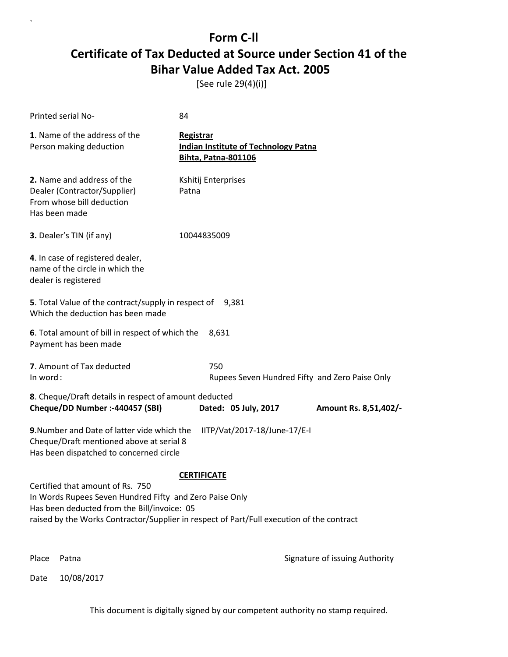[See rule 29(4)(i)]

`

|          | Printed serial No-                                                                                                                                                                                                                      | 84                                                                                     |                                                |
|----------|-----------------------------------------------------------------------------------------------------------------------------------------------------------------------------------------------------------------------------------------|----------------------------------------------------------------------------------------|------------------------------------------------|
|          | 1. Name of the address of the<br>Person making deduction                                                                                                                                                                                | Registrar<br><b>Indian Institute of Technology Patna</b><br><b>Bihta, Patna-801106</b> |                                                |
|          | 2. Name and address of the<br>Dealer (Contractor/Supplier)<br>From whose bill deduction<br>Has been made                                                                                                                                | Kshitij Enterprises<br>Patna                                                           |                                                |
|          | 3. Dealer's TIN (if any)                                                                                                                                                                                                                | 10044835009                                                                            |                                                |
|          | 4. In case of registered dealer,<br>name of the circle in which the<br>dealer is registered                                                                                                                                             |                                                                                        |                                                |
|          | 5. Total Value of the contract/supply in respect of<br>Which the deduction has been made                                                                                                                                                | 9,381                                                                                  |                                                |
|          | 6. Total amount of bill in respect of which the<br>Payment has been made                                                                                                                                                                | 8,631                                                                                  |                                                |
| In word: | 7. Amount of Tax deducted                                                                                                                                                                                                               | 750                                                                                    | Rupees Seven Hundred Fifty and Zero Paise Only |
|          | 8. Cheque/Draft details in respect of amount deducted<br>Cheque/DD Number :- 440457 (SBI)                                                                                                                                               | Dated: 05 July, 2017                                                                   | Amount Rs. 8,51,402/-                          |
|          | 9. Number and Date of latter vide which the<br>Cheque/Draft mentioned above at serial 8<br>Has been dispatched to concerned circle                                                                                                      | IITP/Vat/2017-18/June-17/E-I                                                           |                                                |
|          | Certified that amount of Rs. 750<br>In Words Rupees Seven Hundred Fifty and Zero Paise Only<br>Has been deducted from the Bill/invoice: 05<br>raised by the Works Contractor/Supplier in respect of Part/Full execution of the contract | <b>CERTIFICATE</b>                                                                     |                                                |
| Place    | Patna                                                                                                                                                                                                                                   |                                                                                        | Signature of issuing Authority                 |
| Date     | 10/08/2017                                                                                                                                                                                                                              |                                                                                        |                                                |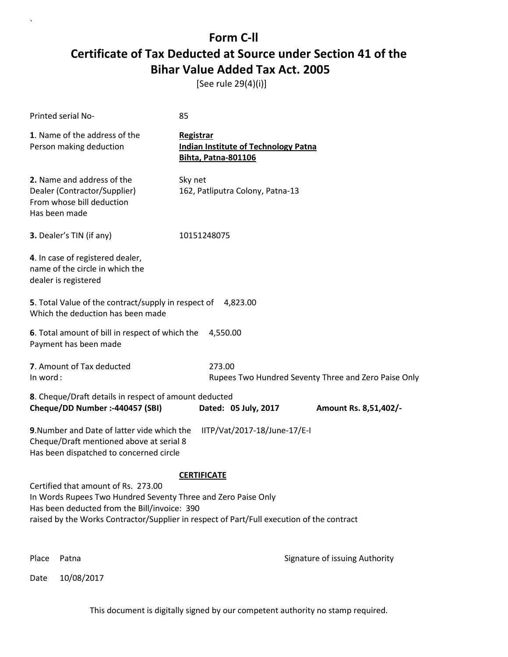[See rule 29(4)(i)]

| Printed serial No-                                                                                                                                                 | 85                                                                                            |  |
|--------------------------------------------------------------------------------------------------------------------------------------------------------------------|-----------------------------------------------------------------------------------------------|--|
| 1. Name of the address of the<br>Person making deduction                                                                                                           | <b>Registrar</b><br><b>Indian Institute of Technology Patna</b><br><b>Bihta, Patna-801106</b> |  |
| 2. Name and address of the<br>Dealer (Contractor/Supplier)<br>From whose bill deduction<br>Has been made                                                           | Sky net<br>162, Patliputra Colony, Patna-13                                                   |  |
| 3. Dealer's TIN (if any)                                                                                                                                           | 10151248075                                                                                   |  |
| 4. In case of registered dealer,<br>name of the circle in which the<br>dealer is registered                                                                        |                                                                                               |  |
| 5. Total Value of the contract/supply in respect of<br>Which the deduction has been made                                                                           | 4,823.00                                                                                      |  |
| 6. Total amount of bill in respect of which the<br>Payment has been made                                                                                           | 4,550.00                                                                                      |  |
| 7. Amount of Tax deducted<br>In word:                                                                                                                              | 273.00<br>Rupees Two Hundred Seventy Three and Zero Paise Only                                |  |
| 8. Cheque/Draft details in respect of amount deducted<br>Cheque/DD Number :- 440457 (SBI)                                                                          | Dated: 05 July, 2017<br>Amount Rs. 8,51,402/-                                                 |  |
| 9. Number and Date of latter vide which the<br>IITP/Vat/2017-18/June-17/E-I<br>Cheque/Draft mentioned above at serial 8<br>Has been dispatched to concerned circle |                                                                                               |  |
|                                                                                                                                                                    | <b>CERTIFICATE</b>                                                                            |  |
| Certified that amount of Rs. 273.00<br>In Words Rupees Two Hundred Seventy Three and Zero Paise Only<br>Has been deducted from the Bill/invoice: 390               | raised by the Works Contractor/Supplier in respect of Part/Full execution of the contract     |  |
| Place<br>Patna                                                                                                                                                     | Signature of issuing Authority                                                                |  |

Date 10/08/2017

`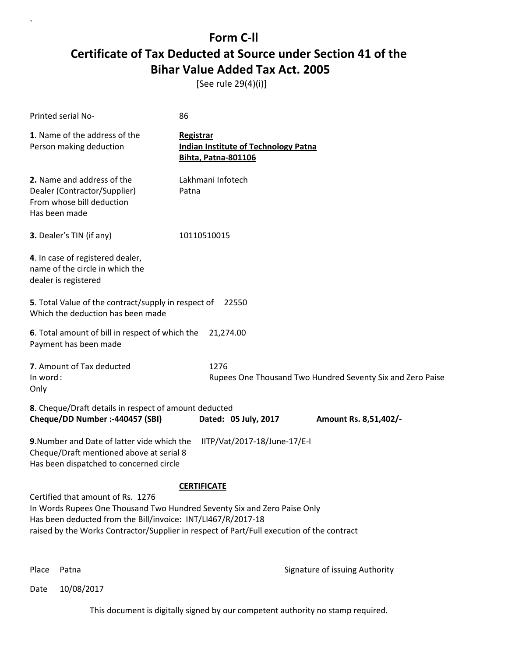[See rule 29(4)(i)]

| Printed serial No-                                                                                                                                                            | 86                                                                                                              |
|-------------------------------------------------------------------------------------------------------------------------------------------------------------------------------|-----------------------------------------------------------------------------------------------------------------|
| 1. Name of the address of the<br>Person making deduction                                                                                                                      | <b>Registrar</b><br><b>Indian Institute of Technology Patna</b><br><b>Bihta, Patna-801106</b>                   |
| 2. Name and address of the<br>Dealer (Contractor/Supplier)<br>From whose bill deduction<br>Has been made                                                                      | Lakhmani Infotech<br>Patna                                                                                      |
| 3. Dealer's TIN (if any)                                                                                                                                                      | 10110510015                                                                                                     |
| 4. In case of registered dealer,<br>name of the circle in which the<br>dealer is registered                                                                                   |                                                                                                                 |
| 5. Total Value of the contract/supply in respect of<br>Which the deduction has been made                                                                                      | 22550                                                                                                           |
| 6. Total amount of bill in respect of which the<br>Payment has been made                                                                                                      | 21,274.00                                                                                                       |
| 7. Amount of Tax deducted<br>In word:<br>Only                                                                                                                                 | 1276<br>Rupees One Thousand Two Hundred Seventy Six and Zero Paise                                              |
| 8. Cheque/Draft details in respect of amount deducted<br>Cheque/DD Number :- 440457 (SBI)                                                                                     | Dated: 05 July, 2017<br>Amount Rs. 8,51,402/-                                                                   |
| 9. Number and Date of latter vide which the<br>Cheque/Draft mentioned above at serial 8<br>Has been dispatched to concerned circle                                            | IITP/Vat/2017-18/June-17/E-I                                                                                    |
| Certified that amount of Rs. 1276<br>In Words Rupees One Thousand Two Hundred Seventy Six and Zero Paise Only<br>Has been deducted from the Bill/invoice: INT/LI467/R/2017-18 | <b>CERTIFICATE</b><br>raised by the Works Contractor/Supplier in respect of Part/Full execution of the contract |

`

Place Patna **Property** Place Patna Signature of issuing Authority

Date 10/08/2017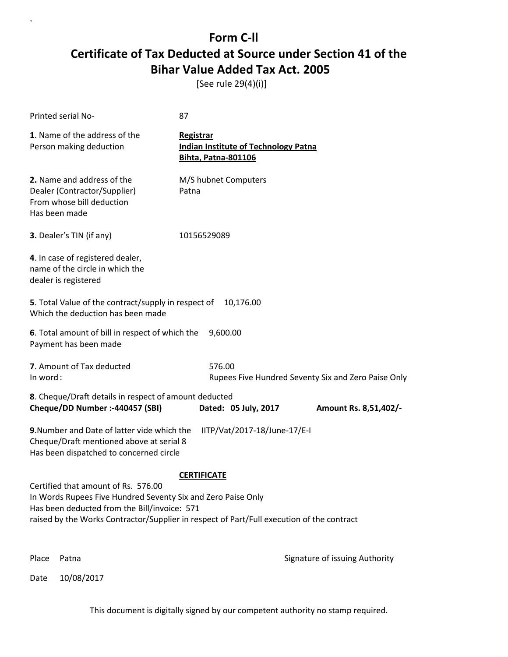[See rule 29(4)(i)]

| Printed serial No-                                                                                                                                                                                                                                                     | 87                                                                                     |  |
|------------------------------------------------------------------------------------------------------------------------------------------------------------------------------------------------------------------------------------------------------------------------|----------------------------------------------------------------------------------------|--|
| 1. Name of the address of the<br>Person making deduction                                                                                                                                                                                                               | Registrar<br><b>Indian Institute of Technology Patna</b><br><b>Bihta, Patna-801106</b> |  |
| 2. Name and address of the<br>Dealer (Contractor/Supplier)<br>From whose bill deduction<br>Has been made                                                                                                                                                               | M/S hubnet Computers<br>Patna                                                          |  |
| 3. Dealer's TIN (if any)                                                                                                                                                                                                                                               | 10156529089                                                                            |  |
| 4. In case of registered dealer,<br>name of the circle in which the<br>dealer is registered                                                                                                                                                                            |                                                                                        |  |
| 5. Total Value of the contract/supply in respect of<br>10,176.00<br>Which the deduction has been made                                                                                                                                                                  |                                                                                        |  |
| 6. Total amount of bill in respect of which the<br>Payment has been made                                                                                                                                                                                               | 9,600.00                                                                               |  |
| 7. Amount of Tax deducted<br>In word:                                                                                                                                                                                                                                  | 576.00<br>Rupees Five Hundred Seventy Six and Zero Paise Only                          |  |
| 8. Cheque/Draft details in respect of amount deducted<br>Cheque/DD Number :- 440457 (SBI)                                                                                                                                                                              | Dated: 05 July, 2017<br>Amount Rs. 8,51,402/-                                          |  |
| 9. Number and Date of latter vide which the<br>IITP/Vat/2017-18/June-17/E-I<br>Cheque/Draft mentioned above at serial 8<br>Has been dispatched to concerned circle                                                                                                     |                                                                                        |  |
| <b>CERTIFICATE</b><br>Certified that amount of Rs. 576.00<br>In Words Rupees Five Hundred Seventy Six and Zero Paise Only<br>Has been deducted from the Bill/invoice: 571<br>raised by the Works Contractor/Supplier in respect of Part/Full execution of the contract |                                                                                        |  |
| Place<br>Patna                                                                                                                                                                                                                                                         | Signature of issuing Authority                                                         |  |

Date 10/08/2017

`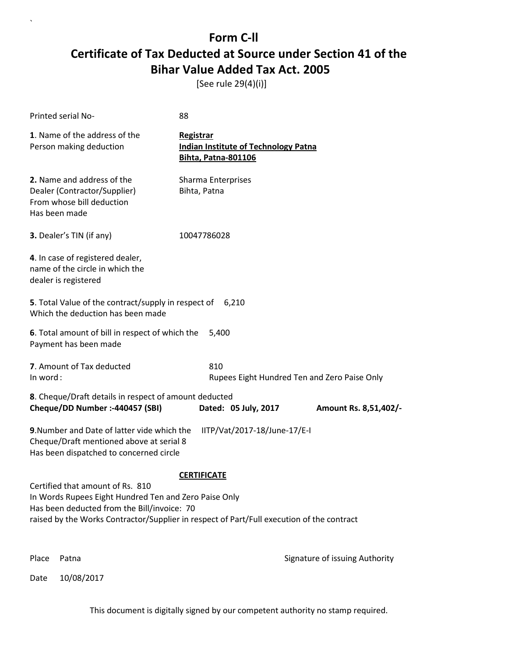[See rule 29(4)(i)]

`

|                                                                                                                                                                                                                                                             | Printed serial No-                                                                                                                 | 88                                                                                            |                                              |
|-------------------------------------------------------------------------------------------------------------------------------------------------------------------------------------------------------------------------------------------------------------|------------------------------------------------------------------------------------------------------------------------------------|-----------------------------------------------------------------------------------------------|----------------------------------------------|
|                                                                                                                                                                                                                                                             | 1. Name of the address of the<br>Person making deduction                                                                           | <b>Registrar</b><br><b>Indian Institute of Technology Patna</b><br><b>Bihta, Patna-801106</b> |                                              |
|                                                                                                                                                                                                                                                             | 2. Name and address of the<br>Dealer (Contractor/Supplier)<br>From whose bill deduction<br>Has been made                           | Sharma Enterprises<br>Bihta, Patna                                                            |                                              |
|                                                                                                                                                                                                                                                             | 3. Dealer's TIN (if any)                                                                                                           | 10047786028                                                                                   |                                              |
|                                                                                                                                                                                                                                                             | 4. In case of registered dealer,<br>name of the circle in which the<br>dealer is registered                                        |                                                                                               |                                              |
|                                                                                                                                                                                                                                                             | 5. Total Value of the contract/supply in respect of<br>Which the deduction has been made                                           | 6,210                                                                                         |                                              |
|                                                                                                                                                                                                                                                             | 6. Total amount of bill in respect of which the<br>Payment has been made                                                           | 5,400                                                                                         |                                              |
| In word:                                                                                                                                                                                                                                                    | 7. Amount of Tax deducted                                                                                                          | 810                                                                                           | Rupees Eight Hundred Ten and Zero Paise Only |
|                                                                                                                                                                                                                                                             | 8. Cheque/Draft details in respect of amount deducted<br>Cheque/DD Number :- 440457 (SBI)                                          | Dated: 05 July, 2017                                                                          | Amount Rs. 8,51,402/-                        |
|                                                                                                                                                                                                                                                             | 9. Number and Date of latter vide which the<br>Cheque/Draft mentioned above at serial 8<br>Has been dispatched to concerned circle | IITP/Vat/2017-18/June-17/E-I                                                                  |                                              |
| <b>CERTIFICATE</b><br>Certified that amount of Rs. 810<br>In Words Rupees Eight Hundred Ten and Zero Paise Only<br>Has been deducted from the Bill/invoice: 70<br>raised by the Works Contractor/Supplier in respect of Part/Full execution of the contract |                                                                                                                                    |                                                                                               |                                              |
| Place                                                                                                                                                                                                                                                       | Patna                                                                                                                              |                                                                                               | Signature of issuing Authority               |
| Date                                                                                                                                                                                                                                                        | 10/08/2017                                                                                                                         |                                                                                               |                                              |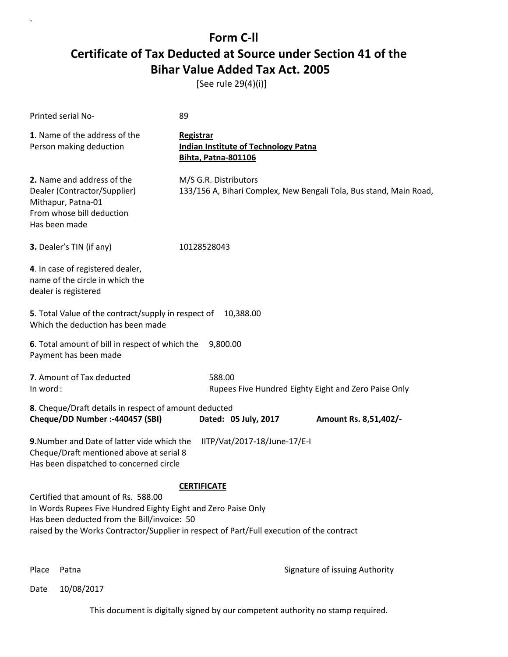[See rule 29(4)(i)]

| Printed serial No-                                                                                                                                                                                                                                                     | 89                                                                                            |  |
|------------------------------------------------------------------------------------------------------------------------------------------------------------------------------------------------------------------------------------------------------------------------|-----------------------------------------------------------------------------------------------|--|
| 1. Name of the address of the<br>Person making deduction                                                                                                                                                                                                               | <b>Registrar</b><br><b>Indian Institute of Technology Patna</b><br><b>Bihta, Patna-801106</b> |  |
| 2. Name and address of the<br>Dealer (Contractor/Supplier)<br>Mithapur, Patna-01<br>From whose bill deduction<br>Has been made                                                                                                                                         | M/S G.R. Distributors<br>133/156 A, Bihari Complex, New Bengali Tola, Bus stand, Main Road,   |  |
| 3. Dealer's TIN (if any)                                                                                                                                                                                                                                               | 10128528043                                                                                   |  |
| 4. In case of registered dealer,<br>name of the circle in which the<br>dealer is registered                                                                                                                                                                            |                                                                                               |  |
| 5. Total Value of the contract/supply in respect of<br>Which the deduction has been made                                                                                                                                                                               | 10,388.00                                                                                     |  |
| 6. Total amount of bill in respect of which the<br>Payment has been made                                                                                                                                                                                               | 9,800.00                                                                                      |  |
| 7. Amount of Tax deducted<br>In word:                                                                                                                                                                                                                                  | 588.00<br>Rupees Five Hundred Eighty Eight and Zero Paise Only                                |  |
| 8. Cheque/Draft details in respect of amount deducted<br>Cheque/DD Number :- 440457 (SBI)                                                                                                                                                                              | Dated: 05 July, 2017<br>Amount Rs. 8,51,402/-                                                 |  |
| 9. Number and Date of latter vide which the<br>IITP/Vat/2017-18/June-17/E-I<br>Cheque/Draft mentioned above at serial 8<br>Has been dispatched to concerned circle                                                                                                     |                                                                                               |  |
| <b>CERTIFICATE</b><br>Certified that amount of Rs. 588.00<br>In Words Rupees Five Hundred Eighty Eight and Zero Paise Only<br>Has been deducted from the Bill/invoice: 50<br>raised by the Works Contractor/Supplier in respect of Part/Full execution of the contract |                                                                                               |  |

`

Place Patna **Property** Place Patna Signature of issuing Authority

Date 10/08/2017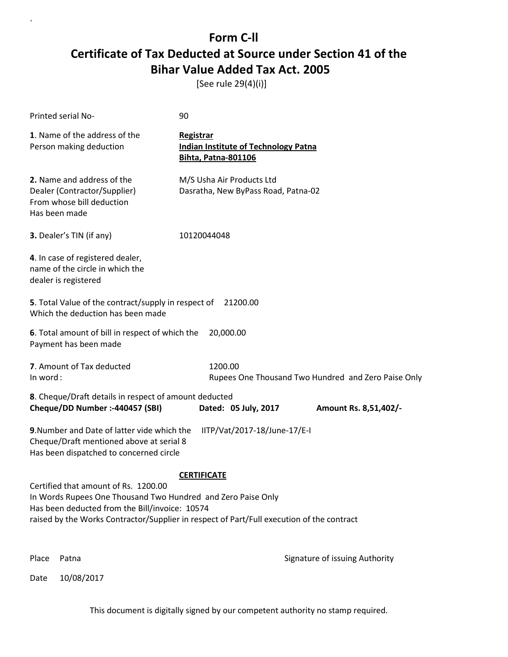[See rule 29(4)(i)]

| Printed serial No-                                                                                                                                                                                                                                                        | 90                                                                                            |  |
|---------------------------------------------------------------------------------------------------------------------------------------------------------------------------------------------------------------------------------------------------------------------------|-----------------------------------------------------------------------------------------------|--|
| 1. Name of the address of the<br>Person making deduction                                                                                                                                                                                                                  | <b>Registrar</b><br><b>Indian Institute of Technology Patna</b><br><b>Bihta, Patna-801106</b> |  |
| 2. Name and address of the<br>Dealer (Contractor/Supplier)<br>From whose bill deduction<br>Has been made                                                                                                                                                                  | M/S Usha Air Products Ltd<br>Dasratha, New ByPass Road, Patna-02                              |  |
| 3. Dealer's TIN (if any)                                                                                                                                                                                                                                                  | 10120044048                                                                                   |  |
| 4. In case of registered dealer,<br>name of the circle in which the<br>dealer is registered                                                                                                                                                                               |                                                                                               |  |
| 5. Total Value of the contract/supply in respect of<br>Which the deduction has been made                                                                                                                                                                                  | 21200.00                                                                                      |  |
| 6. Total amount of bill in respect of which the<br>Payment has been made                                                                                                                                                                                                  | 20,000.00                                                                                     |  |
| 7. Amount of Tax deducted<br>In word:                                                                                                                                                                                                                                     | 1200.00<br>Rupees One Thousand Two Hundred and Zero Paise Only                                |  |
| 8. Cheque/Draft details in respect of amount deducted<br>Cheque/DD Number :- 440457 (SBI)                                                                                                                                                                                 | Dated: 05 July, 2017<br>Amount Rs. 8,51,402/-                                                 |  |
| 9. Number and Date of latter vide which the<br>IITP/Vat/2017-18/June-17/E-I<br>Cheque/Draft mentioned above at serial 8<br>Has been dispatched to concerned circle                                                                                                        |                                                                                               |  |
| <b>CERTIFICATE</b><br>Certified that amount of Rs. 1200.00<br>In Words Rupees One Thousand Two Hundred and Zero Paise Only<br>Has been deducted from the Bill/invoice: 10574<br>raised by the Works Contractor/Supplier in respect of Part/Full execution of the contract |                                                                                               |  |
| Place<br>Patna                                                                                                                                                                                                                                                            | Signature of issuing Authority                                                                |  |

Date 10/08/2017

`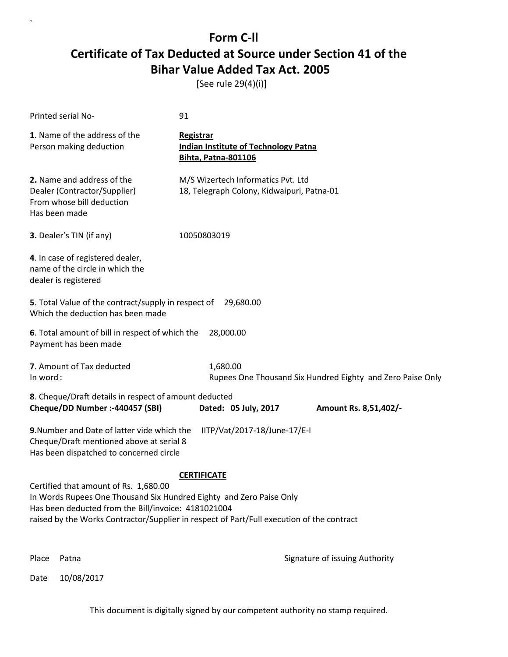[See rule 29(4)(i)]

`

| Printed serial No-                                                                                                                                                                                                                                                                     |  | 91                                                                                     |
|----------------------------------------------------------------------------------------------------------------------------------------------------------------------------------------------------------------------------------------------------------------------------------------|--|----------------------------------------------------------------------------------------|
| 1. Name of the address of the<br>Person making deduction                                                                                                                                                                                                                               |  | Registrar<br><b>Indian Institute of Technology Patna</b><br><b>Bihta, Patna-801106</b> |
| 2. Name and address of the<br>Dealer (Contractor/Supplier)<br>From whose bill deduction<br>Has been made                                                                                                                                                                               |  | M/S Wizertech Informatics Pvt. Ltd<br>18, Telegraph Colony, Kidwaipuri, Patna-01       |
| 3. Dealer's TIN (if any)                                                                                                                                                                                                                                                               |  | 10050803019                                                                            |
| 4. In case of registered dealer,<br>name of the circle in which the<br>dealer is registered                                                                                                                                                                                            |  |                                                                                        |
| 5. Total Value of the contract/supply in respect of 29,680.00<br>Which the deduction has been made                                                                                                                                                                                     |  |                                                                                        |
| 6. Total amount of bill in respect of which the<br>Payment has been made                                                                                                                                                                                                               |  | 28,000.00                                                                              |
| 7. Amount of Tax deducted<br>In word:                                                                                                                                                                                                                                                  |  | 1,680.00<br>Rupees One Thousand Six Hundred Eighty and Zero Paise Only                 |
| 8. Cheque/Draft details in respect of amount deducted<br>Cheque/DD Number :- 440457 (SBI)                                                                                                                                                                                              |  | Dated: 05 July, 2017<br>Amount Rs. 8,51,402/-                                          |
| 9. Number and Date of latter vide which the<br>Cheque/Draft mentioned above at serial 8<br>Has been dispatched to concerned circle                                                                                                                                                     |  | IITP/Vat/2017-18/June-17/E-I                                                           |
| <b>CERTIFICATE</b><br>Certified that amount of Rs. 1,680.00<br>In Words Rupees One Thousand Six Hundred Eighty and Zero Paise Only<br>Has been deducted from the Bill/invoice: 4181021004<br>raised by the Works Contractor/Supplier in respect of Part/Full execution of the contract |  |                                                                                        |
| Place<br>Patna                                                                                                                                                                                                                                                                         |  | Signature of issuing Authority                                                         |
| 10/08/2017<br>Date                                                                                                                                                                                                                                                                     |  |                                                                                        |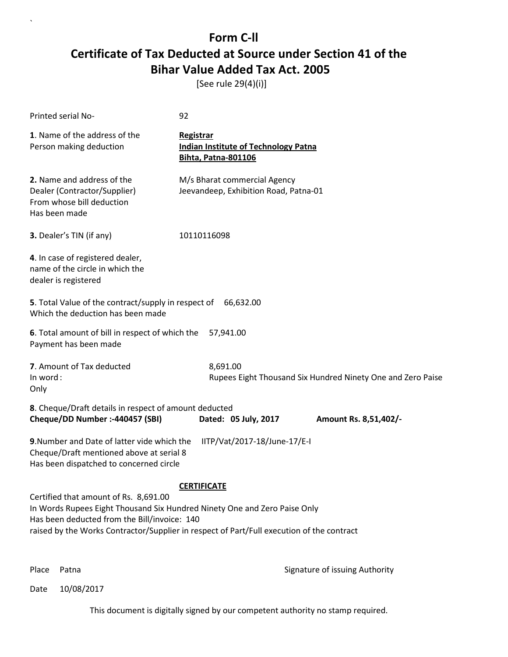[See rule 29(4)(i)]

| Printed serial No-                                                                                                                                                                                                                                                                    | 92                                                                                            |  |
|---------------------------------------------------------------------------------------------------------------------------------------------------------------------------------------------------------------------------------------------------------------------------------------|-----------------------------------------------------------------------------------------------|--|
| 1. Name of the address of the<br>Person making deduction                                                                                                                                                                                                                              | <b>Registrar</b><br><b>Indian Institute of Technology Patna</b><br><b>Bihta, Patna-801106</b> |  |
| 2. Name and address of the<br>Dealer (Contractor/Supplier)<br>From whose bill deduction<br>Has been made                                                                                                                                                                              | M/s Bharat commercial Agency<br>Jeevandeep, Exhibition Road, Patna-01                         |  |
| 3. Dealer's TIN (if any)                                                                                                                                                                                                                                                              | 10110116098                                                                                   |  |
| 4. In case of registered dealer,<br>name of the circle in which the<br>dealer is registered                                                                                                                                                                                           |                                                                                               |  |
| 5. Total Value of the contract/supply in respect of<br>66,632.00<br>Which the deduction has been made                                                                                                                                                                                 |                                                                                               |  |
| 6. Total amount of bill in respect of which the<br>Payment has been made                                                                                                                                                                                                              | 57,941.00                                                                                     |  |
| 7. Amount of Tax deducted<br>In word:<br>Only                                                                                                                                                                                                                                         | 8,691.00<br>Rupees Eight Thousand Six Hundred Ninety One and Zero Paise                       |  |
| 8. Cheque/Draft details in respect of amount deducted<br>Cheque/DD Number :- 440457 (SBI)                                                                                                                                                                                             | Dated: 05 July, 2017<br>Amount Rs. 8,51,402/-                                                 |  |
| 9. Number and Date of latter vide which the<br>Cheque/Draft mentioned above at serial 8<br>Has been dispatched to concerned circle                                                                                                                                                    | IITP/Vat/2017-18/June-17/E-I                                                                  |  |
| <b>CERTIFICATE</b><br>Certified that amount of Rs. 8,691.00<br>In Words Rupees Eight Thousand Six Hundred Ninety One and Zero Paise Only<br>Has been deducted from the Bill/invoice: 140<br>raised by the Works Contractor/Supplier in respect of Part/Full execution of the contract |                                                                                               |  |

`

Place Patna **Property** Place Patna Signature of issuing Authority

Date 10/08/2017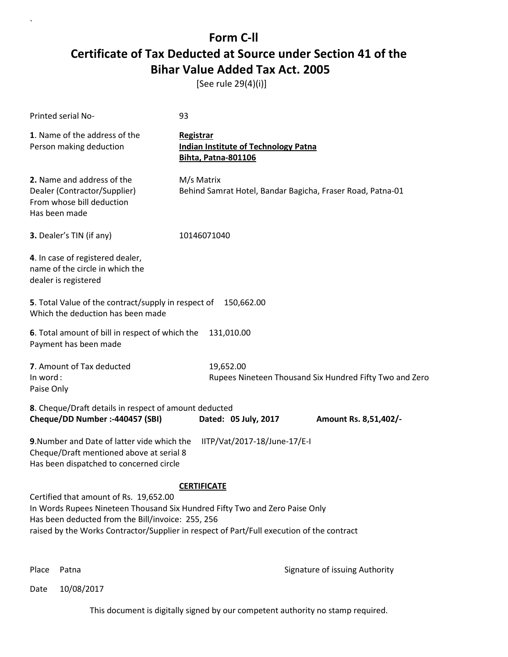[See rule 29(4)(i)]

| Printed serial No-                                                                                                                                                                                                                                                                            | 93                                                                                            |  |
|-----------------------------------------------------------------------------------------------------------------------------------------------------------------------------------------------------------------------------------------------------------------------------------------------|-----------------------------------------------------------------------------------------------|--|
| 1. Name of the address of the<br>Person making deduction                                                                                                                                                                                                                                      | <b>Registrar</b><br><b>Indian Institute of Technology Patna</b><br><b>Bihta, Patna-801106</b> |  |
| 2. Name and address of the<br>Dealer (Contractor/Supplier)<br>From whose bill deduction<br>Has been made                                                                                                                                                                                      | M/s Matrix<br>Behind Samrat Hotel, Bandar Bagicha, Fraser Road, Patna-01                      |  |
| 3. Dealer's TIN (if any)                                                                                                                                                                                                                                                                      | 10146071040                                                                                   |  |
| 4. In case of registered dealer,<br>name of the circle in which the<br>dealer is registered                                                                                                                                                                                                   |                                                                                               |  |
| 5. Total Value of the contract/supply in respect of<br>150,662.00<br>Which the deduction has been made                                                                                                                                                                                        |                                                                                               |  |
| 6. Total amount of bill in respect of which the<br>Payment has been made                                                                                                                                                                                                                      | 131,010.00                                                                                    |  |
| 7. Amount of Tax deducted<br>In word:<br>Paise Only                                                                                                                                                                                                                                           | 19,652.00<br>Rupees Nineteen Thousand Six Hundred Fifty Two and Zero                          |  |
| 8. Cheque/Draft details in respect of amount deducted<br>Cheque/DD Number :- 440457 (SBI)                                                                                                                                                                                                     | Dated: 05 July, 2017<br>Amount Rs. 8,51,402/-                                                 |  |
| 9. Number and Date of latter vide which the<br>IITP/Vat/2017-18/June-17/E-I<br>Cheque/Draft mentioned above at serial 8<br>Has been dispatched to concerned circle                                                                                                                            |                                                                                               |  |
| <b>CERTIFICATE</b><br>Certified that amount of Rs. 19,652.00<br>In Words Rupees Nineteen Thousand Six Hundred Fifty Two and Zero Paise Only<br>Has been deducted from the Bill/invoice: 255, 256<br>raised by the Works Contractor/Supplier in respect of Part/Full execution of the contract |                                                                                               |  |

`

Place Patna **Property** Place Patna Signature of issuing Authority

Date 10/08/2017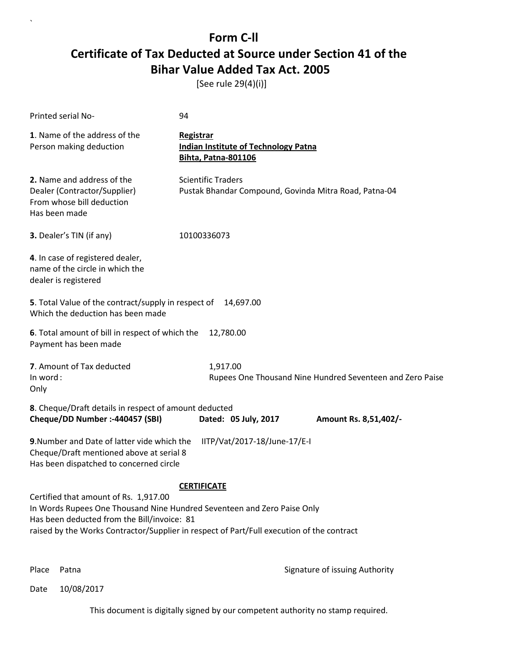[See rule 29(4)(i)]

| <b>Printed serial No-</b>                                                                                                                                                                                                                                                          | 94                                                                                     |
|------------------------------------------------------------------------------------------------------------------------------------------------------------------------------------------------------------------------------------------------------------------------------------|----------------------------------------------------------------------------------------|
| 1. Name of the address of the<br>Person making deduction                                                                                                                                                                                                                           | Registrar<br><b>Indian Institute of Technology Patna</b><br><b>Bihta, Patna-801106</b> |
| 2. Name and address of the<br>Dealer (Contractor/Supplier)<br>From whose bill deduction<br>Has been made                                                                                                                                                                           | <b>Scientific Traders</b><br>Pustak Bhandar Compound, Govinda Mitra Road, Patna-04     |
| 3. Dealer's TIN (if any)                                                                                                                                                                                                                                                           | 10100336073                                                                            |
| 4. In case of registered dealer,<br>name of the circle in which the<br>dealer is registered                                                                                                                                                                                        |                                                                                        |
| 5. Total Value of the contract/supply in respect of<br>Which the deduction has been made                                                                                                                                                                                           | 14,697.00                                                                              |
| 6. Total amount of bill in respect of which the<br>Payment has been made                                                                                                                                                                                                           | 12,780.00                                                                              |
| 7. Amount of Tax deducted<br>In word:<br>Only                                                                                                                                                                                                                                      | 1,917.00<br>Rupees One Thousand Nine Hundred Seventeen and Zero Paise                  |
| 8. Cheque/Draft details in respect of amount deducted<br>Cheque/DD Number :- 440457 (SBI)                                                                                                                                                                                          | Dated: 05 July, 2017<br>Amount Rs. 8,51,402/-                                          |
| 9. Number and Date of latter vide which the<br>Cheque/Draft mentioned above at serial 8<br>Has been dispatched to concerned circle                                                                                                                                                 | IITP/Vat/2017-18/June-17/E-I                                                           |
| <b>CERTIFICATE</b><br>Certified that amount of Rs. 1,917.00<br>In Words Rupees One Thousand Nine Hundred Seventeen and Zero Paise Only<br>Has been deducted from the Bill/invoice: 81<br>raised by the Works Contractor/Supplier in respect of Part/Full execution of the contract |                                                                                        |

`

Place Patna **Property** Place Patna Signature of issuing Authority

Date 10/08/2017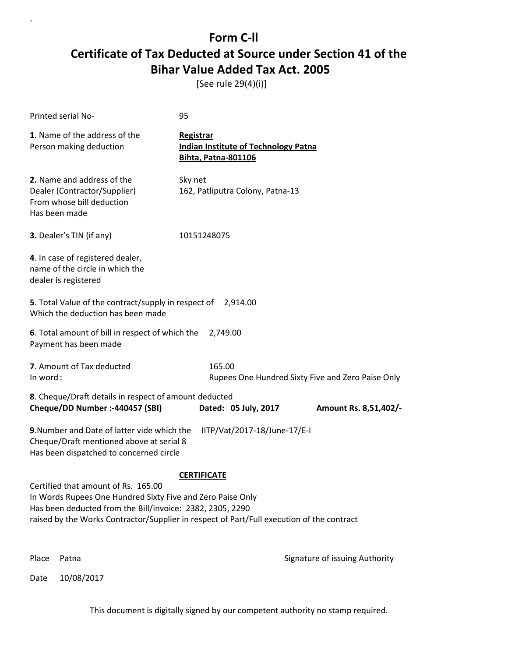[See rule 29(4)(i)]

`

Date 10/08/2017

| Printed serial No-                                                                                                                                                                                                                                          | 95                                                                                     |                                                   |
|-------------------------------------------------------------------------------------------------------------------------------------------------------------------------------------------------------------------------------------------------------------|----------------------------------------------------------------------------------------|---------------------------------------------------|
| 1. Name of the address of the<br>Person making deduction                                                                                                                                                                                                    | Registrar<br><b>Indian Institute of Technology Patna</b><br><b>Bihta, Patna-801106</b> |                                                   |
| 2. Name and address of the<br>Dealer (Contractor/Supplier)<br>From whose bill deduction<br>Has been made                                                                                                                                                    | Sky net<br>162, Patliputra Colony, Patna-13                                            |                                                   |
| 3. Dealer's TIN (if any)                                                                                                                                                                                                                                    | 10151248075                                                                            |                                                   |
| 4. In case of registered dealer,<br>name of the circle in which the<br>dealer is registered                                                                                                                                                                 |                                                                                        |                                                   |
| 5. Total Value of the contract/supply in respect of 2,914.00<br>Which the deduction has been made                                                                                                                                                           |                                                                                        |                                                   |
| 6. Total amount of bill in respect of which the<br>Payment has been made                                                                                                                                                                                    | 2,749.00                                                                               |                                                   |
| 7. Amount of Tax deducted<br>In word:                                                                                                                                                                                                                       | 165.00                                                                                 | Rupees One Hundred Sixty Five and Zero Paise Only |
| 8. Cheque/Draft details in respect of amount deducted<br>Cheque/DD Number :- 440457 (SBI)                                                                                                                                                                   | Dated: 05 July, 2017                                                                   | Amount Rs. 8,51,402/-                             |
| 9. Number and Date of latter vide which the<br>IITP/Vat/2017-18/June-17/E-I<br>Cheque/Draft mentioned above at serial 8<br>Has been dispatched to concerned circle                                                                                          |                                                                                        |                                                   |
|                                                                                                                                                                                                                                                             | <b>CERTIFICATE</b>                                                                     |                                                   |
| Certified that amount of Rs. 165.00<br>In Words Rupees One Hundred Sixty Five and Zero Paise Only<br>Has been deducted from the Bill/invoice: 2382, 2305, 2290<br>raised by the Works Contractor/Supplier in respect of Part/Full execution of the contract |                                                                                        |                                                   |
| Place<br>Patna                                                                                                                                                                                                                                              |                                                                                        | Signature of issuing Authority                    |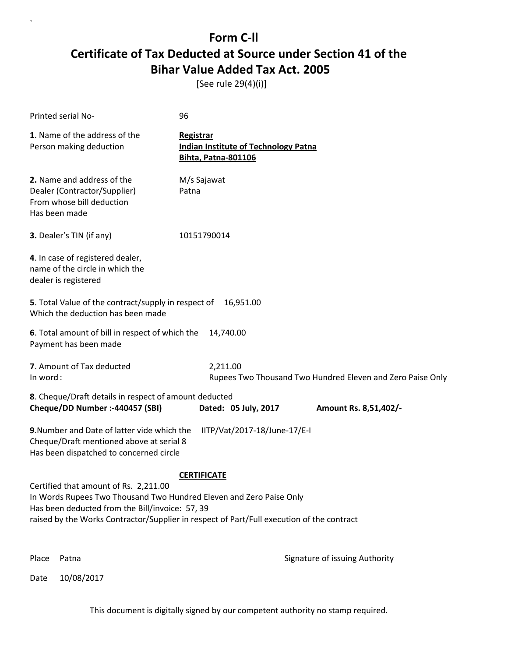[See rule 29(4)(i)]

| Printed serial No-                                                                                                                                                                                                                                                                 | 96                                                                                            |  |
|------------------------------------------------------------------------------------------------------------------------------------------------------------------------------------------------------------------------------------------------------------------------------------|-----------------------------------------------------------------------------------------------|--|
| 1. Name of the address of the<br>Person making deduction                                                                                                                                                                                                                           | <b>Registrar</b><br><b>Indian Institute of Technology Patna</b><br><b>Bihta, Patna-801106</b> |  |
| 2. Name and address of the<br>Dealer (Contractor/Supplier)<br>From whose bill deduction<br>Has been made                                                                                                                                                                           | M/s Sajawat<br>Patna                                                                          |  |
| 3. Dealer's TIN (if any)                                                                                                                                                                                                                                                           | 10151790014                                                                                   |  |
| 4. In case of registered dealer,<br>name of the circle in which the<br>dealer is registered                                                                                                                                                                                        |                                                                                               |  |
| 5. Total Value of the contract/supply in respect of<br>16,951.00<br>Which the deduction has been made                                                                                                                                                                              |                                                                                               |  |
| 6. Total amount of bill in respect of which the<br>Payment has been made                                                                                                                                                                                                           | 14,740.00                                                                                     |  |
| 7. Amount of Tax deducted<br>In word:                                                                                                                                                                                                                                              | 2,211.00<br>Rupees Two Thousand Two Hundred Eleven and Zero Paise Only                        |  |
| 8. Cheque/Draft details in respect of amount deducted<br>Cheque/DD Number :- 440457 (SBI)                                                                                                                                                                                          | Dated: 05 July, 2017<br>Amount Rs. 8,51,402/-                                                 |  |
| 9. Number and Date of latter vide which the<br>Cheque/Draft mentioned above at serial 8<br>Has been dispatched to concerned circle                                                                                                                                                 | IITP/Vat/2017-18/June-17/E-I                                                                  |  |
| <b>CERTIFICATE</b><br>Certified that amount of Rs. 2,211.00<br>In Words Rupees Two Thousand Two Hundred Eleven and Zero Paise Only<br>Has been deducted from the Bill/invoice: 57, 39<br>raised by the Works Contractor/Supplier in respect of Part/Full execution of the contract |                                                                                               |  |
| Place<br>Patna                                                                                                                                                                                                                                                                     | Signature of issuing Authority                                                                |  |

Date 10/08/2017

`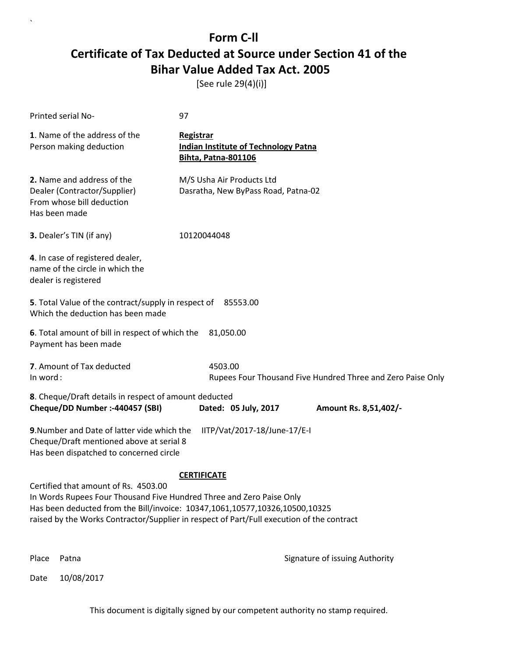[See rule 29(4)(i)]

`

| Printed serial No-                                                                                                                                                                                                                                                                                             | 97        |                                                                           |                                                             |
|----------------------------------------------------------------------------------------------------------------------------------------------------------------------------------------------------------------------------------------------------------------------------------------------------------------|-----------|---------------------------------------------------------------------------|-------------------------------------------------------------|
| 1. Name of the address of the<br>Person making deduction                                                                                                                                                                                                                                                       | Registrar | <b>Indian Institute of Technology Patna</b><br><b>Bihta, Patna-801106</b> |                                                             |
| 2. Name and address of the<br>Dealer (Contractor/Supplier)<br>From whose bill deduction<br>Has been made                                                                                                                                                                                                       |           | M/S Usha Air Products Ltd<br>Dasratha, New ByPass Road, Patna-02          |                                                             |
| 3. Dealer's TIN (if any)                                                                                                                                                                                                                                                                                       |           | 10120044048                                                               |                                                             |
| 4. In case of registered dealer,<br>name of the circle in which the<br>dealer is registered                                                                                                                                                                                                                    |           |                                                                           |                                                             |
| 5. Total Value of the contract/supply in respect of 85553.00<br>Which the deduction has been made                                                                                                                                                                                                              |           |                                                                           |                                                             |
| <b>6</b> . Total amount of bill in respect of which the<br>Payment has been made                                                                                                                                                                                                                               |           | 81,050.00                                                                 |                                                             |
| 7. Amount of Tax deducted<br>In word:                                                                                                                                                                                                                                                                          |           | 4503.00                                                                   | Rupees Four Thousand Five Hundred Three and Zero Paise Only |
| 8. Cheque/Draft details in respect of amount deducted                                                                                                                                                                                                                                                          |           |                                                                           |                                                             |
| Cheque/DD Number :- 440457 (SBI)                                                                                                                                                                                                                                                                               |           | Dated: 05 July, 2017                                                      | Amount Rs. 8,51,402/-                                       |
| 9. Number and Date of latter vide which the<br>IITP/Vat/2017-18/June-17/E-I<br>Cheque/Draft mentioned above at serial 8<br>Has been dispatched to concerned circle                                                                                                                                             |           |                                                                           |                                                             |
| <b>CERTIFICATE</b><br>Certified that amount of Rs. 4503.00<br>In Words Rupees Four Thousand Five Hundred Three and Zero Paise Only<br>Has been deducted from the Bill/invoice: 10347,1061,10577,10326,10500,10325<br>raised by the Works Contractor/Supplier in respect of Part/Full execution of the contract |           |                                                                           |                                                             |
| Place<br>Patna                                                                                                                                                                                                                                                                                                 |           |                                                                           | Signature of issuing Authority                              |
| 10/08/2017<br>Date                                                                                                                                                                                                                                                                                             |           |                                                                           |                                                             |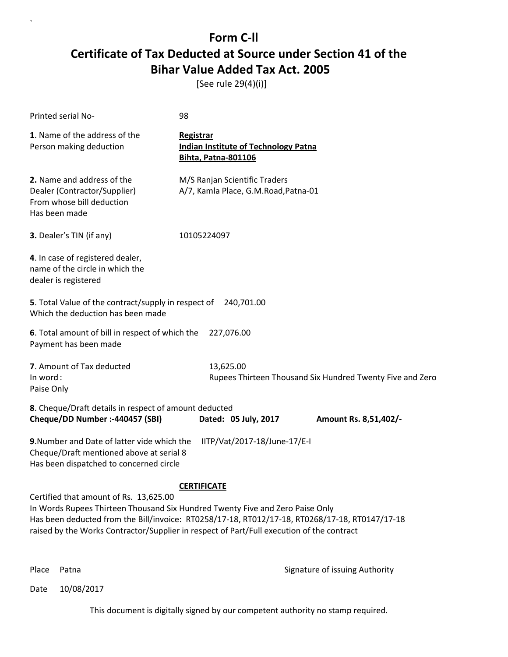[See rule 29(4)(i)]

| Printed serial No-                                                                                                                                                                                                                                                                                                                           | 98                                                                                            |  |  |
|----------------------------------------------------------------------------------------------------------------------------------------------------------------------------------------------------------------------------------------------------------------------------------------------------------------------------------------------|-----------------------------------------------------------------------------------------------|--|--|
| 1. Name of the address of the<br>Person making deduction                                                                                                                                                                                                                                                                                     | <b>Registrar</b><br><b>Indian Institute of Technology Patna</b><br><b>Bihta, Patna-801106</b> |  |  |
| 2. Name and address of the<br>Dealer (Contractor/Supplier)<br>From whose bill deduction<br>Has been made                                                                                                                                                                                                                                     | M/S Ranjan Scientific Traders<br>A/7, Kamla Place, G.M.Road, Patna-01                         |  |  |
| 3. Dealer's TIN (if any)                                                                                                                                                                                                                                                                                                                     | 10105224097                                                                                   |  |  |
| 4. In case of registered dealer,<br>name of the circle in which the<br>dealer is registered                                                                                                                                                                                                                                                  |                                                                                               |  |  |
| 5. Total Value of the contract/supply in respect of 240,701.00<br>Which the deduction has been made                                                                                                                                                                                                                                          |                                                                                               |  |  |
| 6. Total amount of bill in respect of which the<br>Payment has been made                                                                                                                                                                                                                                                                     | 227,076.00                                                                                    |  |  |
| 7. Amount of Tax deducted<br>In word:<br>Paise Only                                                                                                                                                                                                                                                                                          | 13,625.00<br>Rupees Thirteen Thousand Six Hundred Twenty Five and Zero                        |  |  |
| 8. Cheque/Draft details in respect of amount deducted<br>Cheque/DD Number :- 440457 (SBI)                                                                                                                                                                                                                                                    | Dated: 05 July, 2017<br>Amount Rs. 8,51,402/-                                                 |  |  |
| 9. Number and Date of latter vide which the<br>Cheque/Draft mentioned above at serial 8<br>Has been dispatched to concerned circle                                                                                                                                                                                                           | IITP/Vat/2017-18/June-17/E-I                                                                  |  |  |
| <b>CERTIFICATE</b><br>Certified that amount of Rs. 13,625.00<br>In Words Rupees Thirteen Thousand Six Hundred Twenty Five and Zero Paise Only<br>Has been deducted from the Bill/invoice: RT0258/17-18, RT012/17-18, RT0268/17-18, RT0147/17-18<br>raised by the Works Contractor/Supplier in respect of Part/Full execution of the contract |                                                                                               |  |  |

`

Place Patna **Property** Place Patna Signature of issuing Authority

Date 10/08/2017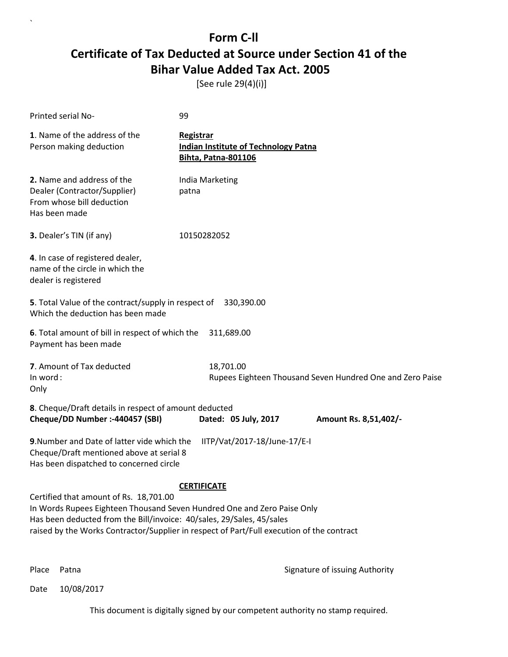[See rule 29(4)(i)]

| Printed serial No-                                                                                                                                                                                                                                                                                            | 99                                                                                            |  |
|---------------------------------------------------------------------------------------------------------------------------------------------------------------------------------------------------------------------------------------------------------------------------------------------------------------|-----------------------------------------------------------------------------------------------|--|
| 1. Name of the address of the<br>Person making deduction                                                                                                                                                                                                                                                      | <b>Registrar</b><br><b>Indian Institute of Technology Patna</b><br><b>Bihta, Patna-801106</b> |  |
| 2. Name and address of the<br>Dealer (Contractor/Supplier)<br>From whose bill deduction<br>Has been made                                                                                                                                                                                                      | India Marketing<br>patna                                                                      |  |
| 3. Dealer's TIN (if any)                                                                                                                                                                                                                                                                                      | 10150282052                                                                                   |  |
| 4. In case of registered dealer,<br>name of the circle in which the<br>dealer is registered                                                                                                                                                                                                                   |                                                                                               |  |
| 5. Total Value of the contract/supply in respect of<br>Which the deduction has been made                                                                                                                                                                                                                      | 330,390.00                                                                                    |  |
| 6. Total amount of bill in respect of which the<br>Payment has been made                                                                                                                                                                                                                                      | 311,689.00                                                                                    |  |
| 7. Amount of Tax deducted<br>In word:<br>Only                                                                                                                                                                                                                                                                 | 18,701.00<br>Rupees Eighteen Thousand Seven Hundred One and Zero Paise                        |  |
| 8. Cheque/Draft details in respect of amount deducted<br>Cheque/DD Number :- 440457 (SBI)                                                                                                                                                                                                                     | Dated: 05 July, 2017<br>Amount Rs. 8,51,402/-                                                 |  |
| 9. Number and Date of latter vide which the<br>Cheque/Draft mentioned above at serial 8<br>Has been dispatched to concerned circle                                                                                                                                                                            | IITP/Vat/2017-18/June-17/E-I                                                                  |  |
| <b>CERTIFICATE</b><br>Certified that amount of Rs. 18,701.00<br>In Words Rupees Eighteen Thousand Seven Hundred One and Zero Paise Only<br>Has been deducted from the Bill/invoice: 40/sales, 29/Sales, 45/sales<br>raised by the Works Contractor/Supplier in respect of Part/Full execution of the contract |                                                                                               |  |

`

Place Patna **Property** Place Patna Signature of issuing Authority

Date 10/08/2017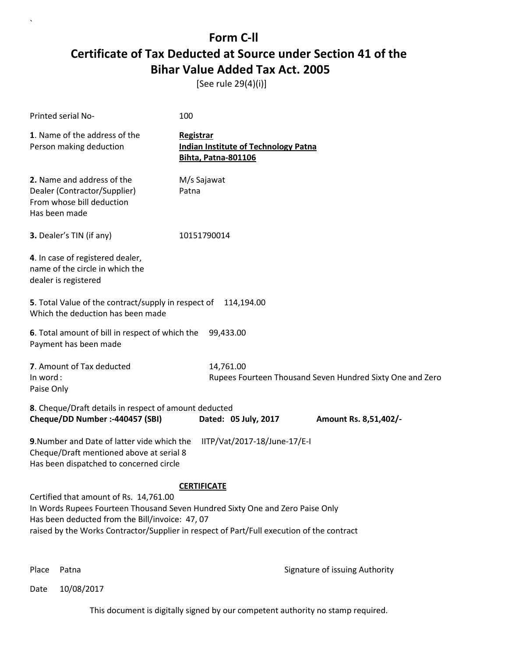[See rule 29(4)(i)]

| Printed serial No-                                                                                                                                                                                                                                                                            | 100                                                                                           |  |
|-----------------------------------------------------------------------------------------------------------------------------------------------------------------------------------------------------------------------------------------------------------------------------------------------|-----------------------------------------------------------------------------------------------|--|
| 1. Name of the address of the<br>Person making deduction                                                                                                                                                                                                                                      | <b>Registrar</b><br><b>Indian Institute of Technology Patna</b><br><b>Bihta, Patna-801106</b> |  |
| 2. Name and address of the<br>Dealer (Contractor/Supplier)<br>From whose bill deduction<br>Has been made                                                                                                                                                                                      | M/s Sajawat<br>Patna                                                                          |  |
| 3. Dealer's TIN (if any)                                                                                                                                                                                                                                                                      | 10151790014                                                                                   |  |
| 4. In case of registered dealer,<br>name of the circle in which the<br>dealer is registered                                                                                                                                                                                                   |                                                                                               |  |
| 5. Total Value of the contract/supply in respect of<br>Which the deduction has been made                                                                                                                                                                                                      | 114,194.00                                                                                    |  |
| 6. Total amount of bill in respect of which the<br>Payment has been made                                                                                                                                                                                                                      | 99,433.00                                                                                     |  |
| 7. Amount of Tax deducted<br>In word:<br>Paise Only                                                                                                                                                                                                                                           | 14,761.00<br>Rupees Fourteen Thousand Seven Hundred Sixty One and Zero                        |  |
| 8. Cheque/Draft details in respect of amount deducted<br>Cheque/DD Number :- 440457 (SBI)                                                                                                                                                                                                     | Dated: 05 July, 2017<br>Amount Rs. 8,51,402/-                                                 |  |
| 9. Number and Date of latter vide which the<br>Cheque/Draft mentioned above at serial 8<br>Has been dispatched to concerned circle                                                                                                                                                            | IITP/Vat/2017-18/June-17/E-I                                                                  |  |
| <b>CERTIFICATE</b><br>Certified that amount of Rs. 14,761.00<br>In Words Rupees Fourteen Thousand Seven Hundred Sixty One and Zero Paise Only<br>Has been deducted from the Bill/invoice: 47, 07<br>raised by the Works Contractor/Supplier in respect of Part/Full execution of the contract |                                                                                               |  |

`

Place Patna **Property** Place Patna Signature of issuing Authority

Date 10/08/2017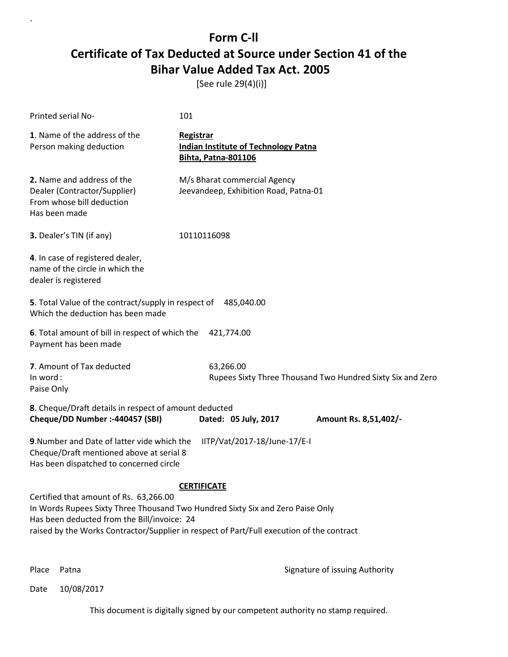[See rule 29(4)(i)]

| Printed serial No-                                                                                                                                                                                                                                                                         | 101                                                                                           |                                                            |
|--------------------------------------------------------------------------------------------------------------------------------------------------------------------------------------------------------------------------------------------------------------------------------------------|-----------------------------------------------------------------------------------------------|------------------------------------------------------------|
| 1. Name of the address of the<br>Person making deduction                                                                                                                                                                                                                                   | <b>Registrar</b><br><b>Indian Institute of Technology Patna</b><br><b>Bihta, Patna-801106</b> |                                                            |
| 2. Name and address of the<br>Dealer (Contractor/Supplier)<br>From whose bill deduction<br>Has been made                                                                                                                                                                                   | M/s Bharat commercial Agency<br>Jeevandeep, Exhibition Road, Patna-01                         |                                                            |
| 3. Dealer's TIN (if any)                                                                                                                                                                                                                                                                   | 10110116098                                                                                   |                                                            |
| 4. In case of registered dealer,<br>name of the circle in which the<br>dealer is registered                                                                                                                                                                                                |                                                                                               |                                                            |
| 5. Total Value of the contract/supply in respect of 485,040.00<br>Which the deduction has been made                                                                                                                                                                                        |                                                                                               |                                                            |
| 6. Total amount of bill in respect of which the<br>Payment has been made                                                                                                                                                                                                                   | 421,774.00                                                                                    |                                                            |
| 7. Amount of Tax deducted<br>In word:<br>Paise Only                                                                                                                                                                                                                                        | 63,266.00                                                                                     | Rupees Sixty Three Thousand Two Hundred Sixty Six and Zero |
| 8. Cheque/Draft details in respect of amount deducted<br>Cheque/DD Number :- 440457 (SBI)                                                                                                                                                                                                  | Dated: 05 July, 2017                                                                          | Amount Rs. 8,51,402/-                                      |
| 9. Number and Date of latter vide which the<br>Cheque/Draft mentioned above at serial 8<br>Has been dispatched to concerned circle                                                                                                                                                         | IITP/Vat/2017-18/June-17/E-I                                                                  |                                                            |
| <b>CERTIFICATE</b><br>Certified that amount of Rs. 63,266.00<br>In Words Rupees Sixty Three Thousand Two Hundred Sixty Six and Zero Paise Only<br>Has been deducted from the Bill/invoice: 24<br>raised by the Works Contractor/Supplier in respect of Part/Full execution of the contract |                                                                                               |                                                            |

`

Place Patna **Property** Place Patna Signature of issuing Authority

Date 10/08/2017